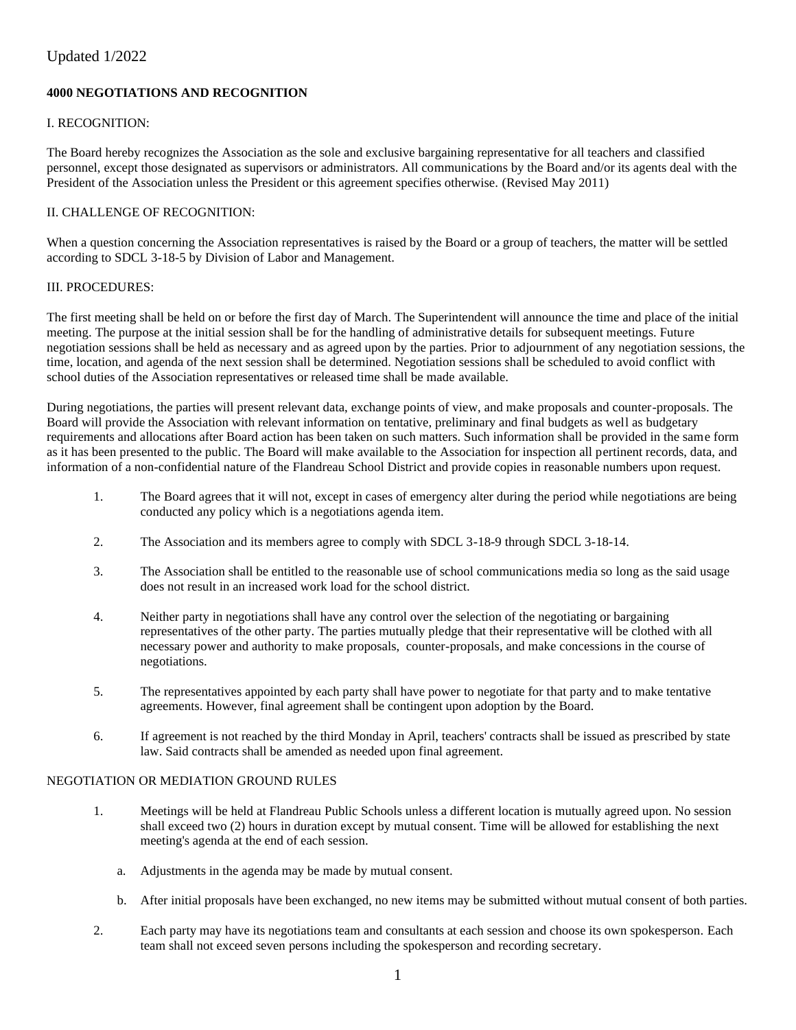# **4000 NEGOTIATIONS AND RECOGNITION**

# I. RECOGNITION:

The Board hereby recognizes the Association as the sole and exclusive bargaining representative for all teachers and classified personnel, except those designated as supervisors or administrators. All communications by the Board and/or its agents deal with the President of the Association unless the President or this agreement specifies otherwise. (Revised May 2011)

# II. CHALLENGE OF RECOGNITION:

When a question concerning the Association representatives is raised by the Board or a group of teachers, the matter will be settled according to SDCL 3-18-5 by Division of Labor and Management.

# III. PROCEDURES:

The first meeting shall be held on or before the first day of March. The Superintendent will announce the time and place of the initial meeting. The purpose at the initial session shall be for the handling of administrative details for subsequent meetings. Future negotiation sessions shall be held as necessary and as agreed upon by the parties. Prior to adjournment of any negotiation sessions, the time, location, and agenda of the next session shall be determined. Negotiation sessions shall be scheduled to avoid conflict with school duties of the Association representatives or released time shall be made available.

During negotiations, the parties will present relevant data, exchange points of view, and make proposals and counter-proposals. The Board will provide the Association with relevant information on tentative, preliminary and final budgets as well as budgetary requirements and allocations after Board action has been taken on such matters. Such information shall be provided in the same form as it has been presented to the public. The Board will make available to the Association for inspection all pertinent records, data, and information of a non-confidential nature of the Flandreau School District and provide copies in reasonable numbers upon request.

- 1. The Board agrees that it will not, except in cases of emergency alter during the period while negotiations are being conducted any policy which is a negotiations agenda item.
- 2. The Association and its members agree to comply with SDCL 3-18-9 through SDCL 3-18-14.
- 3. The Association shall be entitled to the reasonable use of school communications media so long as the said usage does not result in an increased work load for the school district.
- 4. Neither party in negotiations shall have any control over the selection of the negotiating or bargaining representatives of the other party. The parties mutually pledge that their representative will be clothed with all necessary power and authority to make proposals, counter-proposals, and make concessions in the course of negotiations.
- 5. The representatives appointed by each party shall have power to negotiate for that party and to make tentative agreements. However, final agreement shall be contingent upon adoption by the Board.
- 6. If agreement is not reached by the third Monday in April, teachers' contracts shall be issued as prescribed by state law. Said contracts shall be amended as needed upon final agreement.

# NEGOTIATION OR MEDIATION GROUND RULES

- 1. Meetings will be held at Flandreau Public Schools unless a different location is mutually agreed upon. No session shall exceed two (2) hours in duration except by mutual consent. Time will be allowed for establishing the next meeting's agenda at the end of each session.
	- a. Adjustments in the agenda may be made by mutual consent.
	- b. After initial proposals have been exchanged, no new items may be submitted without mutual consent of both parties.
- 2. Each party may have its negotiations team and consultants at each session and choose its own spokesperson. Each team shall not exceed seven persons including the spokesperson and recording secretary.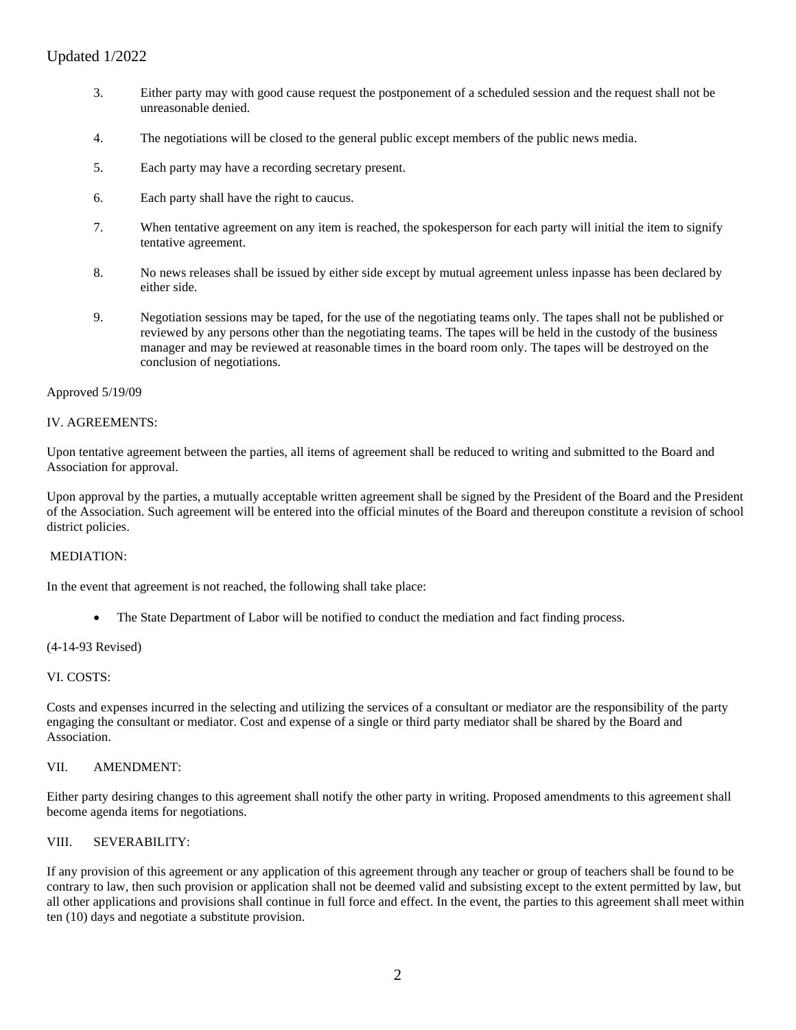- 3. Either party may with good cause request the postponement of a scheduled session and the request shall not be unreasonable denied.
- 4. The negotiations will be closed to the general public except members of the public news media.
- 5. Each party may have a recording secretary present.
- 6. Each party shall have the right to caucus.
- 7. When tentative agreement on any item is reached, the spokesperson for each party will initial the item to signify tentative agreement.
- 8. No news releases shall be issued by either side except by mutual agreement unless inpasse has been declared by either side.
- 9. Negotiation sessions may be taped, for the use of the negotiating teams only. The tapes shall not be published or reviewed by any persons other than the negotiating teams. The tapes will be held in the custody of the business manager and may be reviewed at reasonable times in the board room only. The tapes will be destroyed on the conclusion of negotiations.

#### Approved 5/19/09

#### IV. AGREEMENTS:

Upon tentative agreement between the parties, all items of agreement shall be reduced to writing and submitted to the Board and Association for approval.

Upon approval by the parties, a mutually acceptable written agreement shall be signed by the President of the Board and the President of the Association. Such agreement will be entered into the official minutes of the Board and thereupon constitute a revision of school district policies.

#### MEDIATION:

In the event that agreement is not reached, the following shall take place:

• The State Department of Labor will be notified to conduct the mediation and fact finding process.

#### (4-14-93 Revised)

# VI. COSTS:

Costs and expenses incurred in the selecting and utilizing the services of a consultant or mediator are the responsibility of the party engaging the consultant or mediator. Cost and expense of a single or third party mediator shall be shared by the Board and Association.

#### VII. AMENDMENT:

Either party desiring changes to this agreement shall notify the other party in writing. Proposed amendments to this agreement shall become agenda items for negotiations.

# VIII. SEVERABILITY:

If any provision of this agreement or any application of this agreement through any teacher or group of teachers shall be found to be contrary to law, then such provision or application shall not be deemed valid and subsisting except to the extent permitted by law, but all other applications and provisions shall continue in full force and effect. In the event, the parties to this agreement shall meet within ten (10) days and negotiate a substitute provision.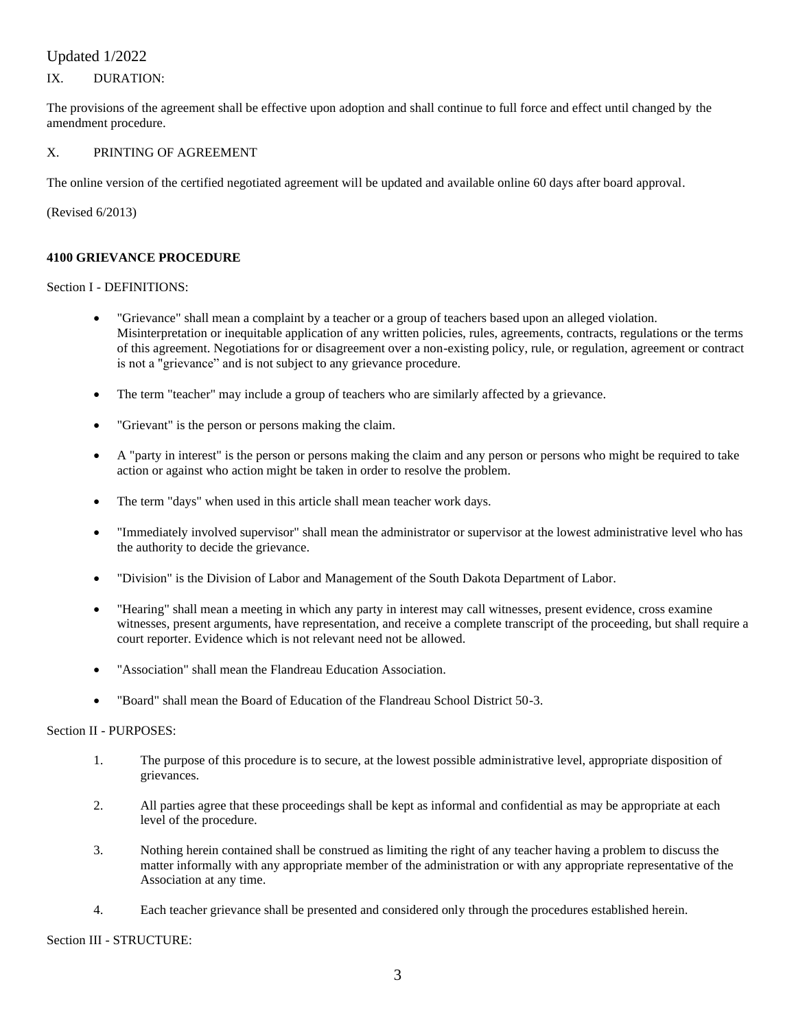IX. DURATION:

The provisions of the agreement shall be effective upon adoption and shall continue to full force and effect until changed by the amendment procedure.

# X. PRINTING OF AGREEMENT

The online version of the certified negotiated agreement will be updated and available online 60 days after board approval.

(Revised 6/2013)

# **4100 GRIEVANCE PROCEDURE**

Section I - DEFINITIONS:

- "Grievance" shall mean a complaint by a teacher or a group of teachers based upon an alleged violation. Misinterpretation or inequitable application of any written policies, rules, agreements, contracts, regulations or the terms of this agreement. Negotiations for or disagreement over a non-existing policy, rule, or regulation, agreement or contract is not a "grievance" and is not subject to any grievance procedure.
- The term "teacher" may include a group of teachers who are similarly affected by a grievance.
- "Grievant" is the person or persons making the claim.
- A "party in interest" is the person or persons making the claim and any person or persons who might be required to take action or against who action might be taken in order to resolve the problem.
- The term "days" when used in this article shall mean teacher work days.
- "Immediately involved supervisor" shall mean the administrator or supervisor at the lowest administrative level who has the authority to decide the grievance.
- "Division" is the Division of Labor and Management of the South Dakota Department of Labor.
- "Hearing" shall mean a meeting in which any party in interest may call witnesses, present evidence, cross examine witnesses, present arguments, have representation, and receive a complete transcript of the proceeding, but shall require a court reporter. Evidence which is not relevant need not be allowed.
- "Association" shall mean the Flandreau Education Association.
- "Board" shall mean the Board of Education of the Flandreau School District 50-3.

# Section II - PURPOSES:

- 1. The purpose of this procedure is to secure, at the lowest possible administrative level, appropriate disposition of grievances.
- 2. All parties agree that these proceedings shall be kept as informal and confidential as may be appropriate at each level of the procedure.
- 3. Nothing herein contained shall be construed as limiting the right of any teacher having a problem to discuss the matter informally with any appropriate member of the administration or with any appropriate representative of the Association at any time.
- 4. Each teacher grievance shall be presented and considered only through the procedures established herein.

Section III - STRUCTURE: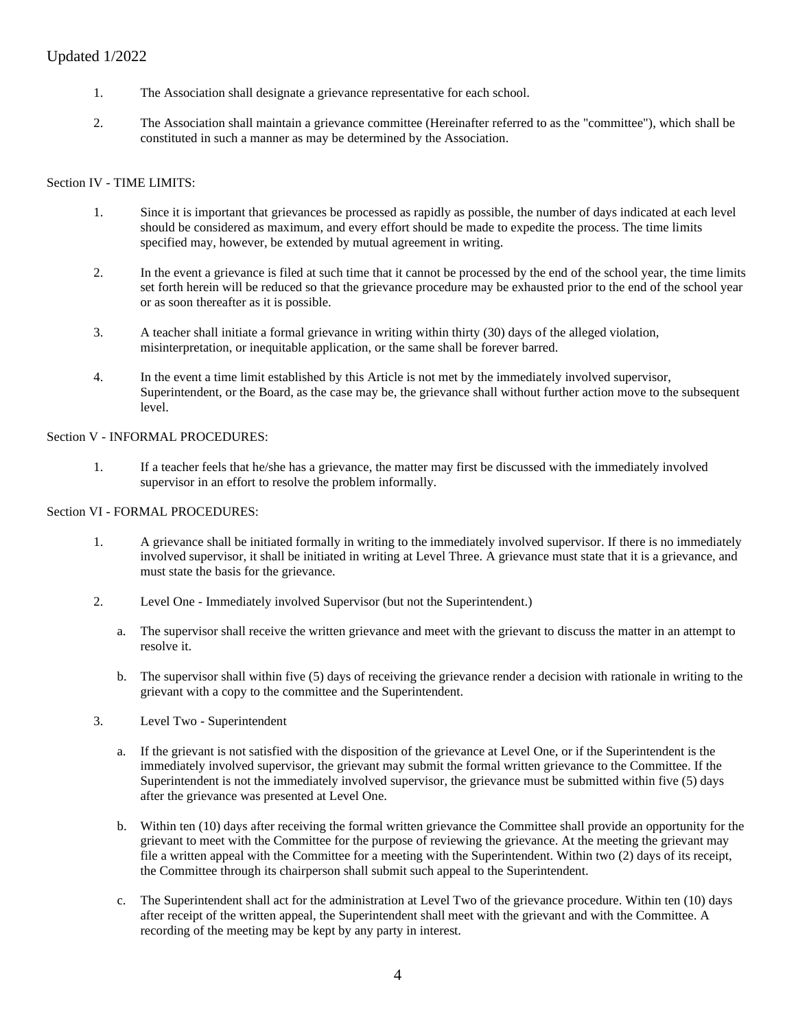- 1. The Association shall designate a grievance representative for each school.
- 2. The Association shall maintain a grievance committee (Hereinafter referred to as the "committee"), which shall be constituted in such a manner as may be determined by the Association.

# Section IV - TIME LIMITS:

- 1. Since it is important that grievances be processed as rapidly as possible, the number of days indicated at each level should be considered as maximum, and every effort should be made to expedite the process. The time limits specified may, however, be extended by mutual agreement in writing.
- 2. In the event a grievance is filed at such time that it cannot be processed by the end of the school year, the time limits set forth herein will be reduced so that the grievance procedure may be exhausted prior to the end of the school year or as soon thereafter as it is possible.
- 3. A teacher shall initiate a formal grievance in writing within thirty (30) days of the alleged violation, misinterpretation, or inequitable application, or the same shall be forever barred.
- 4. In the event a time limit established by this Article is not met by the immediately involved supervisor, Superintendent, or the Board, as the case may be, the grievance shall without further action move to the subsequent level.

# Section V - INFORMAL PROCEDURES:

1. If a teacher feels that he/she has a grievance, the matter may first be discussed with the immediately involved supervisor in an effort to resolve the problem informally.

#### Section VI - FORMAL PROCEDURES:

- 1. A grievance shall be initiated formally in writing to the immediately involved supervisor. If there is no immediately involved supervisor, it shall be initiated in writing at Level Three. A grievance must state that it is a grievance, and must state the basis for the grievance.
- 2. Level One Immediately involved Supervisor (but not the Superintendent.)
	- a. The supervisor shall receive the written grievance and meet with the grievant to discuss the matter in an attempt to resolve it.
	- b. The supervisor shall within five (5) days of receiving the grievance render a decision with rationale in writing to the grievant with a copy to the committee and the Superintendent.
- 3. Level Two Superintendent
	- a. If the grievant is not satisfied with the disposition of the grievance at Level One, or if the Superintendent is the immediately involved supervisor, the grievant may submit the formal written grievance to the Committee. If the Superintendent is not the immediately involved supervisor, the grievance must be submitted within five (5) days after the grievance was presented at Level One.
	- b. Within ten (10) days after receiving the formal written grievance the Committee shall provide an opportunity for the grievant to meet with the Committee for the purpose of reviewing the grievance. At the meeting the grievant may file a written appeal with the Committee for a meeting with the Superintendent. Within two (2) days of its receipt, the Committee through its chairperson shall submit such appeal to the Superintendent.
	- c. The Superintendent shall act for the administration at Level Two of the grievance procedure. Within ten (10) days after receipt of the written appeal, the Superintendent shall meet with the grievant and with the Committee. A recording of the meeting may be kept by any party in interest.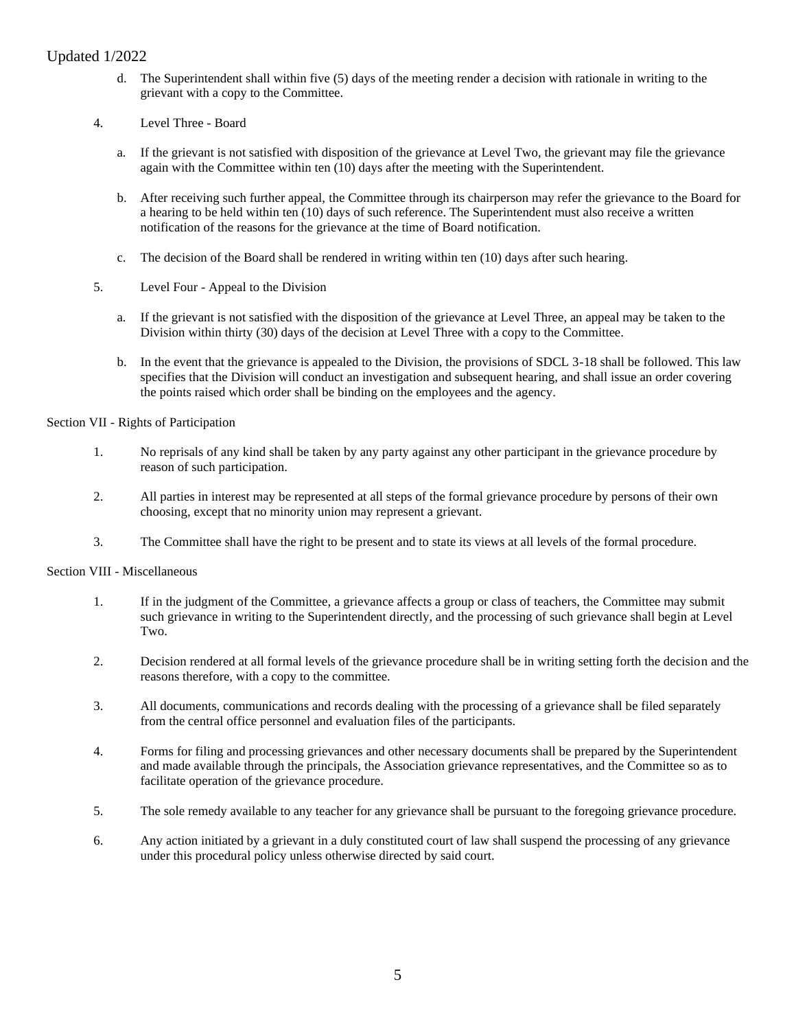- d. The Superintendent shall within five (5) days of the meeting render a decision with rationale in writing to the grievant with a copy to the Committee.
- 4. Level Three Board
	- a. If the grievant is not satisfied with disposition of the grievance at Level Two, the grievant may file the grievance again with the Committee within ten (10) days after the meeting with the Superintendent.
	- b. After receiving such further appeal, the Committee through its chairperson may refer the grievance to the Board for a hearing to be held within ten (10) days of such reference. The Superintendent must also receive a written notification of the reasons for the grievance at the time of Board notification.
	- c. The decision of the Board shall be rendered in writing within ten (10) days after such hearing.
- 5. Level Four Appeal to the Division
	- a. If the grievant is not satisfied with the disposition of the grievance at Level Three, an appeal may be taken to the Division within thirty (30) days of the decision at Level Three with a copy to the Committee.
	- b. In the event that the grievance is appealed to the Division, the provisions of SDCL 3-18 shall be followed. This law specifies that the Division will conduct an investigation and subsequent hearing, and shall issue an order covering the points raised which order shall be binding on the employees and the agency.

Section VII - Rights of Participation

- 1. No reprisals of any kind shall be taken by any party against any other participant in the grievance procedure by reason of such participation.
- 2. All parties in interest may be represented at all steps of the formal grievance procedure by persons of their own choosing, except that no minority union may represent a grievant.
- 3. The Committee shall have the right to be present and to state its views at all levels of the formal procedure.

# Section VIII - Miscellaneous

- 1. If in the judgment of the Committee, a grievance affects a group or class of teachers, the Committee may submit such grievance in writing to the Superintendent directly, and the processing of such grievance shall begin at Level Two.
- 2. Decision rendered at all formal levels of the grievance procedure shall be in writing setting forth the decision and the reasons therefore, with a copy to the committee.
- 3. All documents, communications and records dealing with the processing of a grievance shall be filed separately from the central office personnel and evaluation files of the participants.
- 4. Forms for filing and processing grievances and other necessary documents shall be prepared by the Superintendent and made available through the principals, the Association grievance representatives, and the Committee so as to facilitate operation of the grievance procedure.
- 5. The sole remedy available to any teacher for any grievance shall be pursuant to the foregoing grievance procedure.
- 6. Any action initiated by a grievant in a duly constituted court of law shall suspend the processing of any grievance under this procedural policy unless otherwise directed by said court.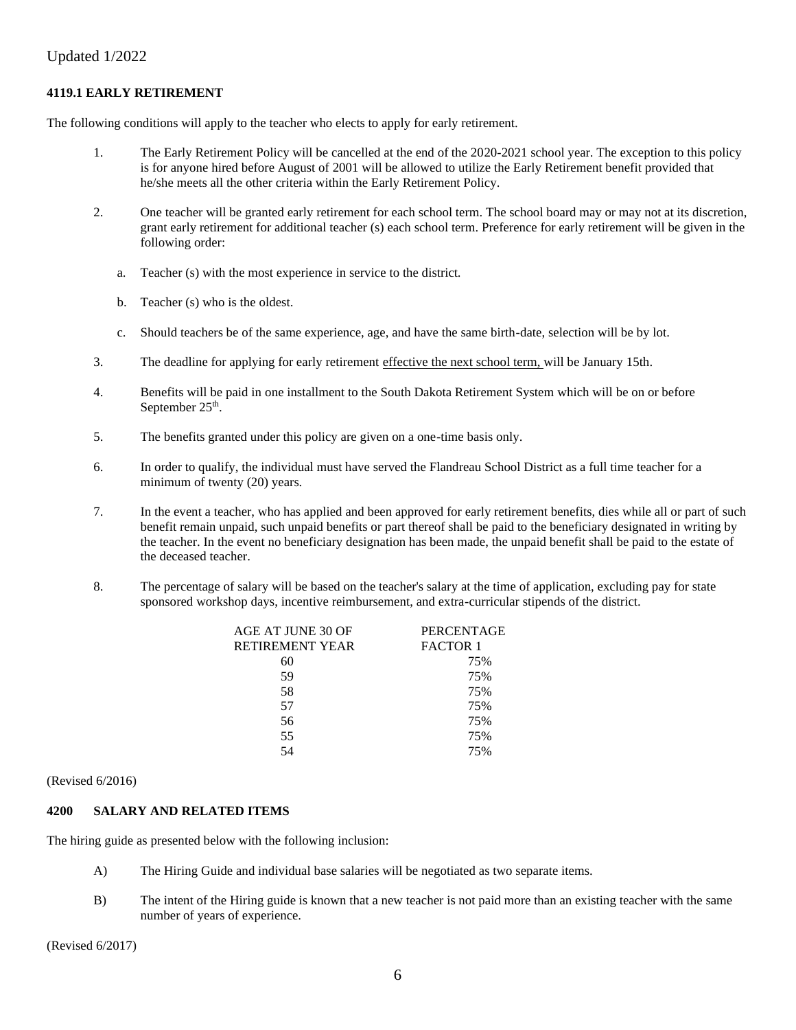# **4119.1 EARLY RETIREMENT**

The following conditions will apply to the teacher who elects to apply for early retirement.

- 1. The Early Retirement Policy will be cancelled at the end of the 2020-2021 school year. The exception to this policy is for anyone hired before August of 2001 will be allowed to utilize the Early Retirement benefit provided that he/she meets all the other criteria within the Early Retirement Policy.
- 2. One teacher will be granted early retirement for each school term. The school board may or may not at its discretion, grant early retirement for additional teacher (s) each school term. Preference for early retirement will be given in the following order:
	- a. Teacher (s) with the most experience in service to the district.
	- b. Teacher (s) who is the oldest.
	- c. Should teachers be of the same experience, age, and have the same birth-date, selection will be by lot.
- 3. The deadline for applying for early retirement effective the next school term, will be January 15th.
- 4. Benefits will be paid in one installment to the South Dakota Retirement System which will be on or before September  $25<sup>th</sup>$ .
- 5. The benefits granted under this policy are given on a one-time basis only.
- 6. In order to qualify, the individual must have served the Flandreau School District as a full time teacher for a minimum of twenty (20) years.
- 7. In the event a teacher, who has applied and been approved for early retirement benefits, dies while all or part of such benefit remain unpaid, such unpaid benefits or part thereof shall be paid to the beneficiary designated in writing by the teacher. In the event no beneficiary designation has been made, the unpaid benefit shall be paid to the estate of the deceased teacher.
- 8. The percentage of salary will be based on the teacher's salary at the time of application, excluding pay for state sponsored workshop days, incentive reimbursement, and extra-curricular stipends of the district.

| AGE AT JUNE 30 OF | <b>PERCENTAGE</b> |
|-------------------|-------------------|
| RETIREMENT YEAR   | <b>FACTOR 1</b>   |
| 60                | 75%               |
| 59                | 75%               |
| 58                | 75%               |
| 57                | 75%               |
| 56                | 75%               |
| 55                | 75%               |
| 54                | 75%               |
|                   |                   |

(Revised 6/2016)

# **4200 SALARY AND RELATED ITEMS**

The hiring guide as presented below with the following inclusion:

- A) The Hiring Guide and individual base salaries will be negotiated as two separate items.
- B) The intent of the Hiring guide is known that a new teacher is not paid more than an existing teacher with the same number of years of experience.

(Revised 6/2017)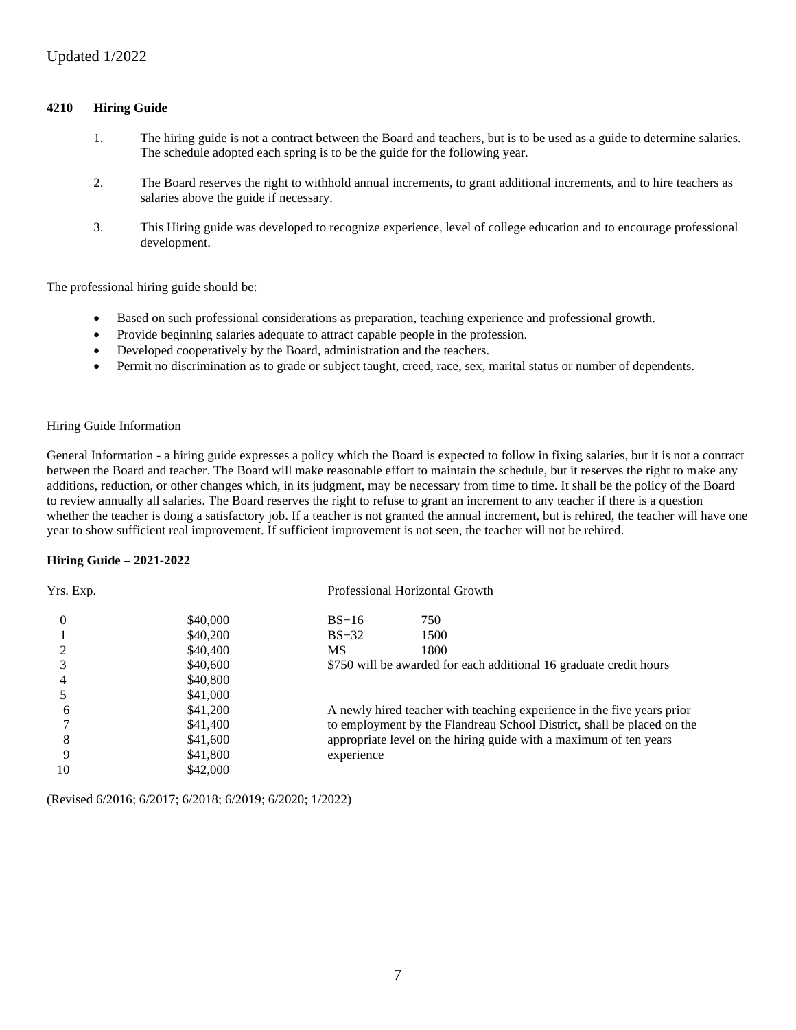# **4210 Hiring Guide**

- 1. The hiring guide is not a contract between the Board and teachers, but is to be used as a guide to determine salaries. The schedule adopted each spring is to be the guide for the following year.
- 2. The Board reserves the right to withhold annual increments, to grant additional increments, and to hire teachers as salaries above the guide if necessary.
- 3. This Hiring guide was developed to recognize experience, level of college education and to encourage professional development.

The professional hiring guide should be:

- Based on such professional considerations as preparation, teaching experience and professional growth.
- Provide beginning salaries adequate to attract capable people in the profession.
- Developed cooperatively by the Board, administration and the teachers.
- Permit no discrimination as to grade or subject taught, creed, race, sex, marital status or number of dependents.

#### Hiring Guide Information

General Information - a hiring guide expresses a policy which the Board is expected to follow in fixing salaries, but it is not a contract between the Board and teacher. The Board will make reasonable effort to maintain the schedule, but it reserves the right to make any additions, reduction, or other changes which, in its judgment, may be necessary from time to time. It shall be the policy of the Board to review annually all salaries. The Board reserves the right to refuse to grant an increment to any teacher if there is a question whether the teacher is doing a satisfactory job. If a teacher is not granted the annual increment, but is rehired, the teacher will have one year to show sufficient real improvement. If sufficient improvement is not seen, the teacher will not be rehired.

# **Hiring Guide – 2021-2022**

| Yrs. Exp. |          |            | Professional Horizontal Growth                                         |
|-----------|----------|------------|------------------------------------------------------------------------|
|           | \$40,000 | $BS+16$    | 750                                                                    |
|           | \$40,200 | $BS+32$    | 1500                                                                   |
|           | \$40,400 | <b>MS</b>  | 1800                                                                   |
|           | \$40,600 |            | \$750 will be awarded for each additional 16 graduate credit hours     |
|           | \$40,800 |            |                                                                        |
|           | \$41,000 |            |                                                                        |
| 6         | \$41,200 |            | A newly hired teacher with teaching experience in the five years prior |
|           | \$41,400 |            | to employment by the Flandreau School District, shall be placed on the |
| 8         | \$41,600 |            | appropriate level on the hiring guide with a maximum of ten years      |
| 9         | \$41,800 | experience |                                                                        |
| 10        | \$42,000 |            |                                                                        |
|           |          |            |                                                                        |

(Revised 6/2016; 6/2017; 6/2018; 6/2019; 6/2020; 1/2022)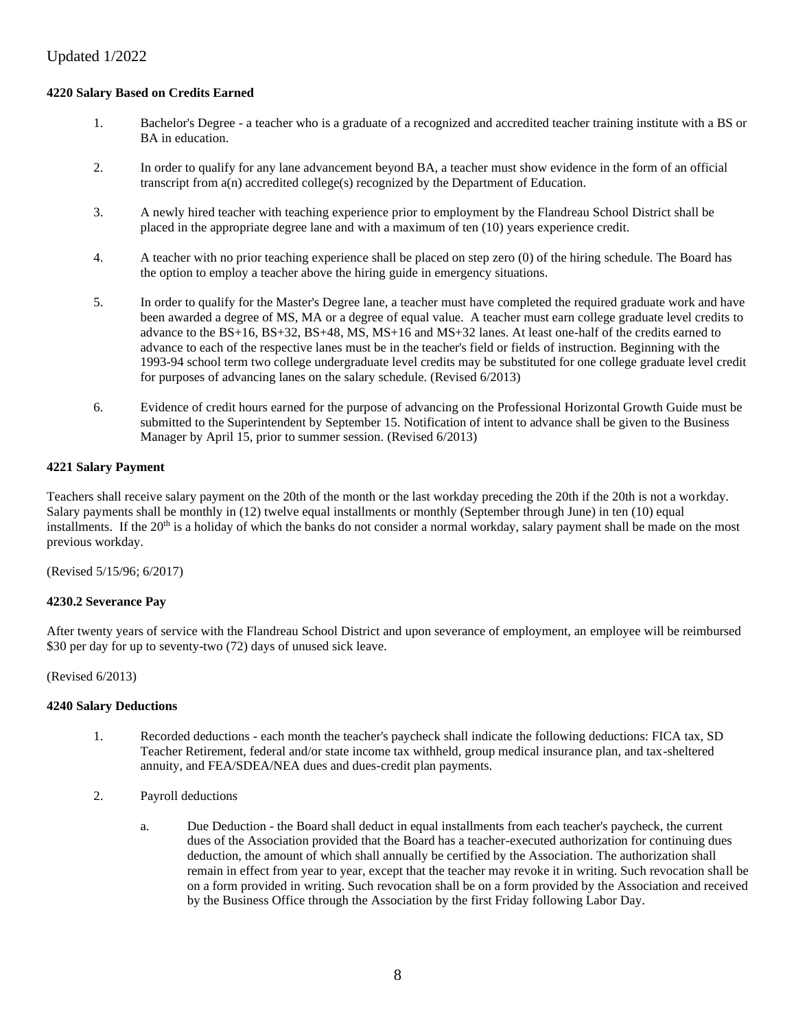# **4220 Salary Based on Credits Earned**

- 1. Bachelor's Degree a teacher who is a graduate of a recognized and accredited teacher training institute with a BS or BA in education.
- 2. In order to qualify for any lane advancement beyond BA, a teacher must show evidence in the form of an official transcript from a(n) accredited college(s) recognized by the Department of Education.
- 3. A newly hired teacher with teaching experience prior to employment by the Flandreau School District shall be placed in the appropriate degree lane and with a maximum of ten (10) years experience credit.
- 4. A teacher with no prior teaching experience shall be placed on step zero (0) of the hiring schedule. The Board has the option to employ a teacher above the hiring guide in emergency situations.
- 5. In order to qualify for the Master's Degree lane, a teacher must have completed the required graduate work and have been awarded a degree of MS, MA or a degree of equal value. A teacher must earn college graduate level credits to advance to the BS+16, BS+32, BS+48, MS, MS+16 and MS+32 lanes. At least one-half of the credits earned to advance to each of the respective lanes must be in the teacher's field or fields of instruction. Beginning with the 1993-94 school term two college undergraduate level credits may be substituted for one college graduate level credit for purposes of advancing lanes on the salary schedule. (Revised 6/2013)
- 6. Evidence of credit hours earned for the purpose of advancing on the Professional Horizontal Growth Guide must be submitted to the Superintendent by September 15. Notification of intent to advance shall be given to the Business Manager by April 15, prior to summer session. (Revised 6/2013)

# **4221 Salary Payment**

Teachers shall receive salary payment on the 20th of the month or the last workday preceding the 20th if the 20th is not a workday. Salary payments shall be monthly in (12) twelve equal installments or monthly (September through June) in ten (10) equal installments. If the  $20<sup>th</sup>$  is a holiday of which the banks do not consider a normal workday, salary payment shall be made on the most previous workday.

(Revised 5/15/96; 6/2017)

# **4230.2 Severance Pay**

After twenty years of service with the Flandreau School District and upon severance of employment, an employee will be reimbursed \$30 per day for up to seventy-two (72) days of unused sick leave.

# (Revised 6/2013)

# **4240 Salary Deductions**

- 1. Recorded deductions each month the teacher's paycheck shall indicate the following deductions: FICA tax, SD Teacher Retirement, federal and/or state income tax withheld, group medical insurance plan, and tax-sheltered annuity, and FEA/SDEA/NEA dues and dues-credit plan payments.
- 2. Payroll deductions
	- a. Due Deduction the Board shall deduct in equal installments from each teacher's paycheck, the current dues of the Association provided that the Board has a teacher-executed authorization for continuing dues deduction, the amount of which shall annually be certified by the Association. The authorization shall remain in effect from year to year, except that the teacher may revoke it in writing. Such revocation shall be on a form provided in writing. Such revocation shall be on a form provided by the Association and received by the Business Office through the Association by the first Friday following Labor Day.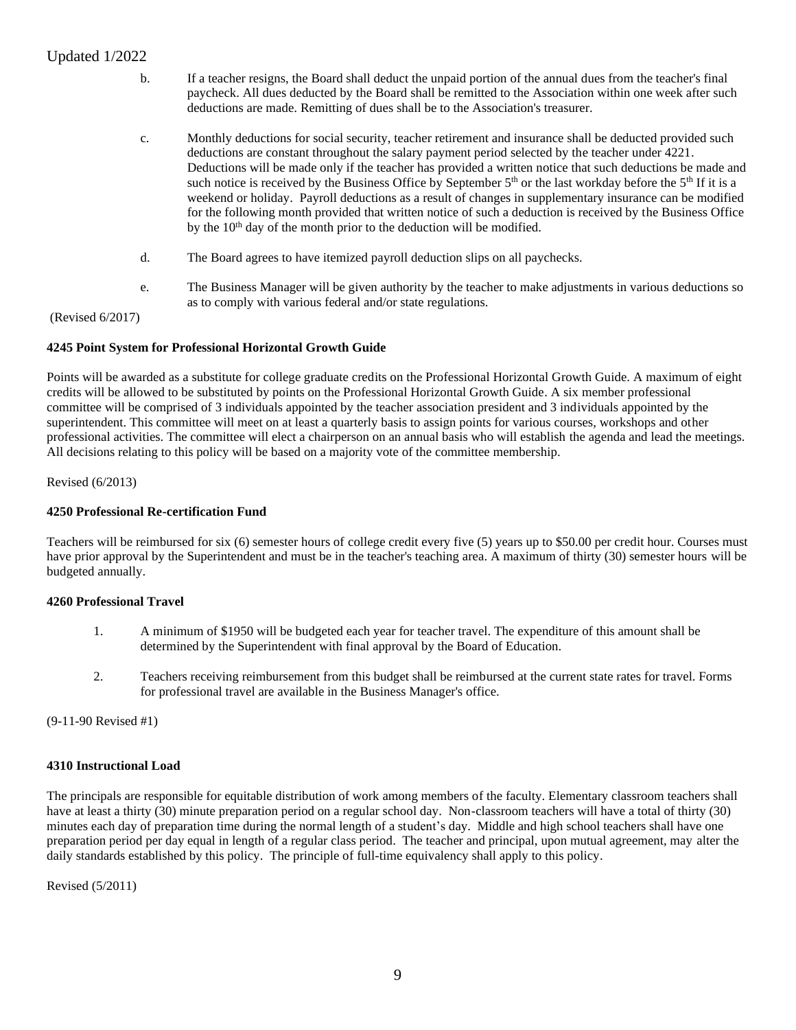- b. If a teacher resigns, the Board shall deduct the unpaid portion of the annual dues from the teacher's final paycheck. All dues deducted by the Board shall be remitted to the Association within one week after such deductions are made. Remitting of dues shall be to the Association's treasurer.
- c. Monthly deductions for social security, teacher retirement and insurance shall be deducted provided such deductions are constant throughout the salary payment period selected by the teacher under 4221. Deductions will be made only if the teacher has provided a written notice that such deductions be made and such notice is received by the Business Office by September  $5<sup>th</sup>$  or the last workday before the  $5<sup>th</sup>$  If it is a weekend or holiday. Payroll deductions as a result of changes in supplementary insurance can be modified for the following month provided that written notice of such a deduction is received by the Business Office by the  $10<sup>th</sup>$  day of the month prior to the deduction will be modified.
- d. The Board agrees to have itemized payroll deduction slips on all paychecks.
- e. The Business Manager will be given authority by the teacher to make adjustments in various deductions so as to comply with various federal and/or state regulations.

#### (Revised 6/2017)

# **4245 Point System for Professional Horizontal Growth Guide**

Points will be awarded as a substitute for college graduate credits on the Professional Horizontal Growth Guide. A maximum of eight credits will be allowed to be substituted by points on the Professional Horizontal Growth Guide. A six member professional committee will be comprised of 3 individuals appointed by the teacher association president and 3 individuals appointed by the superintendent. This committee will meet on at least a quarterly basis to assign points for various courses, workshops and other professional activities. The committee will elect a chairperson on an annual basis who will establish the agenda and lead the meetings. All decisions relating to this policy will be based on a majority vote of the committee membership.

Revised (6/2013)

#### **4250 Professional Re-certification Fund**

Teachers will be reimbursed for six (6) semester hours of college credit every five (5) years up to \$50.00 per credit hour. Courses must have prior approval by the Superintendent and must be in the teacher's teaching area. A maximum of thirty (30) semester hours will be budgeted annually.

# **4260 Professional Travel**

- 1. A minimum of \$1950 will be budgeted each year for teacher travel. The expenditure of this amount shall be determined by the Superintendent with final approval by the Board of Education.
- 2. Teachers receiving reimbursement from this budget shall be reimbursed at the current state rates for travel. Forms for professional travel are available in the Business Manager's office.

(9-11-90 Revised #1)

#### **4310 Instructional Load**

The principals are responsible for equitable distribution of work among members of the faculty. Elementary classroom teachers shall have at least a thirty (30) minute preparation period on a regular school day. Non-classroom teachers will have a total of thirty (30) minutes each day of preparation time during the normal length of a student's day. Middle and high school teachers shall have one preparation period per day equal in length of a regular class period. The teacher and principal, upon mutual agreement, may alter the daily standards established by this policy. The principle of full-time equivalency shall apply to this policy.

Revised (5/2011)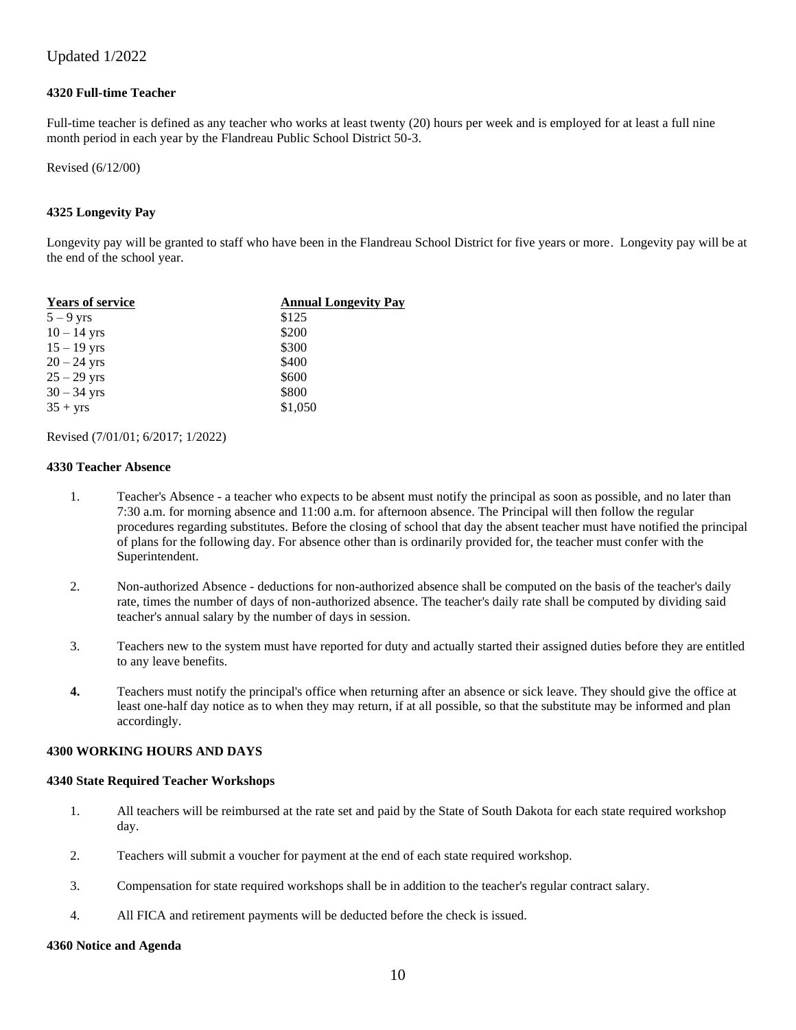### **4320 Full-time Teacher**

Full-time teacher is defined as any teacher who works at least twenty (20) hours per week and is employed for at least a full nine month period in each year by the Flandreau Public School District 50-3.

Revised (6/12/00)

#### **4325 Longevity Pay**

Longevity pay will be granted to staff who have been in the Flandreau School District for five years or more. Longevity pay will be at the end of the school year.

| <b>Years of service</b> | <b>Annual Longevity Pay</b> |
|-------------------------|-----------------------------|
| $5 - 9$ yrs             | \$125                       |
| $10 - 14$ yrs           | \$200                       |
| $15 - 19$ yrs           | \$300                       |
| $20 - 24$ yrs           | \$400                       |
| $25 - 29$ yrs           | \$600                       |
| $30 - 34$ yrs           | \$800                       |
| $35 + yrs$              | \$1,050                     |
|                         |                             |

Revised (7/01/01; 6/2017; 1/2022)

#### **4330 Teacher Absence**

- 1. Teacher's Absence a teacher who expects to be absent must notify the principal as soon as possible, and no later than 7:30 a.m. for morning absence and 11:00 a.m. for afternoon absence. The Principal will then follow the regular procedures regarding substitutes. Before the closing of school that day the absent teacher must have notified the principal of plans for the following day. For absence other than is ordinarily provided for, the teacher must confer with the Superintendent.
- 2. Non-authorized Absence deductions for non-authorized absence shall be computed on the basis of the teacher's daily rate, times the number of days of non-authorized absence. The teacher's daily rate shall be computed by dividing said teacher's annual salary by the number of days in session.
- 3. Teachers new to the system must have reported for duty and actually started their assigned duties before they are entitled to any leave benefits.
- **4.** Teachers must notify the principal's office when returning after an absence or sick leave. They should give the office at least one-half day notice as to when they may return, if at all possible, so that the substitute may be informed and plan accordingly.

#### **4300 WORKING HOURS AND DAYS**

#### **4340 State Required Teacher Workshops**

- 1. All teachers will be reimbursed at the rate set and paid by the State of South Dakota for each state required workshop day.
- 2. Teachers will submit a voucher for payment at the end of each state required workshop.
- 3. Compensation for state required workshops shall be in addition to the teacher's regular contract salary.
- 4. All FICA and retirement payments will be deducted before the check is issued.

#### **4360 Notice and Agenda**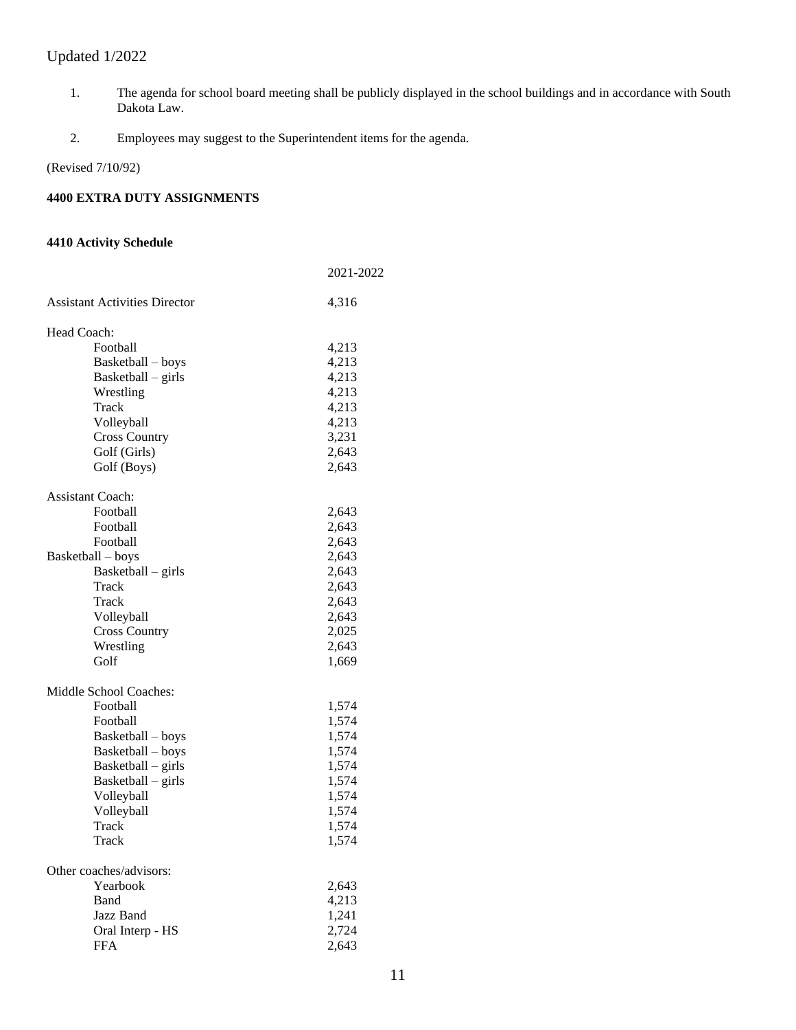- 1. The agenda for school board meeting shall be publicly displayed in the school buildings and in accordance with South Dakota Law.
- 2. Employees may suggest to the Superintendent items for the agenda.

(Revised 7/10/92)

# **4400 EXTRA DUTY ASSIGNMENTS**

# **4410 Activity Schedule**

|                                      | 2021-2022 |
|--------------------------------------|-----------|
| <b>Assistant Activities Director</b> | 4,316     |
| Head Coach:                          |           |
| Football                             | 4,213     |
| Basketball - boys                    | 4,213     |
| Basketball – girls                   | 4,213     |
| Wrestling                            | 4,213     |
| Track                                | 4,213     |
| Volleyball                           | 4,213     |
| <b>Cross Country</b>                 | 3,231     |
| Golf (Girls)                         | 2,643     |
| Golf (Boys)                          | 2,643     |
| <b>Assistant Coach:</b>              |           |
| Football                             | 2,643     |
| Football                             | 2,643     |
| Football                             | 2,643     |
| Basketball – boys                    | 2,643     |
| Basketball – girls                   | 2,643     |
| Track                                | 2,643     |
| Track                                | 2,643     |
| Volleyball                           | 2,643     |
| <b>Cross Country</b>                 | 2,025     |
| Wrestling                            | 2,643     |
| Golf                                 | 1,669     |
| Middle School Coaches:               |           |
| Football                             | 1,574     |
| Football                             | 1,574     |
| Basketball – boys                    | 1,574     |
| Basketball – boys                    | 1,574     |
| Basketball – girls                   | 1,574     |
| Basketball – girls                   | 1,574     |
| Volleyball                           | 1,574     |
| Volleyball                           | 1,574     |
| Track                                | 1,574     |
| <b>Track</b>                         | 1,574     |
| Other coaches/advisors:              |           |
| Yearbook                             | 2,643     |
| Band                                 | 4,213     |
| Jazz Band                            | 1,241     |
| Oral Interp - HS                     | 2,724     |
| <b>FFA</b>                           | 2,643     |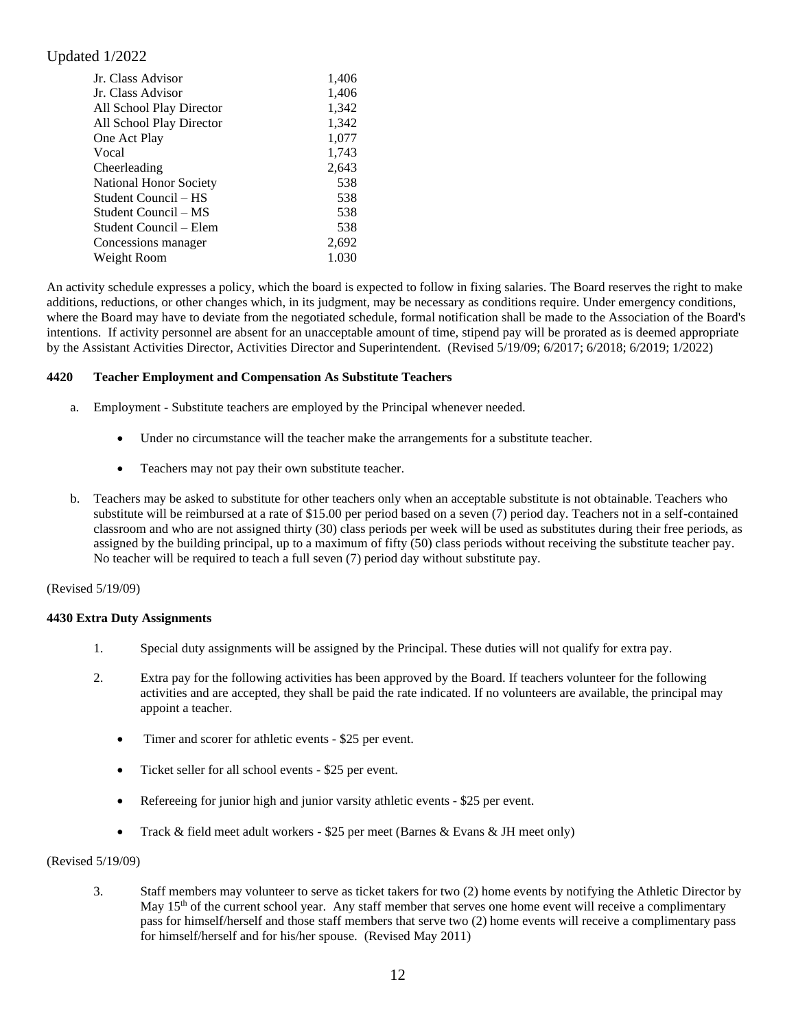| Jr. Class Advisor             | 1,406 |  |
|-------------------------------|-------|--|
| Jr. Class Advisor             | 1,406 |  |
| All School Play Director      | 1,342 |  |
| All School Play Director      | 1,342 |  |
| One Act Play                  | 1,077 |  |
| Vocal                         | 1,743 |  |
| Cheerleading                  | 2,643 |  |
| <b>National Honor Society</b> | 538   |  |
| Student Council – HS          | 538   |  |
| Student Council – MS          | 538   |  |
| Student Council – Elem        | 538   |  |
| Concessions manager           | 2,692 |  |
| Weight Room                   | 1.030 |  |
|                               |       |  |

An activity schedule expresses a policy, which the board is expected to follow in fixing salaries. The Board reserves the right to make additions, reductions, or other changes which, in its judgment, may be necessary as conditions require. Under emergency conditions, where the Board may have to deviate from the negotiated schedule, formal notification shall be made to the Association of the Board's intentions. If activity personnel are absent for an unacceptable amount of time, stipend pay will be prorated as is deemed appropriate by the Assistant Activities Director, Activities Director and Superintendent. (Revised 5/19/09; 6/2017; 6/2018; 6/2019; 1/2022)

# **4420 Teacher Employment and Compensation As Substitute Teachers**

- a. Employment Substitute teachers are employed by the Principal whenever needed.
	- Under no circumstance will the teacher make the arrangements for a substitute teacher.
	- Teachers may not pay their own substitute teacher.
- b. Teachers may be asked to substitute for other teachers only when an acceptable substitute is not obtainable. Teachers who substitute will be reimbursed at a rate of \$15.00 per period based on a seven (7) period day. Teachers not in a self-contained classroom and who are not assigned thirty (30) class periods per week will be used as substitutes during their free periods, as assigned by the building principal, up to a maximum of fifty (50) class periods without receiving the substitute teacher pay. No teacher will be required to teach a full seven (7) period day without substitute pay.

#### (Revised 5/19/09)

#### **4430 Extra Duty Assignments**

- 1. Special duty assignments will be assigned by the Principal. These duties will not qualify for extra pay.
- 2. Extra pay for the following activities has been approved by the Board. If teachers volunteer for the following activities and are accepted, they shall be paid the rate indicated. If no volunteers are available, the principal may appoint a teacher.
	- Timer and scorer for athletic events \$25 per event.
	- Ticket seller for all school events \$25 per event.
	- Refereeing for junior high and junior varsity athletic events \$25 per event.
	- Track & field meet adult workers \$25 per meet (Barnes & Evans & JH meet only)

#### (Revised 5/19/09)

3. Staff members may volunteer to serve as ticket takers for two (2) home events by notifying the Athletic Director by May 15<sup>th</sup> of the current school year. Any staff member that serves one home event will receive a complimentary pass for himself/herself and those staff members that serve two (2) home events will receive a complimentary pass for himself/herself and for his/her spouse. (Revised May 2011)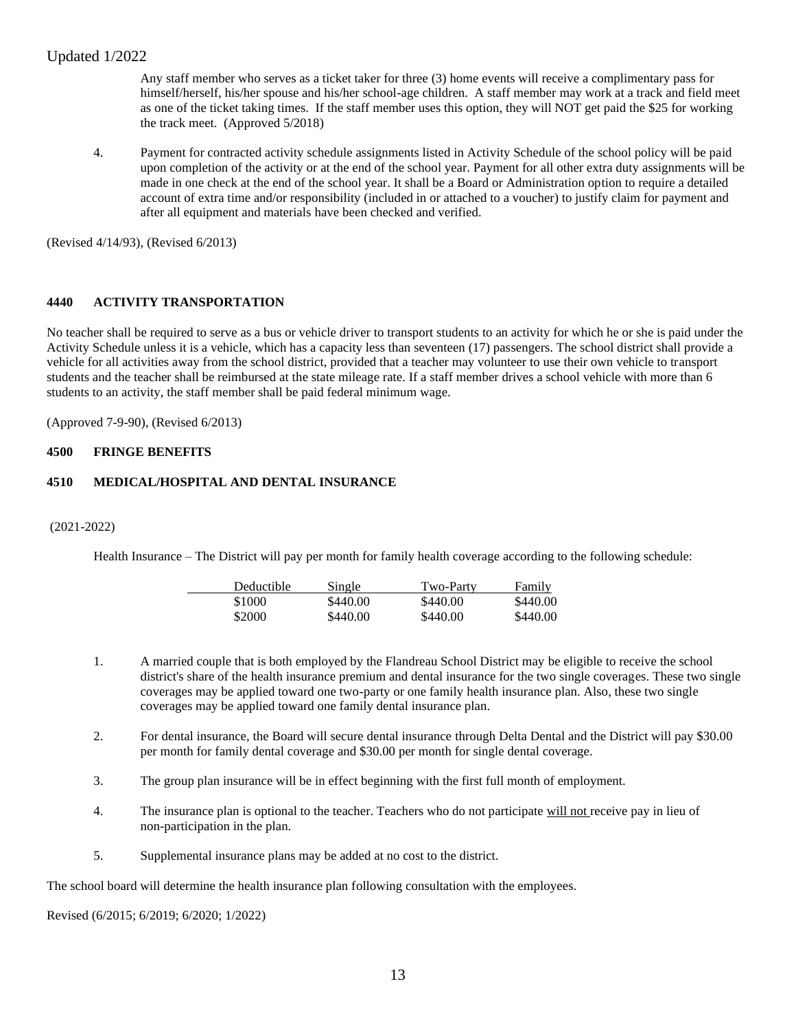Any staff member who serves as a ticket taker for three (3) home events will receive a complimentary pass for himself/herself, his/her spouse and his/her school-age children. A staff member may work at a track and field meet as one of the ticket taking times. If the staff member uses this option, they will NOT get paid the \$25 for working the track meet. (Approved 5/2018)

4. Payment for contracted activity schedule assignments listed in Activity Schedule of the school policy will be paid upon completion of the activity or at the end of the school year. Payment for all other extra duty assignments will be made in one check at the end of the school year. It shall be a Board or Administration option to require a detailed account of extra time and/or responsibility (included in or attached to a voucher) to justify claim for payment and after all equipment and materials have been checked and verified.

(Revised 4/14/93), (Revised 6/2013)

# **4440 ACTIVITY TRANSPORTATION**

No teacher shall be required to serve as a bus or vehicle driver to transport students to an activity for which he or she is paid under the Activity Schedule unless it is a vehicle, which has a capacity less than seventeen (17) passengers. The school district shall provide a vehicle for all activities away from the school district, provided that a teacher may volunteer to use their own vehicle to transport students and the teacher shall be reimbursed at the state mileage rate. If a staff member drives a school vehicle with more than 6 students to an activity, the staff member shall be paid federal minimum wage.

(Approved 7-9-90), (Revised 6/2013)

# **4500 FRINGE BENEFITS**

# **4510 MEDICAL/HOSPITAL AND DENTAL INSURANCE**

# (2021-2022)

Health Insurance – The District will pay per month for family health coverage according to the following schedule:

| Deductible | Single   | Two-Party | Family   |
|------------|----------|-----------|----------|
| \$1000     | \$440.00 | \$440.00  | \$440.00 |
| \$2000     | \$440.00 | \$440.00  | \$440.00 |

- 1. A married couple that is both employed by the Flandreau School District may be eligible to receive the school district's share of the health insurance premium and dental insurance for the two single coverages. These two single coverages may be applied toward one two-party or one family health insurance plan. Also, these two single coverages may be applied toward one family dental insurance plan.
- 2. For dental insurance, the Board will secure dental insurance through Delta Dental and the District will pay \$30.00 per month for family dental coverage and \$30.00 per month for single dental coverage.
- 3. The group plan insurance will be in effect beginning with the first full month of employment.
- 4. The insurance plan is optional to the teacher. Teachers who do not participate will not receive pay in lieu of non-participation in the plan.
- 5. Supplemental insurance plans may be added at no cost to the district.

The school board will determine the health insurance plan following consultation with the employees.

Revised (6/2015; 6/2019; 6/2020; 1/2022)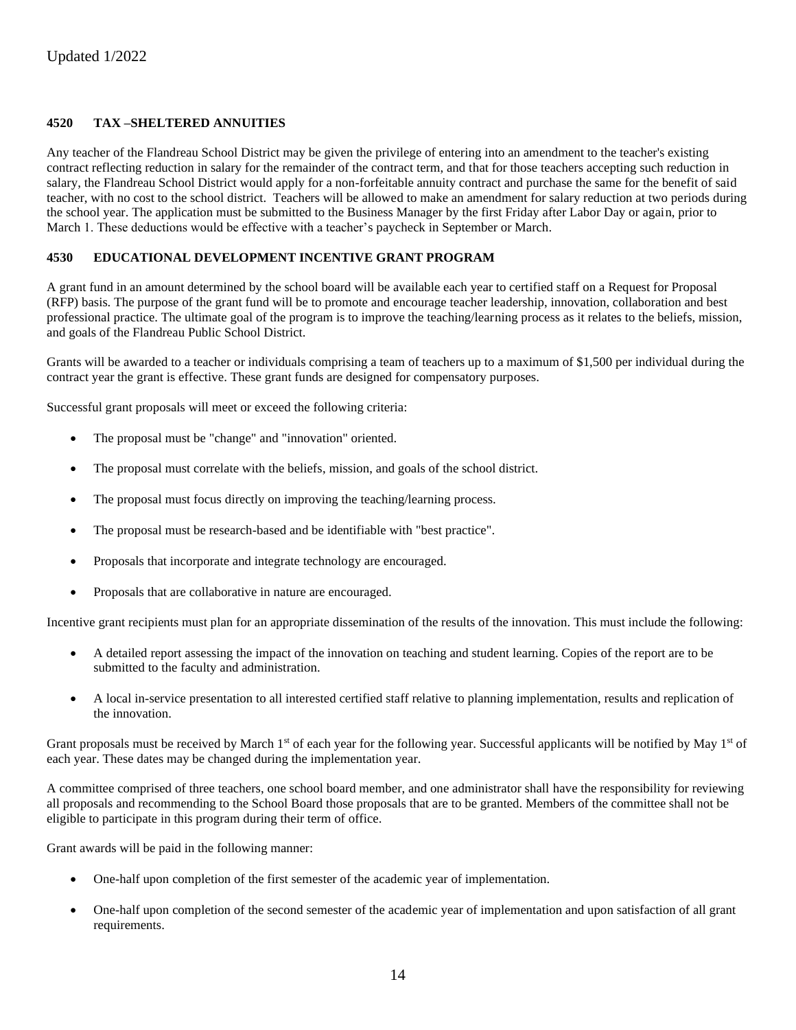# **4520 TAX –SHELTERED ANNUITIES**

Any teacher of the Flandreau School District may be given the privilege of entering into an amendment to the teacher's existing contract reflecting reduction in salary for the remainder of the contract term, and that for those teachers accepting such reduction in salary, the Flandreau School District would apply for a non-forfeitable annuity contract and purchase the same for the benefit of said teacher, with no cost to the school district. Teachers will be allowed to make an amendment for salary reduction at two periods during the school year. The application must be submitted to the Business Manager by the first Friday after Labor Day or again, prior to March 1. These deductions would be effective with a teacher's paycheck in September or March.

# **4530 EDUCATIONAL DEVELOPMENT INCENTIVE GRANT PROGRAM**

A grant fund in an amount determined by the school board will be available each year to certified staff on a Request for Proposal (RFP) basis. The purpose of the grant fund will be to promote and encourage teacher leadership, innovation, collaboration and best professional practice. The ultimate goal of the program is to improve the teaching/learning process as it relates to the beliefs, mission, and goals of the Flandreau Public School District.

Grants will be awarded to a teacher or individuals comprising a team of teachers up to a maximum of \$1,500 per individual during the contract year the grant is effective. These grant funds are designed for compensatory purposes.

Successful grant proposals will meet or exceed the following criteria:

- The proposal must be "change" and "innovation" oriented.
- The proposal must correlate with the beliefs, mission, and goals of the school district.
- The proposal must focus directly on improving the teaching/learning process.
- The proposal must be research-based and be identifiable with "best practice".
- Proposals that incorporate and integrate technology are encouraged.
- Proposals that are collaborative in nature are encouraged.

Incentive grant recipients must plan for an appropriate dissemination of the results of the innovation. This must include the following:

- A detailed report assessing the impact of the innovation on teaching and student learning. Copies of the report are to be submitted to the faculty and administration.
- A local in-service presentation to all interested certified staff relative to planning implementation, results and replication of the innovation.

Grant proposals must be received by March 1<sup>st</sup> of each year for the following year. Successful applicants will be notified by May 1<sup>st</sup> of each year. These dates may be changed during the implementation year.

A committee comprised of three teachers, one school board member, and one administrator shall have the responsibility for reviewing all proposals and recommending to the School Board those proposals that are to be granted. Members of the committee shall not be eligible to participate in this program during their term of office.

Grant awards will be paid in the following manner:

- One-half upon completion of the first semester of the academic year of implementation.
- One-half upon completion of the second semester of the academic year of implementation and upon satisfaction of all grant requirements.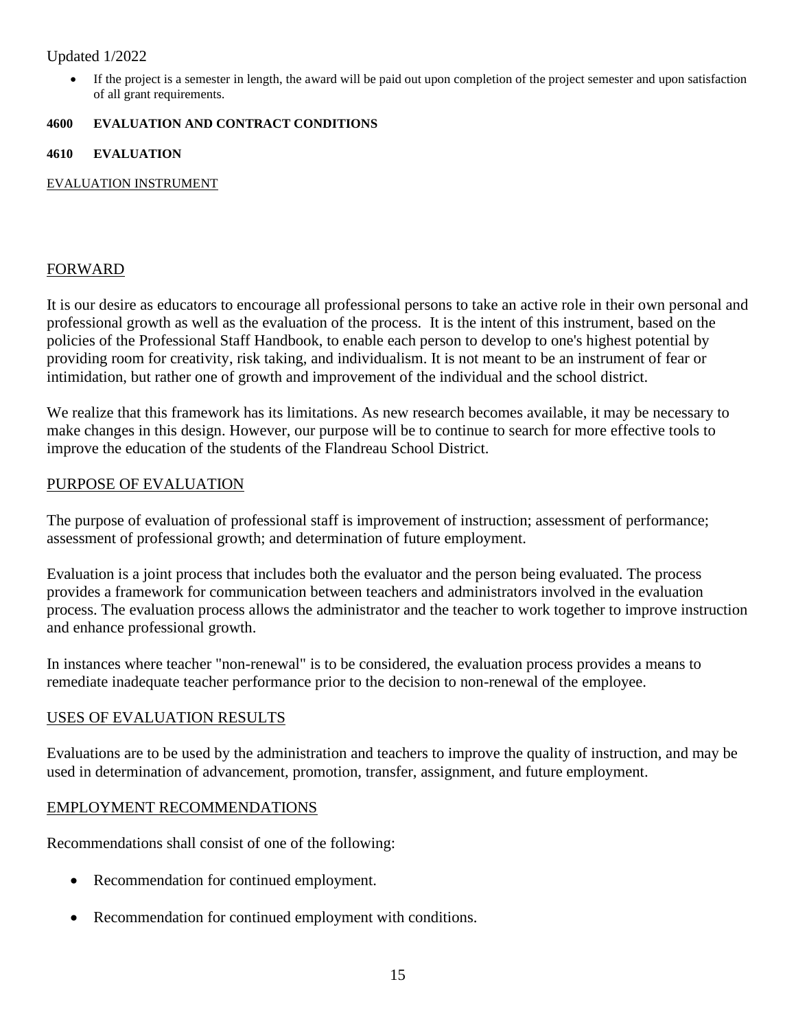If the project is a semester in length, the award will be paid out upon completion of the project semester and upon satisfaction of all grant requirements.

# **4600 EVALUATION AND CONTRACT CONDITIONS**

# **4610 EVALUATION**

# EVALUATION INSTRUMENT

# FORWARD

It is our desire as educators to encourage all professional persons to take an active role in their own personal and professional growth as well as the evaluation of the process. It is the intent of this instrument, based on the policies of the Professional Staff Handbook, to enable each person to develop to one's highest potential by providing room for creativity, risk taking, and individualism. It is not meant to be an instrument of fear or intimidation, but rather one of growth and improvement of the individual and the school district.

We realize that this framework has its limitations. As new research becomes available, it may be necessary to make changes in this design. However, our purpose will be to continue to search for more effective tools to improve the education of the students of the Flandreau School District.

# PURPOSE OF EVALUATION

The purpose of evaluation of professional staff is improvement of instruction; assessment of performance; assessment of professional growth; and determination of future employment.

Evaluation is a joint process that includes both the evaluator and the person being evaluated. The process provides a framework for communication between teachers and administrators involved in the evaluation process. The evaluation process allows the administrator and the teacher to work together to improve instruction and enhance professional growth.

In instances where teacher "non-renewal" is to be considered, the evaluation process provides a means to remediate inadequate teacher performance prior to the decision to non-renewal of the employee.

# USES OF EVALUATION RESULTS

Evaluations are to be used by the administration and teachers to improve the quality of instruction, and may be used in determination of advancement, promotion, transfer, assignment, and future employment.

# EMPLOYMENT RECOMMENDATIONS

Recommendations shall consist of one of the following:

- Recommendation for continued employment.
- Recommendation for continued employment with conditions.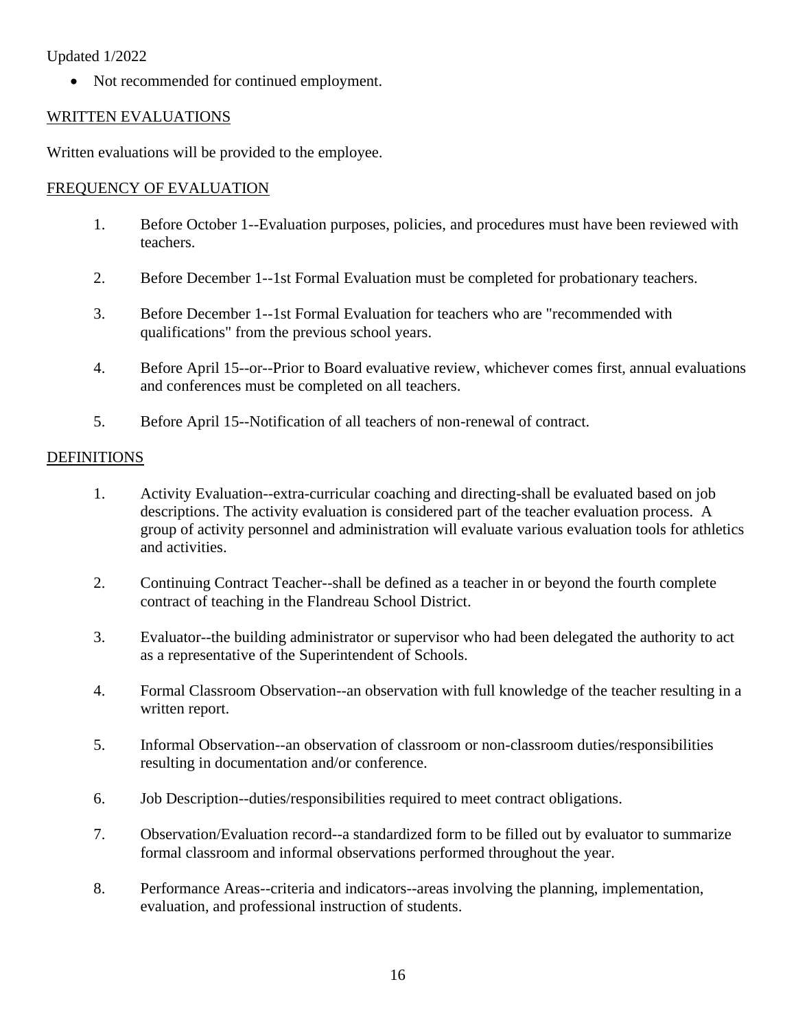• Not recommended for continued employment.

# WRITTEN EVALUATIONS

Written evaluations will be provided to the employee.

# FREQUENCY OF EVALUATION

- 1. Before October 1--Evaluation purposes, policies, and procedures must have been reviewed with teachers.
- 2. Before December 1--1st Formal Evaluation must be completed for probationary teachers.
- 3. Before December 1--1st Formal Evaluation for teachers who are "recommended with qualifications" from the previous school years.
- 4. Before April 15--or--Prior to Board evaluative review, whichever comes first, annual evaluations and conferences must be completed on all teachers.
- 5. Before April 15--Notification of all teachers of non-renewal of contract.

# DEFINITIONS

- 1. Activity Evaluation--extra-curricular coaching and directing-shall be evaluated based on job descriptions. The activity evaluation is considered part of the teacher evaluation process. A group of activity personnel and administration will evaluate various evaluation tools for athletics and activities.
- 2. Continuing Contract Teacher--shall be defined as a teacher in or beyond the fourth complete contract of teaching in the Flandreau School District.
- 3. Evaluator--the building administrator or supervisor who had been delegated the authority to act as a representative of the Superintendent of Schools.
- 4. Formal Classroom Observation--an observation with full knowledge of the teacher resulting in a written report.
- 5. Informal Observation--an observation of classroom or non-classroom duties/responsibilities resulting in documentation and/or conference.
- 6. Job Description--duties/responsibilities required to meet contract obligations.
- 7. Observation/Evaluation record--a standardized form to be filled out by evaluator to summarize formal classroom and informal observations performed throughout the year.
- 8. Performance Areas--criteria and indicators--areas involving the planning, implementation, evaluation, and professional instruction of students.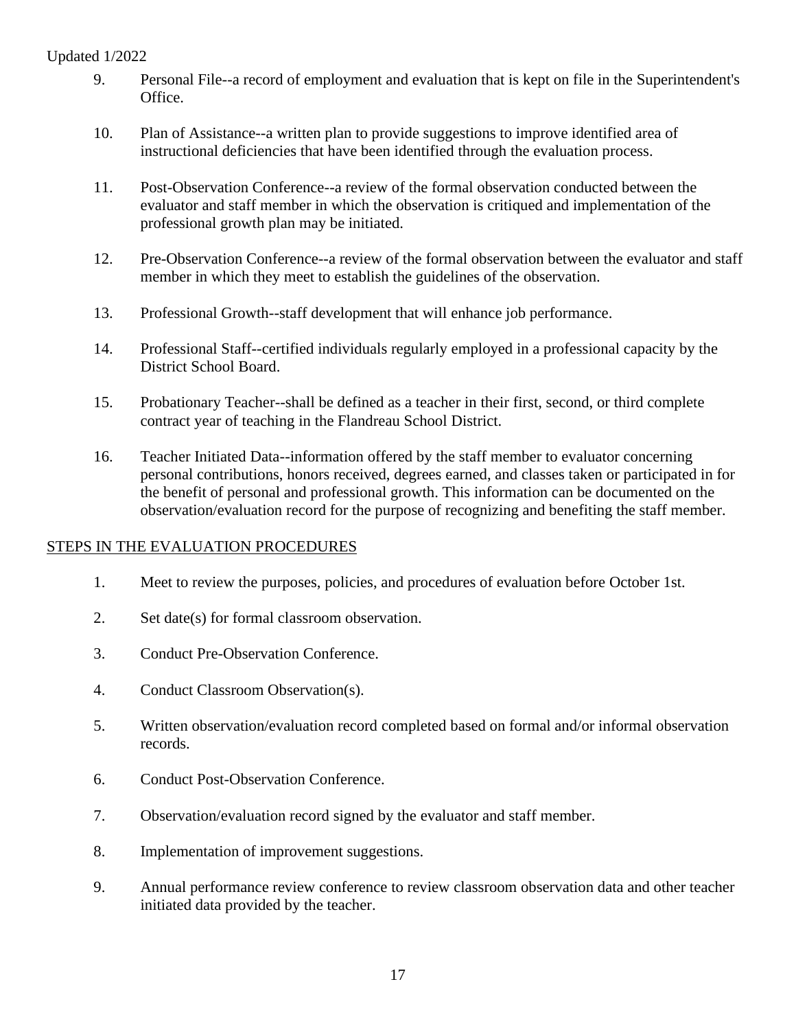- 9. Personal File--a record of employment and evaluation that is kept on file in the Superintendent's Office.
- 10. Plan of Assistance--a written plan to provide suggestions to improve identified area of instructional deficiencies that have been identified through the evaluation process.
- 11. Post-Observation Conference--a review of the formal observation conducted between the evaluator and staff member in which the observation is critiqued and implementation of the professional growth plan may be initiated.
- 12. Pre-Observation Conference--a review of the formal observation between the evaluator and staff member in which they meet to establish the guidelines of the observation.
- 13. Professional Growth--staff development that will enhance job performance.
- 14. Professional Staff--certified individuals regularly employed in a professional capacity by the District School Board.
- 15. Probationary Teacher--shall be defined as a teacher in their first, second, or third complete contract year of teaching in the Flandreau School District.
- 16. Teacher Initiated Data--information offered by the staff member to evaluator concerning personal contributions, honors received, degrees earned, and classes taken or participated in for the benefit of personal and professional growth. This information can be documented on the observation/evaluation record for the purpose of recognizing and benefiting the staff member.

# STEPS IN THE EVALUATION PROCEDURES

- 1. Meet to review the purposes, policies, and procedures of evaluation before October 1st.
- 2. Set date(s) for formal classroom observation.
- 3. Conduct Pre-Observation Conference.
- 4. Conduct Classroom Observation(s).
- 5. Written observation/evaluation record completed based on formal and/or informal observation records.
- 6. Conduct Post-Observation Conference.
- 7. Observation/evaluation record signed by the evaluator and staff member.
- 8. Implementation of improvement suggestions.
- 9. Annual performance review conference to review classroom observation data and other teacher initiated data provided by the teacher.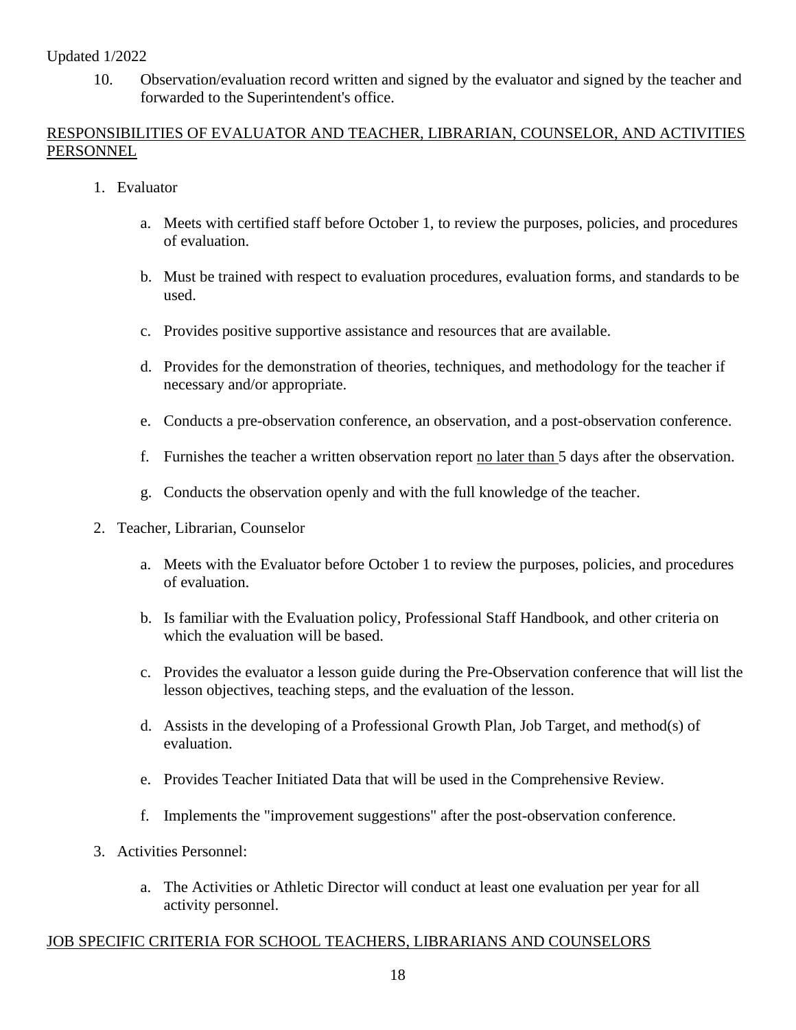10. Observation/evaluation record written and signed by the evaluator and signed by the teacher and forwarded to the Superintendent's office.

# RESPONSIBILITIES OF EVALUATOR AND TEACHER, LIBRARIAN, COUNSELOR, AND ACTIVITIES PERSONNEL

- 1. Evaluator
	- a. Meets with certified staff before October 1, to review the purposes, policies, and procedures of evaluation.
	- b. Must be trained with respect to evaluation procedures, evaluation forms, and standards to be used.
	- c. Provides positive supportive assistance and resources that are available.
	- d. Provides for the demonstration of theories, techniques, and methodology for the teacher if necessary and/or appropriate.
	- e. Conducts a pre-observation conference, an observation, and a post-observation conference.
	- f. Furnishes the teacher a written observation report no later than 5 days after the observation.
	- g. Conducts the observation openly and with the full knowledge of the teacher.
- 2. Teacher, Librarian, Counselor
	- a. Meets with the Evaluator before October 1 to review the purposes, policies, and procedures of evaluation.
	- b. Is familiar with the Evaluation policy, Professional Staff Handbook, and other criteria on which the evaluation will be based.
	- c. Provides the evaluator a lesson guide during the Pre-Observation conference that will list the lesson objectives, teaching steps, and the evaluation of the lesson.
	- d. Assists in the developing of a Professional Growth Plan, Job Target, and method(s) of evaluation.
	- e. Provides Teacher Initiated Data that will be used in the Comprehensive Review.
	- f. Implements the "improvement suggestions" after the post-observation conference.
- 3. Activities Personnel:
	- a. The Activities or Athletic Director will conduct at least one evaluation per year for all activity personnel.

# JOB SPECIFIC CRITERIA FOR SCHOOL TEACHERS, LIBRARIANS AND COUNSELORS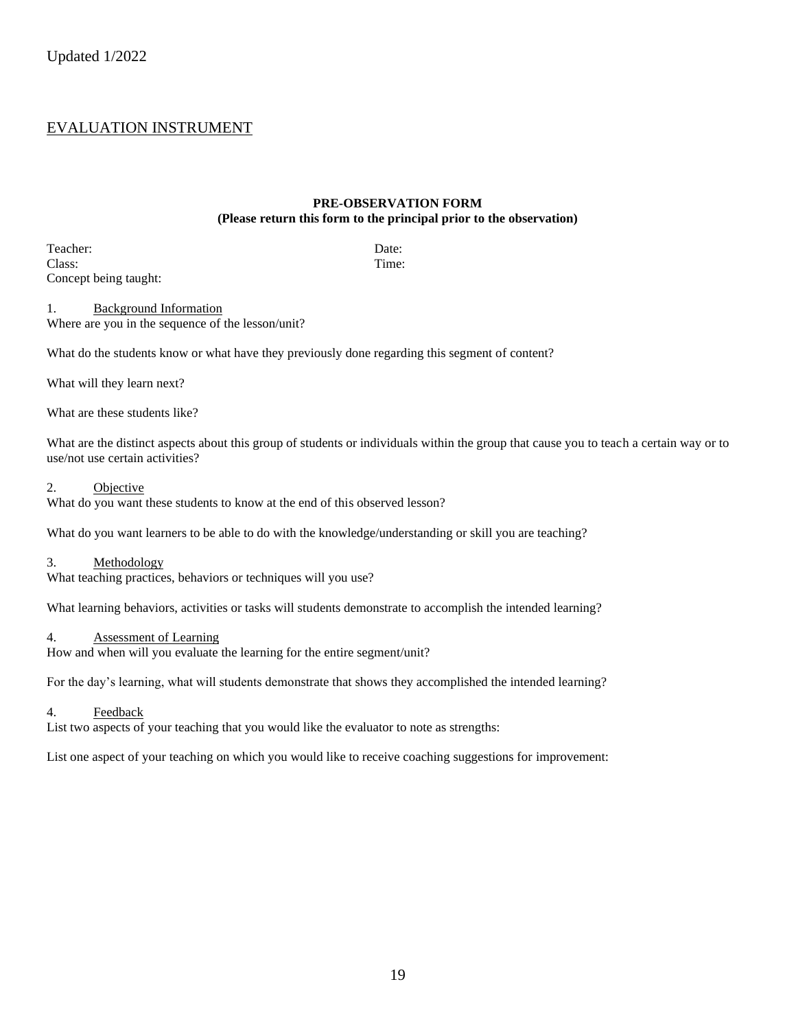# EVALUATION INSTRUMENT

# **PRE-OBSERVATION FORM (Please return this form to the principal prior to the observation)**

Teacher: Date: Class: Time: Concept being taught:

1. Background Information Where are you in the sequence of the lesson/unit?

What do the students know or what have they previously done regarding this segment of content?

What will they learn next?

What are these students like?

What are the distinct aspects about this group of students or individuals within the group that cause you to teach a certain way or to use/not use certain activities?

#### 2. Objective

What do you want these students to know at the end of this observed lesson?

What do you want learners to be able to do with the knowledge/understanding or skill you are teaching?

#### 3. Methodology

What teaching practices, behaviors or techniques will you use?

What learning behaviors, activities or tasks will students demonstrate to accomplish the intended learning?

#### 4. Assessment of Learning

How and when will you evaluate the learning for the entire segment/unit?

For the day's learning, what will students demonstrate that shows they accomplished the intended learning?

#### 4. Feedback

List two aspects of your teaching that you would like the evaluator to note as strengths:

List one aspect of your teaching on which you would like to receive coaching suggestions for improvement: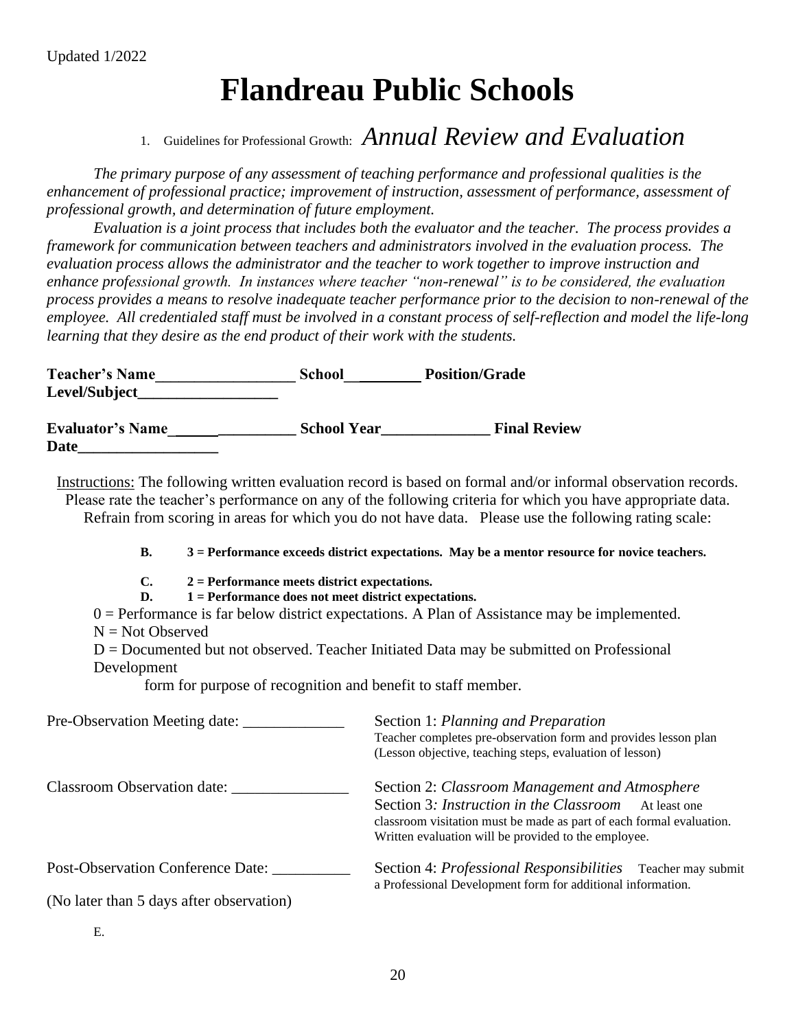# **Flandreau Public Schools**

# 1. Guidelines for Professional Growth: *Annual Review and Evaluation*

*The primary purpose of any assessment of teaching performance and professional qualities is the enhancement of professional practice; improvement of instruction, assessment of performance, assessment of professional growth, and determination of future employment.* 

*Evaluation is a joint process that includes both the evaluator and the teacher. The process provides a framework for communication between teachers and administrators involved in the evaluation process. The evaluation process allows the administrator and the teacher to work together to improve instruction and enhance professional growth. In instances where teacher "non-renewal" is to be considered, the evaluation process provides a means to resolve inadequate teacher performance prior to the decision to non-renewal of the employee. All credentialed staff must be involved in a constant process of self-reflection and model the life-long learning that they desire as the end product of their work with the students.* 

| <b>Teacher's Name</b>   | <b>School</b>      | <b>Position/Grade</b> |
|-------------------------|--------------------|-----------------------|
| Level/Subject           |                    |                       |
| <b>Evaluator's Name</b> | <b>School Year</b> | <b>Final Review</b>   |
| <b>Date</b>             |                    |                       |

Instructions: The following written evaluation record is based on formal and/or informal observation records. Please rate the teacher's performance on any of the following criteria for which you have appropriate data. Refrain from scoring in areas for which you do not have data. Please use the following rating scale:

# **B. 3 = Performance exceeds district expectations. May be a mentor resource for novice teachers.**

- **C. 2 = Performance meets district expectations.**
- **D. 1 = Performance does not meet district expectations.**

 $0 =$  Performance is far below district expectations. A Plan of Assistance may be implemented.  $N = Not Observed$ 

D = Documented but not observed. Teacher Initiated Data may be submitted on Professional Development

form for purpose of recognition and benefit to staff member.

| Pre-Observation Meeting date:            | Section 1: Planning and Preparation<br>Teacher completes pre-observation form and provides lesson plan<br>(Lesson objective, teaching steps, evaluation of lesson)                                                                        |  |  |
|------------------------------------------|-------------------------------------------------------------------------------------------------------------------------------------------------------------------------------------------------------------------------------------------|--|--|
| <b>Classroom Observation date:</b>       | Section 2: Classroom Management and Atmosphere<br>Section 3: Instruction in the Classroom<br>At least one<br>classroom visitation must be made as part of each formal evaluation.<br>Written evaluation will be provided to the employee. |  |  |
| <b>Post-Observation Conference Date:</b> | Section 4: <i>Professional Responsibilities</i> Teacher may submit<br>a Professional Development form for additional information.                                                                                                         |  |  |
| (No later than 5 days after observation) |                                                                                                                                                                                                                                           |  |  |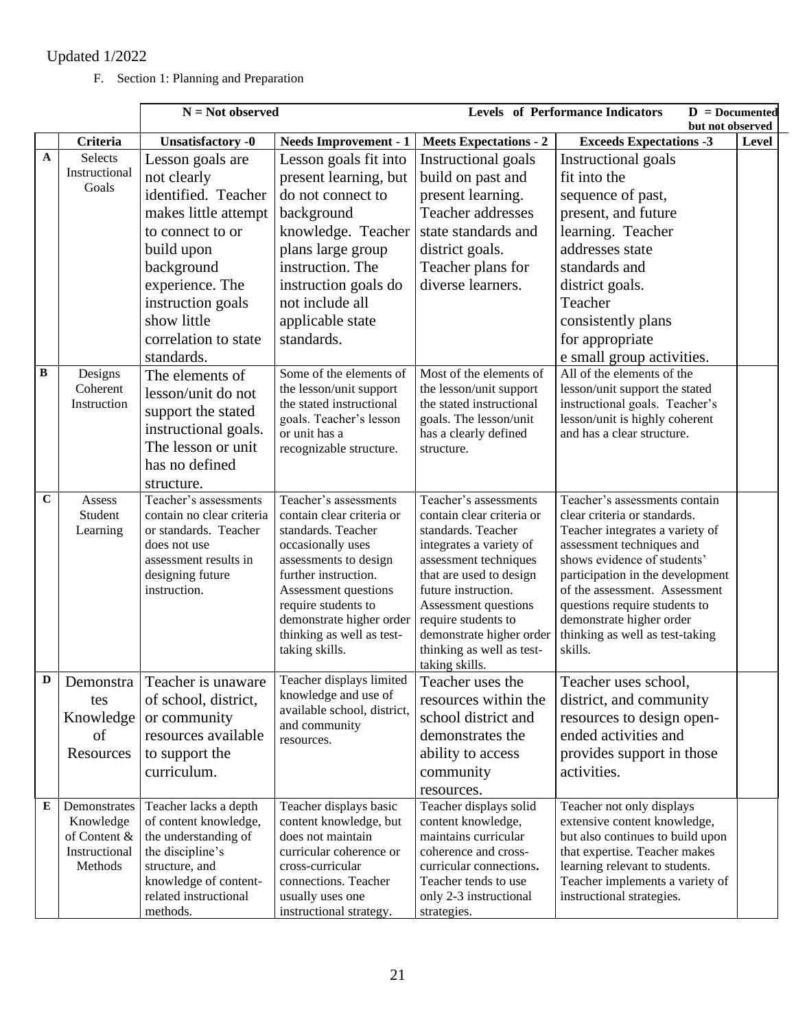F. Section 1: Planning and Preparation

|              |                     | $N = Not observed$                                 |                                                     | Levels of Performance Indicators<br>$D = Doc$      |                                                                   |       |
|--------------|---------------------|----------------------------------------------------|-----------------------------------------------------|----------------------------------------------------|-------------------------------------------------------------------|-------|
|              | Criteria            | <b>Unsatisfactory -0</b>                           | <b>Needs Improvement - 1</b>                        | <b>Meets Expectations - 2</b>                      | but not observed<br><b>Exceeds Expectations -3</b>                | Level |
| $\mathbf{A}$ | Selects             | Lesson goals are                                   | Lesson goals fit into                               | Instructional goals                                | Instructional goals                                               |       |
|              | Instructional       | not clearly                                        | present learning, but                               | build on past and                                  | fit into the                                                      |       |
|              | Goals               | identified. Teacher                                | do not connect to                                   | present learning.                                  | sequence of past,                                                 |       |
|              |                     | makes little attempt                               | background                                          | Teacher addresses                                  | present, and future                                               |       |
|              |                     | to connect to or                                   | knowledge. Teacher                                  | state standards and                                | learning. Teacher                                                 |       |
|              |                     | build upon                                         | plans large group                                   | district goals.                                    | addresses state                                                   |       |
|              |                     | background                                         | instruction. The                                    | Teacher plans for                                  | standards and                                                     |       |
|              |                     | experience. The                                    | instruction goals do                                | diverse learners.                                  | district goals.                                                   |       |
|              |                     | instruction goals                                  | not include all                                     |                                                    | Teacher                                                           |       |
|              |                     | show little                                        | applicable state                                    |                                                    | consistently plans                                                |       |
|              |                     | correlation to state                               | standards.                                          |                                                    | for appropriate                                                   |       |
|              |                     | standards.                                         |                                                     |                                                    | e small group activities.                                         |       |
| B            | Designs             | The elements of                                    | Some of the elements of                             | Most of the elements of                            | All of the elements of the                                        |       |
|              | Coherent            | lesson/unit do not                                 | the lesson/unit support                             | the lesson/unit support                            | lesson/unit support the stated                                    |       |
|              | Instruction         | support the stated                                 | the stated instructional<br>goals. Teacher's lesson | the stated instructional<br>goals. The lesson/unit | instructional goals. Teacher's<br>lesson/unit is highly coherent  |       |
|              |                     | instructional goals.                               | or unit has a                                       | has a clearly defined                              | and has a clear structure.                                        |       |
|              |                     | The lesson or unit                                 | recognizable structure.                             | structure.                                         |                                                                   |       |
|              |                     | has no defined                                     |                                                     |                                                    |                                                                   |       |
|              |                     | structure.                                         |                                                     |                                                    |                                                                   |       |
| $\mathbf C$  | Assess              | Teacher's assessments                              | Teacher's assessments                               | Teacher's assessments                              | Teacher's assessments contain                                     |       |
|              | Student<br>Learning | contain no clear criteria<br>or standards. Teacher | contain clear criteria or<br>standards. Teacher     | contain clear criteria or<br>standards. Teacher    | clear criteria or standards.<br>Teacher integrates a variety of   |       |
|              |                     | does not use                                       | occasionally uses                                   | integrates a variety of                            | assessment techniques and                                         |       |
|              |                     | assessment results in                              | assessments to design                               | assessment techniques                              | shows evidence of students'                                       |       |
|              |                     | designing future                                   | further instruction.                                | that are used to design                            | participation in the development                                  |       |
|              |                     | instruction.                                       | Assessment questions                                | future instruction.                                | of the assessment. Assessment                                     |       |
|              |                     |                                                    | require students to<br>demonstrate higher order     | Assessment questions<br>require students to        | questions require students to<br>demonstrate higher order         |       |
|              |                     |                                                    | thinking as well as test-                           | demonstrate higher order                           | thinking as well as test-taking                                   |       |
|              |                     |                                                    | taking skills.                                      | thinking as well as test-                          | skills.                                                           |       |
| D            |                     |                                                    |                                                     | taking skills.                                     |                                                                   |       |
|              | Demonstra           | Teacher is unaware                                 | Teacher displays limited<br>knowledge and use of    | Teacher uses the                                   | Teacher uses school,                                              |       |
|              | tes                 | of school, district,                               | available school, district,                         | resources within the                               | district, and community                                           |       |
|              | Knowledge           | or community                                       | and community                                       | school district and                                | resources to design open-                                         |       |
|              | of                  | resources available                                | resources.                                          | demonstrates the                                   | ended activities and                                              |       |
|              | Resources           | to support the                                     |                                                     | ability to access                                  | provides support in those                                         |       |
|              |                     | curriculum.                                        |                                                     | community                                          | activities.                                                       |       |
| E            | Demonstrates        | Teacher lacks a depth                              | Teacher displays basic                              | resources.<br>Teacher displays solid               | Teacher not only displays                                         |       |
|              | Knowledge           | of content knowledge,                              | content knowledge, but                              | content knowledge,                                 | extensive content knowledge,                                      |       |
|              | of Content &        | the understanding of                               | does not maintain                                   | maintains curricular                               | but also continues to build upon                                  |       |
|              | Instructional       | the discipline's                                   | curricular coherence or                             | coherence and cross-                               | that expertise. Teacher makes                                     |       |
|              | Methods             | structure, and<br>knowledge of content-            | cross-curricular<br>connections. Teacher            | curricular connections.<br>Teacher tends to use    | learning relevant to students.<br>Teacher implements a variety of |       |
|              |                     | related instructional                              | usually uses one                                    | only 2-3 instructional                             | instructional strategies.                                         |       |
|              |                     | methods.                                           | instructional strategy.                             | strategies.                                        |                                                                   |       |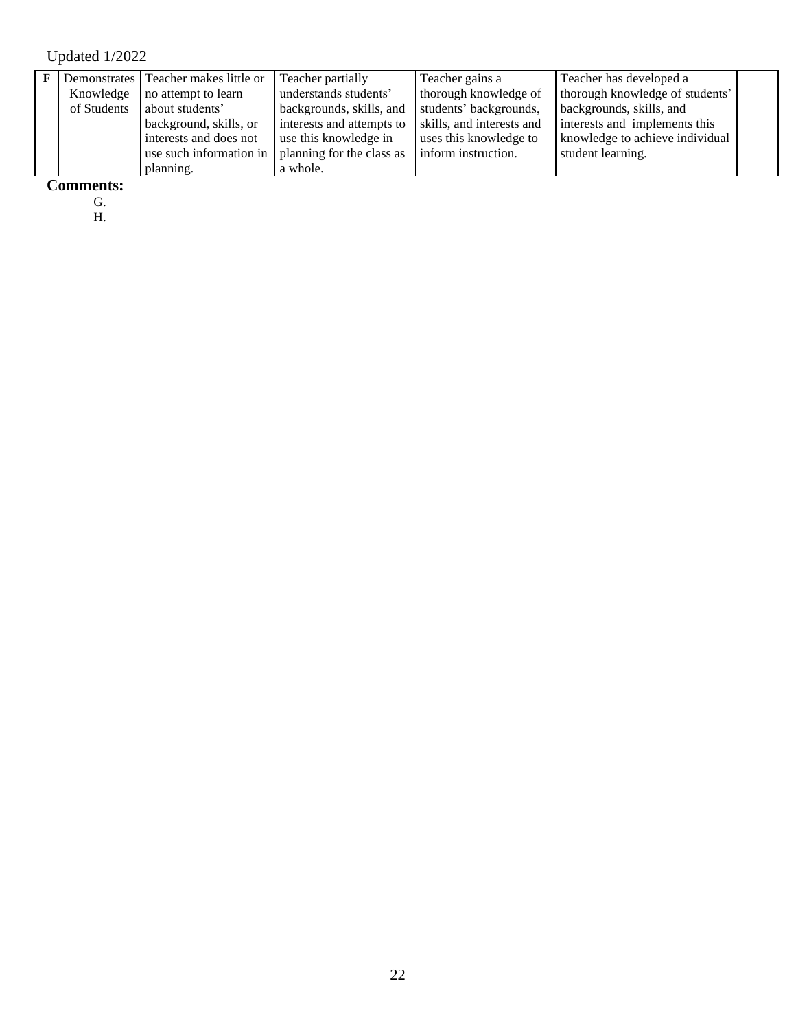|             | Demonstrates   Teacher makes little or | Teacher partially         | Teacher gains a           | Teacher has developed a         |  |
|-------------|----------------------------------------|---------------------------|---------------------------|---------------------------------|--|
| Knowledge   | no attempt to learn                    | understands students'     | thorough knowledge of     | thorough knowledge of students' |  |
| of Students | about students'                        | backgrounds, skills, and  | students' backgrounds,    | backgrounds, skills, and        |  |
|             | background, skills, or                 | interests and attempts to | skills, and interests and | interests and implements this   |  |
|             | interests and does not                 | use this knowledge in     | uses this knowledge to    | knowledge to achieve individual |  |
|             | use such information in                | planning for the class as | inform instruction.       | student learning.               |  |
|             | planning.                              | a whole.                  |                           |                                 |  |

**Comments:** 

G. H.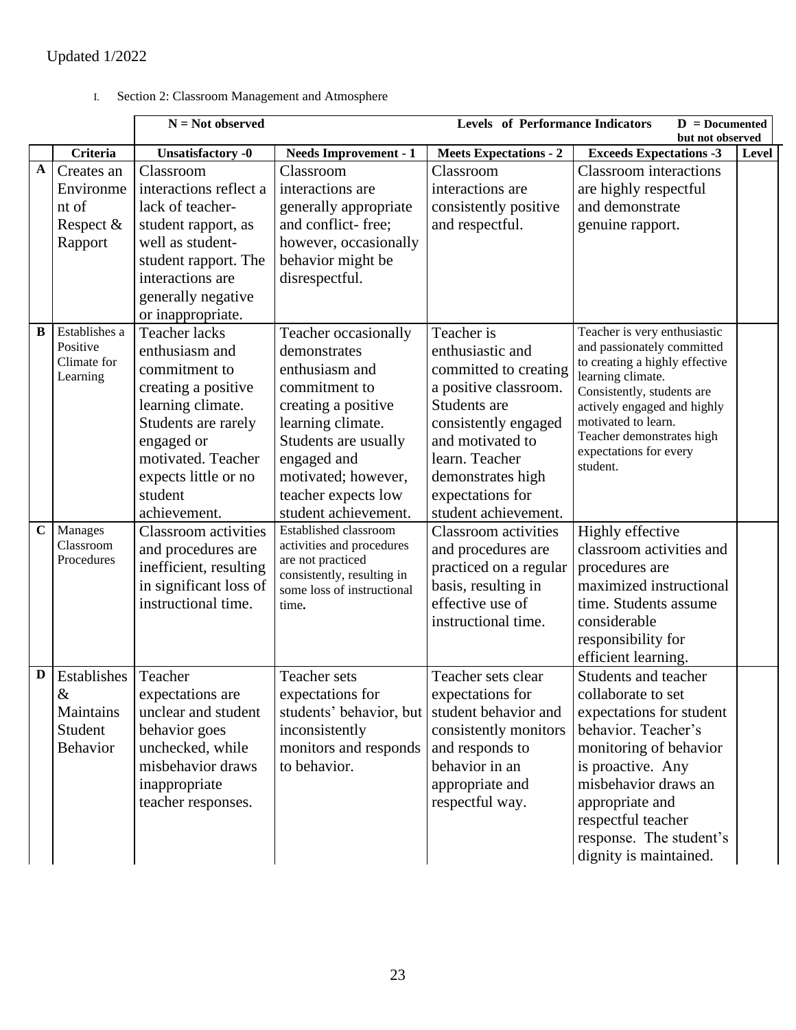I. Section 2: Classroom Management and Atmosphere

|             |                           | $N = Not observed$          |                                                          | <b>Levels</b> of Performance Indicators  | $D = Doc$<br>but not observed                                |       |
|-------------|---------------------------|-----------------------------|----------------------------------------------------------|------------------------------------------|--------------------------------------------------------------|-------|
|             | Criteria                  | <b>Unsatisfactory -0</b>    | <b>Needs Improvement - 1</b>                             | <b>Meets Expectations - 2</b>            | <b>Exceeds Expectations -3</b>                               | Level |
| $\mathbf A$ | Creates an                | Classroom                   | Classroom                                                | Classroom                                | <b>Classroom</b> interactions                                |       |
|             | Environme                 | interactions reflect a      | interactions are                                         | interactions are                         | are highly respectful                                        |       |
|             | nt of                     | lack of teacher-            | generally appropriate                                    | consistently positive                    | and demonstrate                                              |       |
|             | Respect &                 | student rapport, as         | and conflict-free;                                       | and respectful.                          | genuine rapport.                                             |       |
|             | Rapport                   | well as student-            | however, occasionally                                    |                                          |                                                              |       |
|             |                           | student rapport. The        | behavior might be                                        |                                          |                                                              |       |
|             |                           | interactions are            | disrespectful.                                           |                                          |                                                              |       |
|             |                           | generally negative          |                                                          |                                          |                                                              |       |
|             |                           | or inappropriate.           |                                                          |                                          |                                                              |       |
| B           | Establishes a<br>Positive | <b>Teacher lacks</b>        | Teacher occasionally                                     | Teacher is                               | Teacher is very enthusiastic                                 |       |
|             | Climate for               | enthusiasm and              | demonstrates                                             | enthusiastic and                         | and passionately committed<br>to creating a highly effective |       |
|             | Learning                  | commitment to               | enthusiasm and                                           | committed to creating                    | learning climate.                                            |       |
|             |                           | creating a positive         | commitment to                                            | a positive classroom.                    | Consistently, students are                                   |       |
|             |                           | learning climate.           | creating a positive                                      | Students are                             | actively engaged and highly                                  |       |
|             |                           | Students are rarely         | learning climate.                                        | consistently engaged                     | motivated to learn.<br>Teacher demonstrates high             |       |
|             |                           | engaged or                  | Students are usually                                     | and motivated to                         | expectations for every                                       |       |
|             |                           | motivated. Teacher          | engaged and                                              | learn. Teacher                           | student.                                                     |       |
|             |                           | expects little or no        | motivated; however,                                      | demonstrates high                        |                                                              |       |
|             |                           | student<br>achievement.     | teacher expects low<br>student achievement.              | expectations for<br>student achievement. |                                                              |       |
| $\mathbf C$ | Manages                   | <b>Classroom</b> activities | Established classroom                                    | Classroom activities                     |                                                              |       |
|             | Classroom                 | and procedures are          | activities and procedures                                | and procedures are                       | Highly effective<br>classroom activities and                 |       |
|             | Procedures                | inefficient, resulting      | are not practiced                                        | practiced on a regular                   | procedures are                                               |       |
|             |                           | in significant loss of      | consistently, resulting in<br>some loss of instructional | basis, resulting in                      | maximized instructional                                      |       |
|             |                           | instructional time.         | time.                                                    | effective use of                         | time. Students assume                                        |       |
|             |                           |                             |                                                          | instructional time.                      | considerable                                                 |       |
|             |                           |                             |                                                          |                                          | responsibility for                                           |       |
|             |                           |                             |                                                          |                                          | efficient learning.                                          |       |
| D           | Establishes               | Teacher                     | Teacher sets                                             | Teacher sets clear                       | Students and teacher                                         |       |
|             | &                         | expectations are            | expectations for                                         | expectations for                         | collaborate to set                                           |       |
|             | Maintains                 | unclear and student         | students' behavior, but                                  | student behavior and                     | expectations for student                                     |       |
|             | Student                   | behavior goes               | inconsistently                                           | consistently monitors                    | behavior. Teacher's                                          |       |
|             | <b>Behavior</b>           | unchecked, while            | monitors and responds                                    | and responds to                          | monitoring of behavior                                       |       |
|             |                           | misbehavior draws           | to behavior.                                             | behavior in an                           | is proactive. Any                                            |       |
|             |                           | inappropriate               |                                                          | appropriate and                          | misbehavior draws an                                         |       |
|             |                           | teacher responses.          |                                                          | respectful way.                          | appropriate and                                              |       |
|             |                           |                             |                                                          |                                          | respectful teacher                                           |       |
|             |                           |                             |                                                          |                                          | response. The student's                                      |       |
|             |                           |                             |                                                          |                                          | dignity is maintained.                                       |       |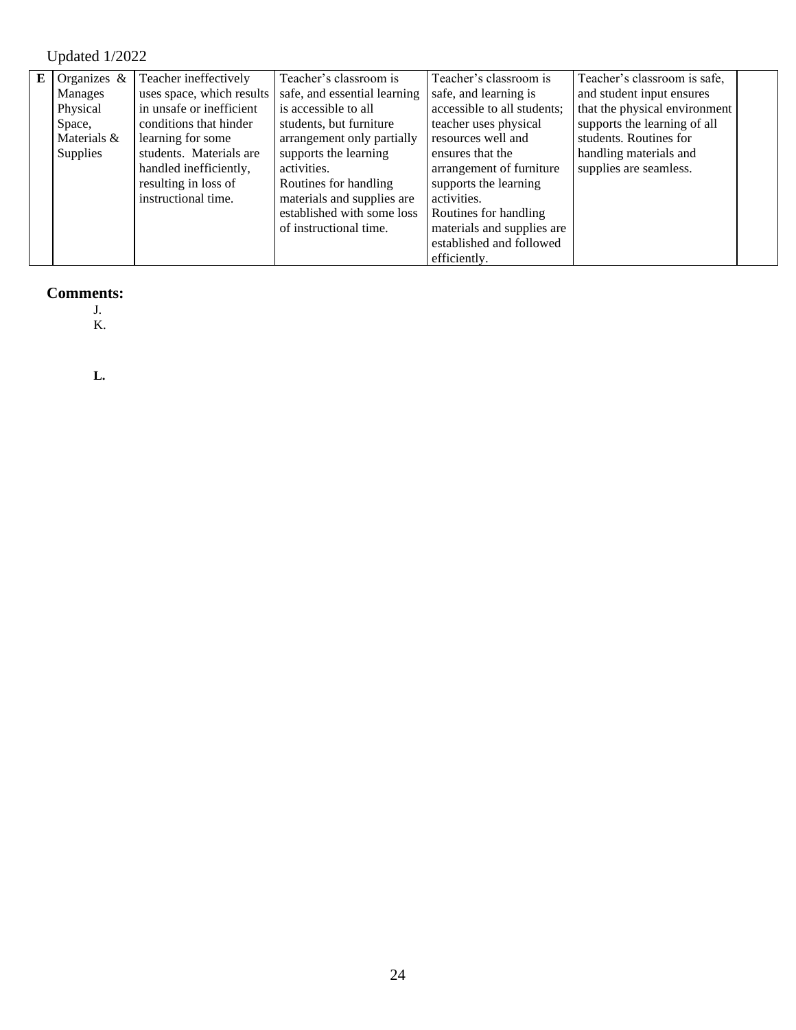| E | Organizes $\&$ | Teacher ineffectively     | Teacher's classroom is       | Teacher's classroom is      | Teacher's classroom is safe,  |  |
|---|----------------|---------------------------|------------------------------|-----------------------------|-------------------------------|--|
|   | Manages        | uses space, which results | safe, and essential learning | safe, and learning is       | and student input ensures     |  |
|   | Physical       | in unsafe or inefficient  | is accessible to all         | accessible to all students; | that the physical environment |  |
|   | Space,         | conditions that hinder    | students, but furniture      | teacher uses physical       | supports the learning of all  |  |
|   | Materials &    | learning for some         | arrangement only partially   | resources well and          | students. Routines for        |  |
|   | Supplies       | students. Materials are   | supports the learning        | ensures that the            | handling materials and        |  |
|   |                | handled inefficiently,    | activities.                  | arrangement of furniture    | supplies are seamless.        |  |
|   |                | resulting in loss of      | Routines for handling        | supports the learning       |                               |  |
|   |                | instructional time.       | materials and supplies are   | activities.                 |                               |  |
|   |                |                           | established with some loss   | Routines for handling       |                               |  |
|   |                |                           | of instructional time.       | materials and supplies are  |                               |  |
|   |                |                           |                              | established and followed    |                               |  |
|   |                |                           |                              | efficiently.                |                               |  |

# **Comments:**

J. K.

**L.**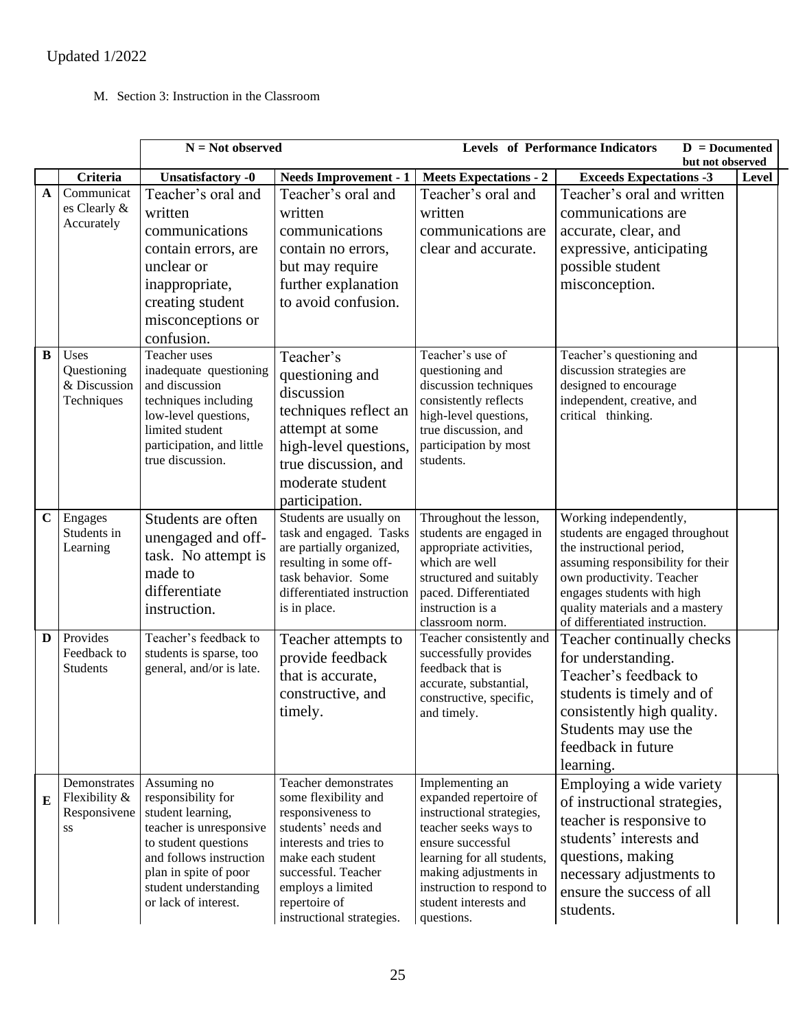# M. Section 3: Instruction in the Classroom

|              |                                                     | $N = Not observed$                                                                                                                                                                                             |                                                                                                                                                                                                                                   | <b>Levels</b> of Performance Indicators<br>$D = Doc$ umented<br>but not observed                                                                                                                                                                |                                                                                                                                                                                                                                                             |       |
|--------------|-----------------------------------------------------|----------------------------------------------------------------------------------------------------------------------------------------------------------------------------------------------------------------|-----------------------------------------------------------------------------------------------------------------------------------------------------------------------------------------------------------------------------------|-------------------------------------------------------------------------------------------------------------------------------------------------------------------------------------------------------------------------------------------------|-------------------------------------------------------------------------------------------------------------------------------------------------------------------------------------------------------------------------------------------------------------|-------|
|              | <b>Criteria</b>                                     | <b>Unsatisfactory -0</b>                                                                                                                                                                                       | <b>Needs Improvement - 1</b>                                                                                                                                                                                                      | <b>Meets Expectations - 2</b>                                                                                                                                                                                                                   | <b>Exceeds Expectations -3</b>                                                                                                                                                                                                                              | Level |
| $\mathbf{A}$ | Communicat<br>es Clearly &<br>Accurately            | Teacher's oral and<br>written<br>communications<br>contain errors, are<br>unclear or<br>inappropriate,<br>creating student<br>misconceptions or<br>confusion.                                                  | Teacher's oral and<br>written<br>communications<br>contain no errors,<br>but may require<br>further explanation<br>to avoid confusion.                                                                                            | Teacher's oral and<br>written<br>communications are<br>clear and accurate.                                                                                                                                                                      | Teacher's oral and written<br>communications are<br>accurate, clear, and<br>expressive, anticipating<br>possible student<br>misconception.                                                                                                                  |       |
| B            | Uses<br>Questioning<br>& Discussion<br>Techniques   | Teacher uses<br>inadequate questioning<br>and discussion<br>techniques including<br>low-level questions,<br>limited student<br>participation, and little<br>true discussion.                                   | Teacher's<br>questioning and<br>discussion<br>techniques reflect an<br>attempt at some<br>high-level questions,<br>true discussion, and<br>moderate student<br>participation.                                                     | Teacher's use of<br>questioning and<br>discussion techniques<br>consistently reflects<br>high-level questions,<br>true discussion, and<br>participation by most<br>students.                                                                    | Teacher's questioning and<br>discussion strategies are<br>designed to encourage<br>independent, creative, and<br>critical thinking.                                                                                                                         |       |
| $\mathbf C$  | Engages<br>Students in<br>Learning                  | Students are often<br>unengaged and off-<br>task. No attempt is<br>made to<br>differentiate<br>instruction.                                                                                                    | Students are usually on<br>task and engaged. Tasks<br>are partially organized,<br>resulting in some off-<br>task behavior. Some<br>differentiated instruction<br>is in place.                                                     | Throughout the lesson,<br>students are engaged in<br>appropriate activities,<br>which are well<br>structured and suitably<br>paced. Differentiated<br>instruction is a<br>classroom norm.                                                       | Working independently,<br>students are engaged throughout<br>the instructional period,<br>assuming responsibility for their<br>own productivity. Teacher<br>engages students with high<br>quality materials and a mastery<br>of differentiated instruction. |       |
| D            | Provides<br>Feedback to<br><b>Students</b>          | Teacher's feedback to<br>students is sparse, too<br>general, and/or is late.                                                                                                                                   | Teacher attempts to<br>provide feedback<br>that is accurate.<br>constructive, and<br>timely.                                                                                                                                      | Teacher consistently and<br>successfully provides<br>feedback that is<br>accurate, substantial,<br>constructive, specific,<br>and timely.                                                                                                       | Teacher continually checks<br>for understanding.<br>Teacher's feedback to<br>students is timely and of<br>consistently high quality.<br>Students may use the<br>feedback in future<br>learning.                                                             |       |
| E            | Demonstrates<br>Flexibility &<br>Responsivene<br>SS | Assuming no<br>responsibility for<br>student learning,<br>teacher is unresponsive<br>to student questions<br>and follows instruction<br>plan in spite of poor<br>student understanding<br>or lack of interest. | Teacher demonstrates<br>some flexibility and<br>responsiveness to<br>students' needs and<br>interests and tries to<br>make each student<br>successful. Teacher<br>employs a limited<br>repertoire of<br>instructional strategies. | Implementing an<br>expanded repertoire of<br>instructional strategies,<br>teacher seeks ways to<br>ensure successful<br>learning for all students,<br>making adjustments in<br>instruction to respond to<br>student interests and<br>questions. | Employing a wide variety<br>of instructional strategies,<br>teacher is responsive to<br>students' interests and<br>questions, making<br>necessary adjustments to<br>ensure the success of all<br>students.                                                  |       |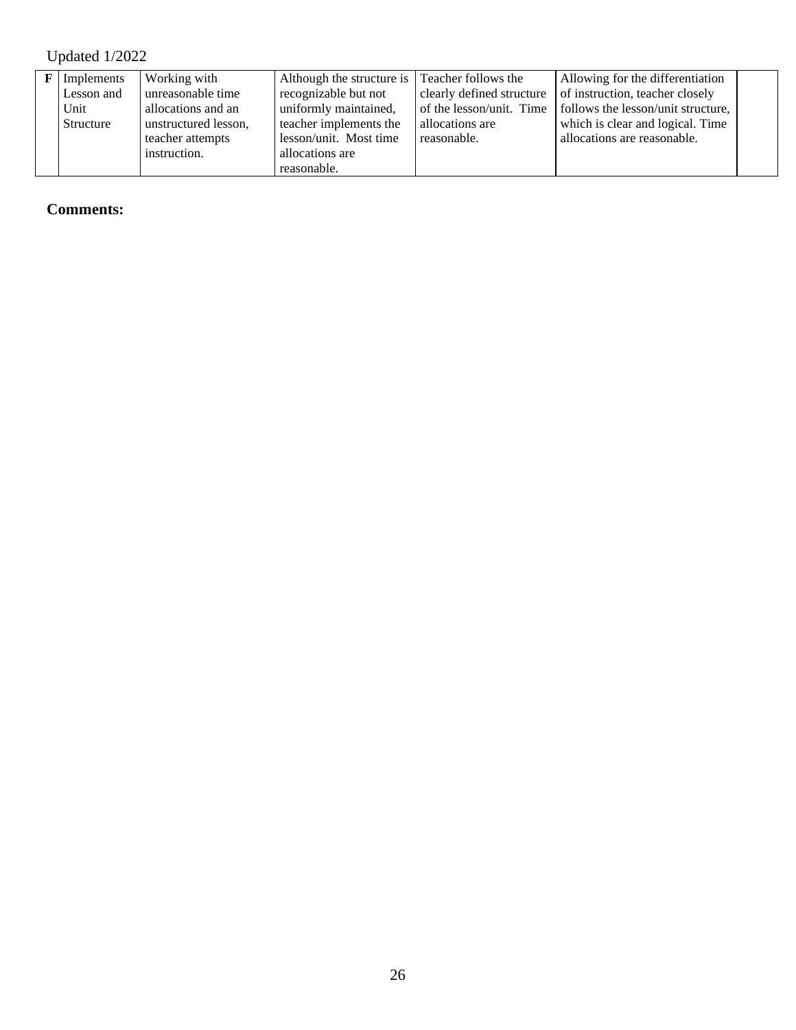| Implements | Working with         | Although the structure is Teacher follows the |                           | Allowing for the differentiation   |  |
|------------|----------------------|-----------------------------------------------|---------------------------|------------------------------------|--|
| Lesson and | unreasonable time    | recognizable but not                          | clearly defined structure | of instruction, teacher closely    |  |
| Unit       | allocations and an   | uniformly maintained,                         | of the lesson/unit. Time  | follows the lesson/unit structure, |  |
| Structure  | unstructured lesson, | teacher implements the                        | allocations are           | which is clear and logical. Time   |  |
|            | teacher attempts     | lesson/unit. Most time                        | reasonable.               | allocations are reasonable.        |  |
|            | instruction.         | allocations are                               |                           |                                    |  |
|            |                      | reasonable.                                   |                           |                                    |  |

# **Comments:**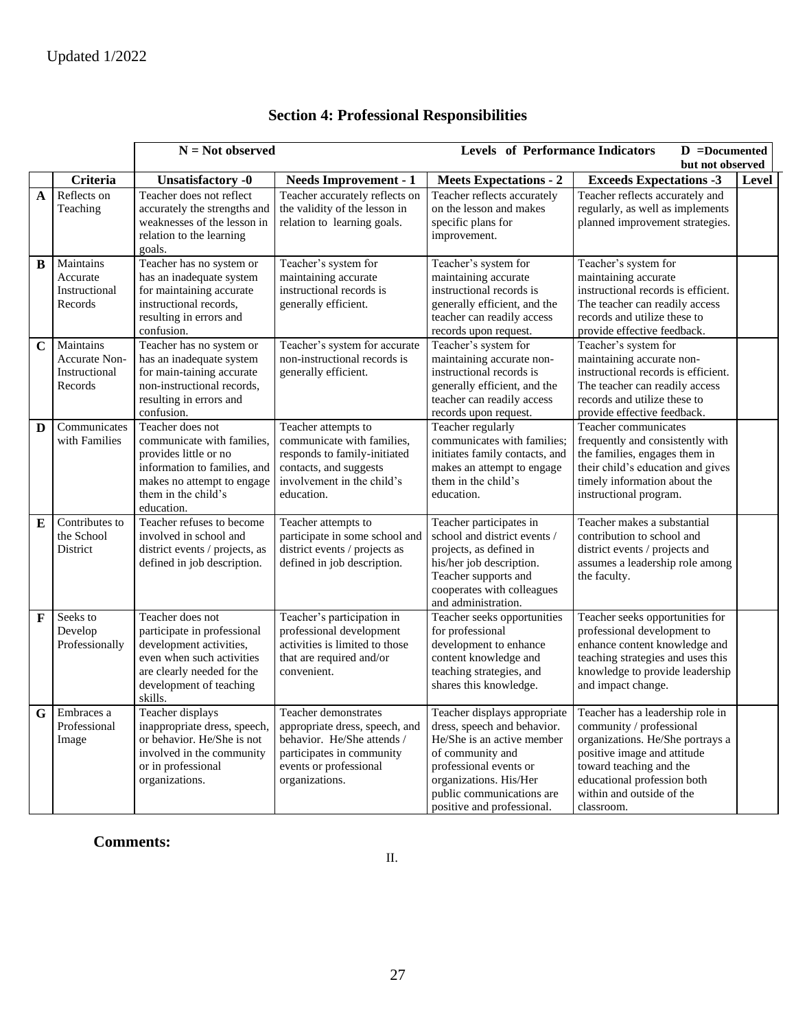|             |                                                        | $N = Not observed$                                                                                                                                                          |                                                                                                                                                               | <b>Levels</b> of Performance Indicators<br>$D =$ Documented                                                                                                                                                                  |                                                                                                                                                                                                                                      |              |
|-------------|--------------------------------------------------------|-----------------------------------------------------------------------------------------------------------------------------------------------------------------------------|---------------------------------------------------------------------------------------------------------------------------------------------------------------|------------------------------------------------------------------------------------------------------------------------------------------------------------------------------------------------------------------------------|--------------------------------------------------------------------------------------------------------------------------------------------------------------------------------------------------------------------------------------|--------------|
|             |                                                        |                                                                                                                                                                             |                                                                                                                                                               |                                                                                                                                                                                                                              | but not observed                                                                                                                                                                                                                     |              |
|             | Criteria                                               | <b>Unsatisfactory -0</b>                                                                                                                                                    | <b>Needs Improvement - 1</b>                                                                                                                                  | <b>Meets Expectations - 2</b>                                                                                                                                                                                                | <b>Exceeds Expectations -3</b>                                                                                                                                                                                                       | <b>Level</b> |
| A           | Reflects on<br>Teaching                                | Teacher does not reflect<br>accurately the strengths and<br>weaknesses of the lesson in                                                                                     | Teacher accurately reflects on<br>the validity of the lesson in<br>relation to learning goals.                                                                | Teacher reflects accurately<br>on the lesson and makes<br>specific plans for                                                                                                                                                 | Teacher reflects accurately and<br>regularly, as well as implements<br>planned improvement strategies.                                                                                                                               |              |
|             |                                                        | relation to the learning<br>goals.                                                                                                                                          |                                                                                                                                                               | improvement.                                                                                                                                                                                                                 |                                                                                                                                                                                                                                      |              |
| $\bf{B}$    | Maintains<br>Accurate<br>Instructional<br>Records      | Teacher has no system or<br>has an inadequate system<br>for maintaining accurate<br>instructional records,<br>resulting in errors and<br>confusion.                         | Teacher's system for<br>maintaining accurate<br>instructional records is<br>generally efficient.                                                              | Teacher's system for<br>maintaining accurate<br>instructional records is<br>generally efficient, and the<br>teacher can readily access<br>records upon request.                                                              | Teacher's system for<br>maintaining accurate<br>instructional records is efficient.<br>The teacher can readily access<br>records and utilize these to<br>provide effective feedback.                                                 |              |
| C           | Maintains<br>Accurate Non-<br>Instructional<br>Records | Teacher has no system or<br>has an inadequate system<br>for main-taining accurate<br>non-instructional records,<br>resulting in errors and<br>confusion.                    | Teacher's system for accurate<br>non-instructional records is<br>generally efficient.                                                                         | Teacher's system for<br>maintaining accurate non-<br>instructional records is<br>generally efficient, and the<br>teacher can readily access<br>records upon request.                                                         | Teacher's system for<br>maintaining accurate non-<br>instructional records is efficient.<br>The teacher can readily access<br>records and utilize these to<br>provide effective feedback.                                            |              |
| D           | Communicates<br>with Families                          | Teacher does not<br>communicate with families.<br>provides little or no<br>information to families, and<br>makes no attempt to engage<br>them in the child's<br>education.  | Teacher attempts to<br>communicate with families,<br>responds to family-initiated<br>contacts, and suggests<br>involvement in the child's<br>education.       | Teacher regularly<br>communicates with families;<br>initiates family contacts, and<br>makes an attempt to engage<br>them in the child's<br>education.                                                                        | Teacher communicates<br>frequently and consistently with<br>the families, engages them in<br>their child's education and gives<br>timely information about the<br>instructional program.                                             |              |
| E           | Contributes to<br>the School<br>District               | Teacher refuses to become<br>involved in school and<br>district events / projects, as<br>defined in job description.                                                        | Teacher attempts to<br>participate in some school and<br>district events / projects as<br>defined in job description.                                         | Teacher participates in<br>school and district events /<br>projects, as defined in<br>his/her job description.<br>Teacher supports and<br>cooperates with colleagues<br>and administration.                                  | Teacher makes a substantial<br>contribution to school and<br>district events / projects and<br>assumes a leadership role among<br>the faculty.                                                                                       |              |
| $\mathbf F$ | Seeks to<br>Develop<br>Professionally                  | Teacher does not<br>participate in professional<br>development activities,<br>even when such activities<br>are clearly needed for the<br>development of teaching<br>skills. | Teacher's participation in<br>professional development<br>activities is limited to those<br>that are required and/or<br>convenient.                           | Teacher seeks opportunities<br>for professional<br>development to enhance<br>content knowledge and<br>teaching strategies, and<br>shares this knowledge.                                                                     | Teacher seeks opportunities for<br>professional development to<br>enhance content knowledge and<br>teaching strategies and uses this<br>knowledge to provide leadership<br>and impact change.                                        |              |
| G           | Embraces a<br>Professional<br>Image                    | Teacher displays<br>inappropriate dress, speech,<br>or behavior. He/She is not<br>involved in the community<br>or in professional<br>organizations.                         | Teacher demonstrates<br>appropriate dress, speech, and<br>behavior. He/She attends /<br>participates in community<br>events or professional<br>organizations. | Teacher displays appropriate<br>dress, speech and behavior.<br>He/She is an active member<br>of community and<br>professional events or<br>organizations. His/Her<br>public communications are<br>positive and professional. | Teacher has a leadership role in<br>community / professional<br>organizations. He/She portrays a<br>positive image and attitude<br>toward teaching and the<br>educational profession both<br>within and outside of the<br>classroom. |              |

# **Section 4: Professional Responsibilities**

**Comments:**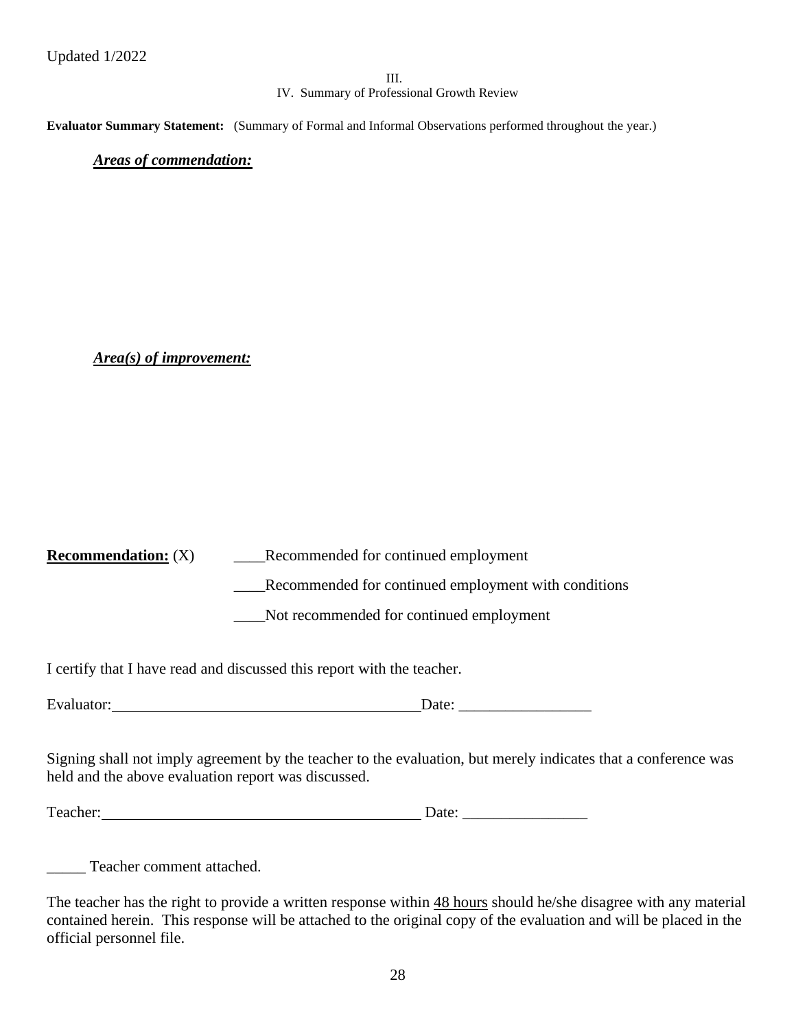III.

IV. Summary of Professional Growth Review

**Evaluator Summary Statement:** (Summary of Formal and Informal Observations performed throughout the year.)

*Areas of commendation:*

*Area(s) of improvement:*

**Recommendation:** (X) \_\_\_\_Recommended for continued employment

\_\_\_\_Recommended for continued employment with conditions

\_\_\_\_Not recommended for continued employment

I certify that I have read and discussed this report with the teacher.

Evaluator: Date: \_\_\_\_\_\_\_\_\_\_\_\_\_\_\_\_\_

Signing shall not imply agreement by the teacher to the evaluation, but merely indicates that a conference was held and the above evaluation report was discussed.

Teacher: Date: \_\_\_\_\_\_\_\_\_\_\_\_\_\_\_\_

Teacher comment attached.

The teacher has the right to provide a written response within 48 hours should he/she disagree with any material contained herein. This response will be attached to the original copy of the evaluation and will be placed in the official personnel file.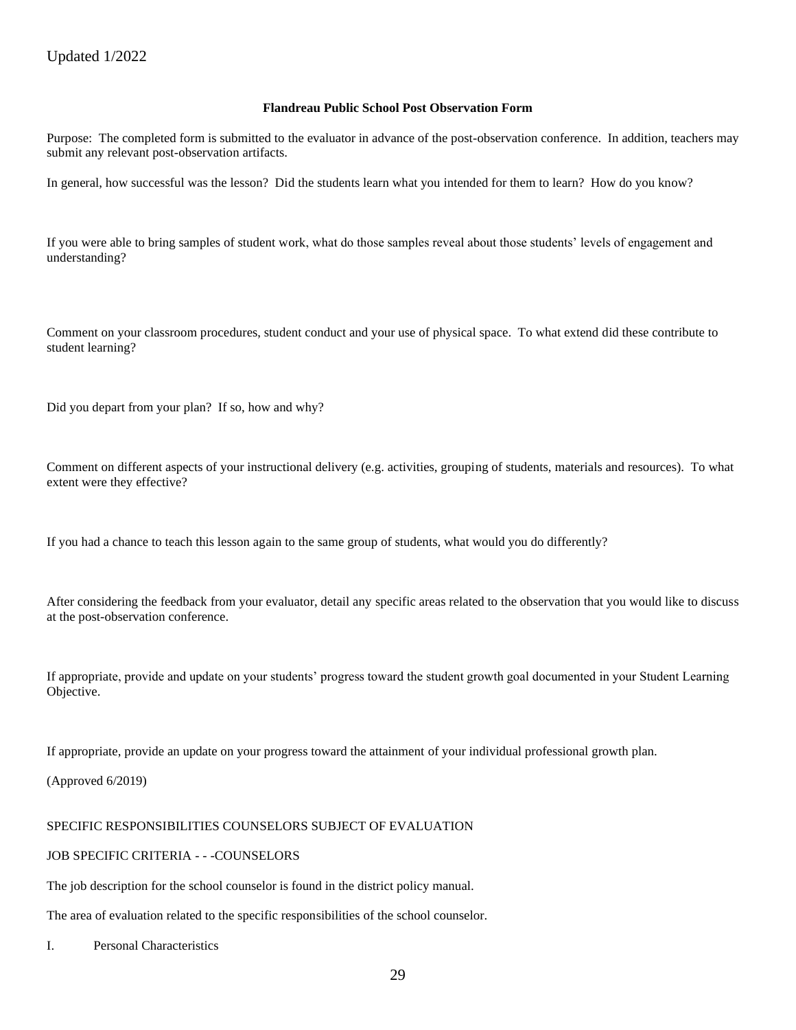#### **Flandreau Public School Post Observation Form**

Purpose: The completed form is submitted to the evaluator in advance of the post-observation conference. In addition, teachers may submit any relevant post-observation artifacts.

In general, how successful was the lesson? Did the students learn what you intended for them to learn? How do you know?

If you were able to bring samples of student work, what do those samples reveal about those students' levels of engagement and understanding?

Comment on your classroom procedures, student conduct and your use of physical space. To what extend did these contribute to student learning?

Did you depart from your plan? If so, how and why?

Comment on different aspects of your instructional delivery (e.g. activities, grouping of students, materials and resources). To what extent were they effective?

If you had a chance to teach this lesson again to the same group of students, what would you do differently?

After considering the feedback from your evaluator, detail any specific areas related to the observation that you would like to discuss at the post-observation conference.

If appropriate, provide and update on your students' progress toward the student growth goal documented in your Student Learning Objective.

If appropriate, provide an update on your progress toward the attainment of your individual professional growth plan.

(Approved 6/2019)

#### SPECIFIC RESPONSIBILITIES COUNSELORS SUBJECT OF EVALUATION

#### JOB SPECIFIC CRITERIA - - -COUNSELORS

The job description for the school counselor is found in the district policy manual.

The area of evaluation related to the specific responsibilities of the school counselor.

#### I. Personal Characteristics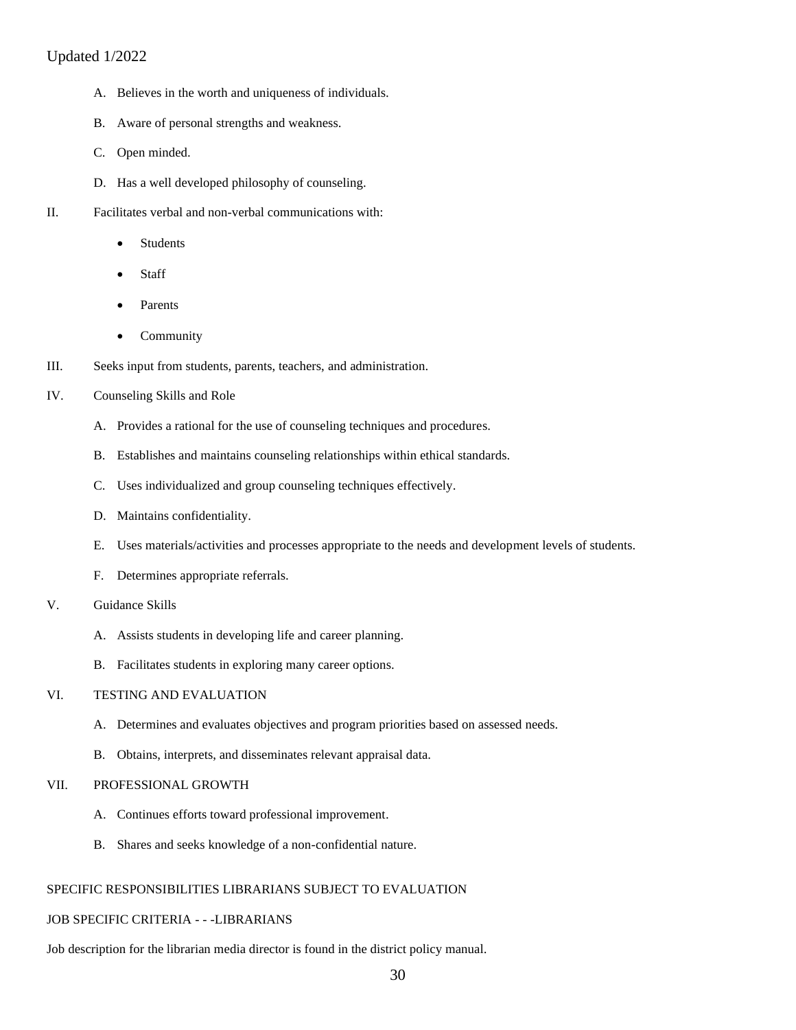- A. Believes in the worth and uniqueness of individuals.
- B. Aware of personal strengths and weakness.
- C. Open minded.
- D. Has a well developed philosophy of counseling.
- II. Facilitates verbal and non-verbal communications with:
	- **Students**
	- **Staff**
	- **Parents**
	- Community
- III. Seeks input from students, parents, teachers, and administration.

# IV. Counseling Skills and Role

- A. Provides a rational for the use of counseling techniques and procedures.
- B. Establishes and maintains counseling relationships within ethical standards.
- C. Uses individualized and group counseling techniques effectively.
- D. Maintains confidentiality.
- E. Uses materials/activities and processes appropriate to the needs and development levels of students.
- F. Determines appropriate referrals.
- V. Guidance Skills
	- A. Assists students in developing life and career planning.
	- B. Facilitates students in exploring many career options.

# VI. TESTING AND EVALUATION

- A. Determines and evaluates objectives and program priorities based on assessed needs.
- B. Obtains, interprets, and disseminates relevant appraisal data.

# VII. PROFESSIONAL GROWTH

- A. Continues efforts toward professional improvement.
- B. Shares and seeks knowledge of a non-confidential nature.

# SPECIFIC RESPONSIBILITIES LIBRARIANS SUBJECT TO EVALUATION

# JOB SPECIFIC CRITERIA - - -LIBRARIANS

Job description for the librarian media director is found in the district policy manual.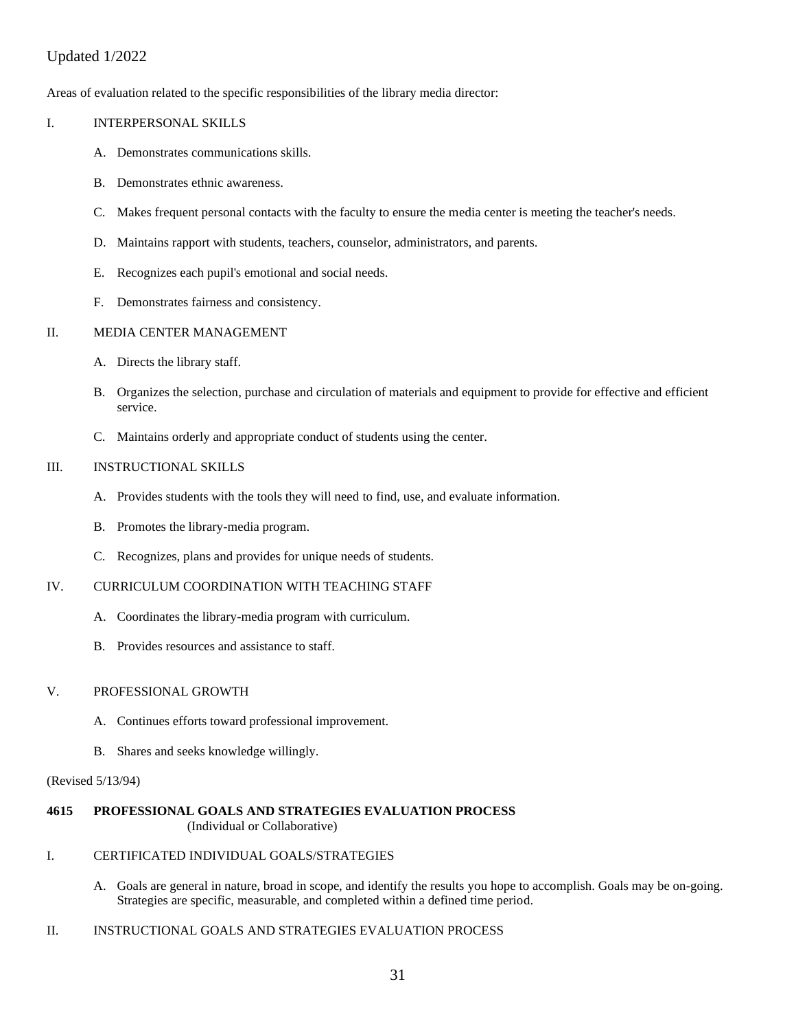Areas of evaluation related to the specific responsibilities of the library media director:

# I. INTERPERSONAL SKILLS

- A. Demonstrates communications skills.
- B. Demonstrates ethnic awareness.
- C. Makes frequent personal contacts with the faculty to ensure the media center is meeting the teacher's needs.
- D. Maintains rapport with students, teachers, counselor, administrators, and parents.
- E. Recognizes each pupil's emotional and social needs.
- F. Demonstrates fairness and consistency.

# II. MEDIA CENTER MANAGEMENT

- A. Directs the library staff.
- B. Organizes the selection, purchase and circulation of materials and equipment to provide for effective and efficient service.
- C. Maintains orderly and appropriate conduct of students using the center.

# III. INSTRUCTIONAL SKILLS

- A. Provides students with the tools they will need to find, use, and evaluate information.
- B. Promotes the library-media program.
- C. Recognizes, plans and provides for unique needs of students.

# IV. CURRICULUM COORDINATION WITH TEACHING STAFF

- A. Coordinates the library-media program with curriculum.
- B. Provides resources and assistance to staff.

# V. PROFESSIONAL GROWTH

- A. Continues efforts toward professional improvement.
- B. Shares and seeks knowledge willingly.

# (Revised 5/13/94)

# **4615 PROFESSIONAL GOALS AND STRATEGIES EVALUATION PROCESS** (Individual or Collaborative)

# I. CERTIFICATED INDIVIDUAL GOALS/STRATEGIES

A. Goals are general in nature, broad in scope, and identify the results you hope to accomplish. Goals may be on-going. Strategies are specific, measurable, and completed within a defined time period.

# II. INSTRUCTIONAL GOALS AND STRATEGIES EVALUATION PROCESS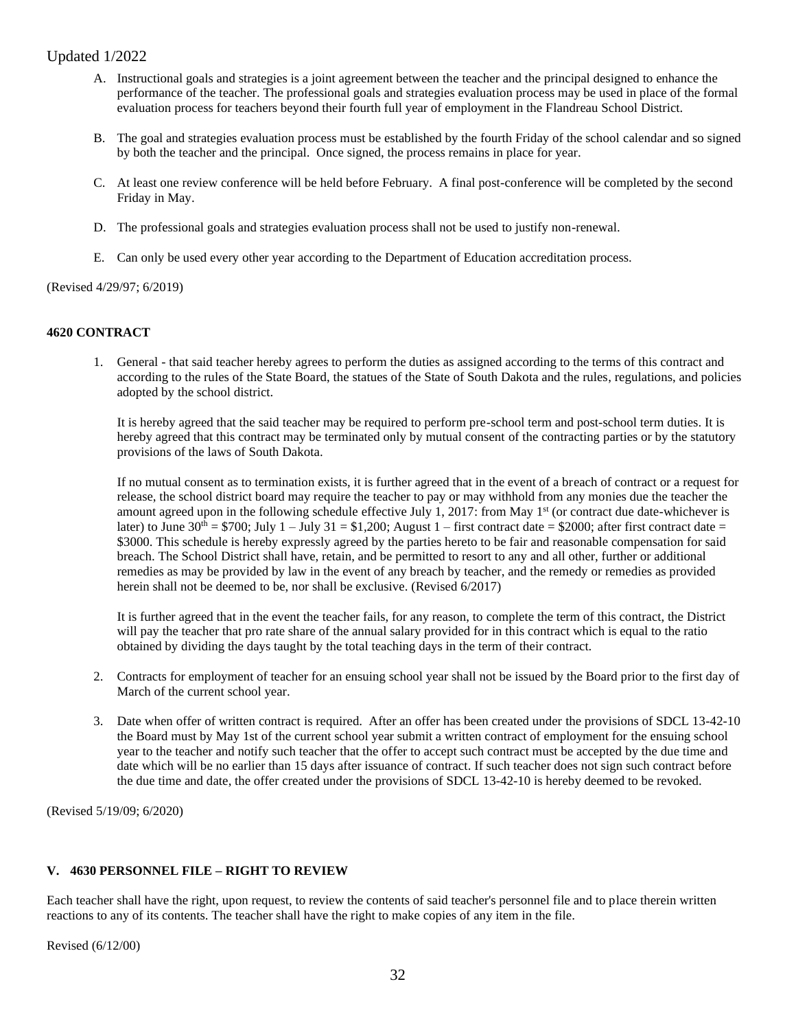- A. Instructional goals and strategies is a joint agreement between the teacher and the principal designed to enhance the performance of the teacher. The professional goals and strategies evaluation process may be used in place of the formal evaluation process for teachers beyond their fourth full year of employment in the Flandreau School District.
- B. The goal and strategies evaluation process must be established by the fourth Friday of the school calendar and so signed by both the teacher and the principal. Once signed, the process remains in place for year.
- C. At least one review conference will be held before February. A final post-conference will be completed by the second Friday in May.
- D. The professional goals and strategies evaluation process shall not be used to justify non-renewal.
- E. Can only be used every other year according to the Department of Education accreditation process.

(Revised 4/29/97; 6/2019)

# **4620 CONTRACT**

1. General - that said teacher hereby agrees to perform the duties as assigned according to the terms of this contract and according to the rules of the State Board, the statues of the State of South Dakota and the rules, regulations, and policies adopted by the school district.

It is hereby agreed that the said teacher may be required to perform pre-school term and post-school term duties. It is hereby agreed that this contract may be terminated only by mutual consent of the contracting parties or by the statutory provisions of the laws of South Dakota.

If no mutual consent as to termination exists, it is further agreed that in the event of a breach of contract or a request for release, the school district board may require the teacher to pay or may withhold from any monies due the teacher the amount agreed upon in the following schedule effective July 1, 2017: from May  $1<sup>st</sup>$  (or contract due date-whichever is later) to June  $30<sup>th</sup> = $700$ ; July  $1 - J$ uly  $31 = $1,200$ ; August  $1 -$  first contract date = \$2000; after first contract date = \$3000. This schedule is hereby expressly agreed by the parties hereto to be fair and reasonable compensation for said breach. The School District shall have, retain, and be permitted to resort to any and all other, further or additional remedies as may be provided by law in the event of any breach by teacher, and the remedy or remedies as provided herein shall not be deemed to be, nor shall be exclusive. (Revised 6/2017)

It is further agreed that in the event the teacher fails, for any reason, to complete the term of this contract, the District will pay the teacher that pro rate share of the annual salary provided for in this contract which is equal to the ratio obtained by dividing the days taught by the total teaching days in the term of their contract.

- 2. Contracts for employment of teacher for an ensuing school year shall not be issued by the Board prior to the first day of March of the current school year.
- 3. Date when offer of written contract is required. After an offer has been created under the provisions of SDCL 13-42-10 the Board must by May 1st of the current school year submit a written contract of employment for the ensuing school year to the teacher and notify such teacher that the offer to accept such contract must be accepted by the due time and date which will be no earlier than 15 days after issuance of contract. If such teacher does not sign such contract before the due time and date, the offer created under the provisions of SDCL 13-42-10 is hereby deemed to be revoked.

(Revised 5/19/09; 6/2020)

# **V. 4630 PERSONNEL FILE – RIGHT TO REVIEW**

Each teacher shall have the right, upon request, to review the contents of said teacher's personnel file and to place therein written reactions to any of its contents. The teacher shall have the right to make copies of any item in the file.

Revised (6/12/00)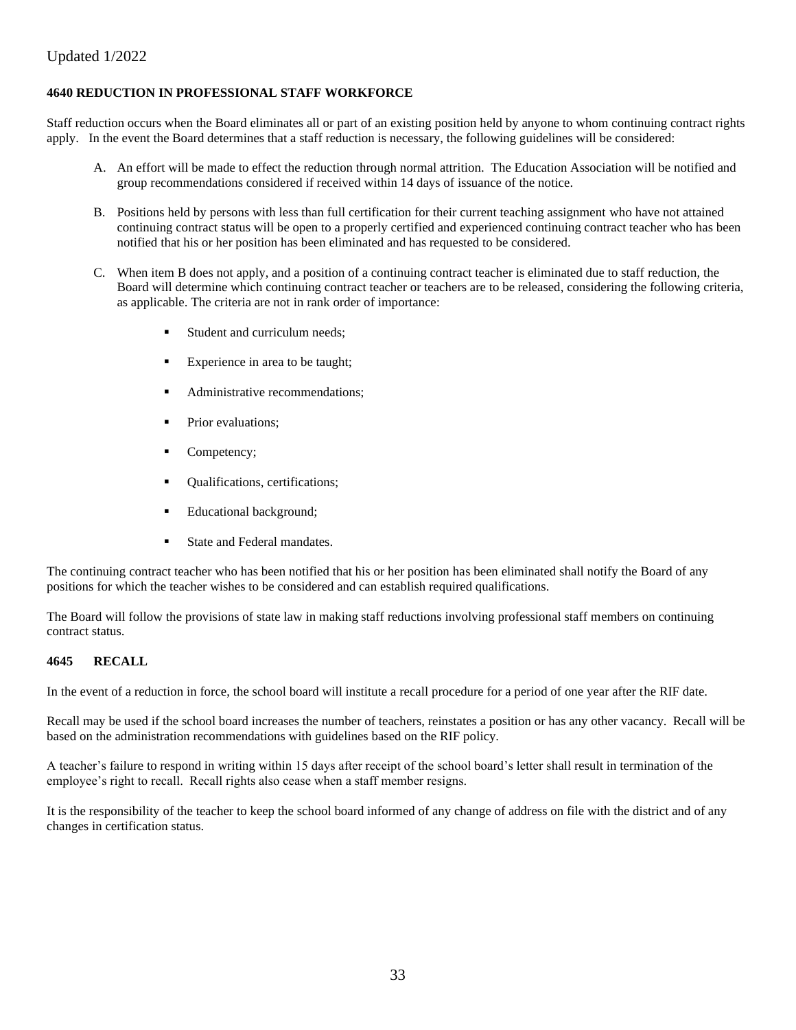# **4640 REDUCTION IN PROFESSIONAL STAFF WORKFORCE**

Staff reduction occurs when the Board eliminates all or part of an existing position held by anyone to whom continuing contract rights apply. In the event the Board determines that a staff reduction is necessary, the following guidelines will be considered:

- A. An effort will be made to effect the reduction through normal attrition. The Education Association will be notified and group recommendations considered if received within 14 days of issuance of the notice.
- B. Positions held by persons with less than full certification for their current teaching assignment who have not attained continuing contract status will be open to a properly certified and experienced continuing contract teacher who has been notified that his or her position has been eliminated and has requested to be considered.
- C. When item B does not apply, and a position of a continuing contract teacher is eliminated due to staff reduction, the Board will determine which continuing contract teacher or teachers are to be released, considering the following criteria, as applicable. The criteria are not in rank order of importance:
	- Student and curriculum needs:
	- **Experience in area to be taught;**
	- Administrative recommendations:
	- **•** Prior evaluations;
	- Competency;
	- **Qualifications**, certifications;
	- Educational background;
	- State and Federal mandates.

The continuing contract teacher who has been notified that his or her position has been eliminated shall notify the Board of any positions for which the teacher wishes to be considered and can establish required qualifications.

The Board will follow the provisions of state law in making staff reductions involving professional staff members on continuing contract status.

# **4645 RECALL**

In the event of a reduction in force, the school board will institute a recall procedure for a period of one year after the RIF date.

Recall may be used if the school board increases the number of teachers, reinstates a position or has any other vacancy. Recall will be based on the administration recommendations with guidelines based on the RIF policy.

A teacher's failure to respond in writing within 15 days after receipt of the school board's letter shall result in termination of the employee's right to recall. Recall rights also cease when a staff member resigns.

It is the responsibility of the teacher to keep the school board informed of any change of address on file with the district and of any changes in certification status.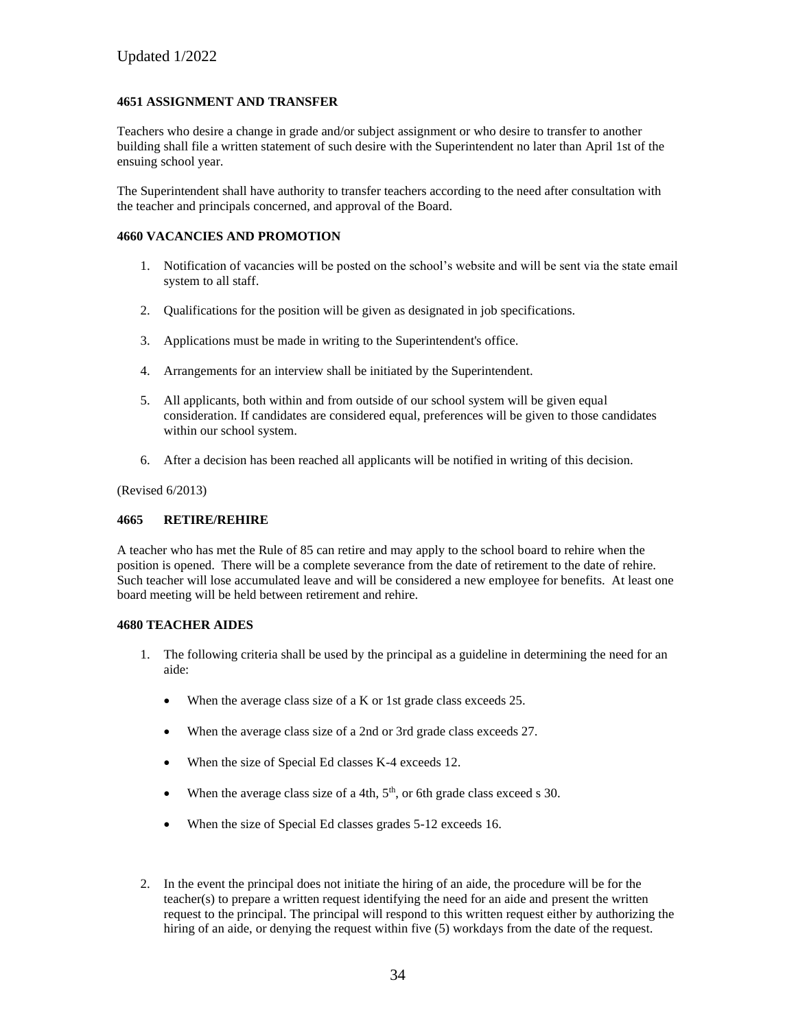# **4651 ASSIGNMENT AND TRANSFER**

Teachers who desire a change in grade and/or subject assignment or who desire to transfer to another building shall file a written statement of such desire with the Superintendent no later than April 1st of the ensuing school year.

The Superintendent shall have authority to transfer teachers according to the need after consultation with the teacher and principals concerned, and approval of the Board.

# **4660 VACANCIES AND PROMOTION**

- 1. Notification of vacancies will be posted on the school's website and will be sent via the state email system to all staff.
- 2. Qualifications for the position will be given as designated in job specifications.
- 3. Applications must be made in writing to the Superintendent's office.
- 4. Arrangements for an interview shall be initiated by the Superintendent.
- 5. All applicants, both within and from outside of our school system will be given equal consideration. If candidates are considered equal, preferences will be given to those candidates within our school system.
- 6. After a decision has been reached all applicants will be notified in writing of this decision.

(Revised 6/2013)

#### **4665 RETIRE/REHIRE**

A teacher who has met the Rule of 85 can retire and may apply to the school board to rehire when the position is opened. There will be a complete severance from the date of retirement to the date of rehire. Such teacher will lose accumulated leave and will be considered a new employee for benefits. At least one board meeting will be held between retirement and rehire.

# **4680 TEACHER AIDES**

- 1. The following criteria shall be used by the principal as a guideline in determining the need for an aide:
	- When the average class size of a K or 1st grade class exceeds 25.
	- When the average class size of a 2nd or 3rd grade class exceeds 27.
	- When the size of Special Ed classes K-4 exceeds 12.
	- When the average class size of a 4th,  $5<sup>th</sup>$ , or 6th grade class exceed s 30.
	- When the size of Special Ed classes grades 5-12 exceeds 16.
- 2. In the event the principal does not initiate the hiring of an aide, the procedure will be for the teacher(s) to prepare a written request identifying the need for an aide and present the written request to the principal. The principal will respond to this written request either by authorizing the hiring of an aide, or denying the request within five (5) workdays from the date of the request.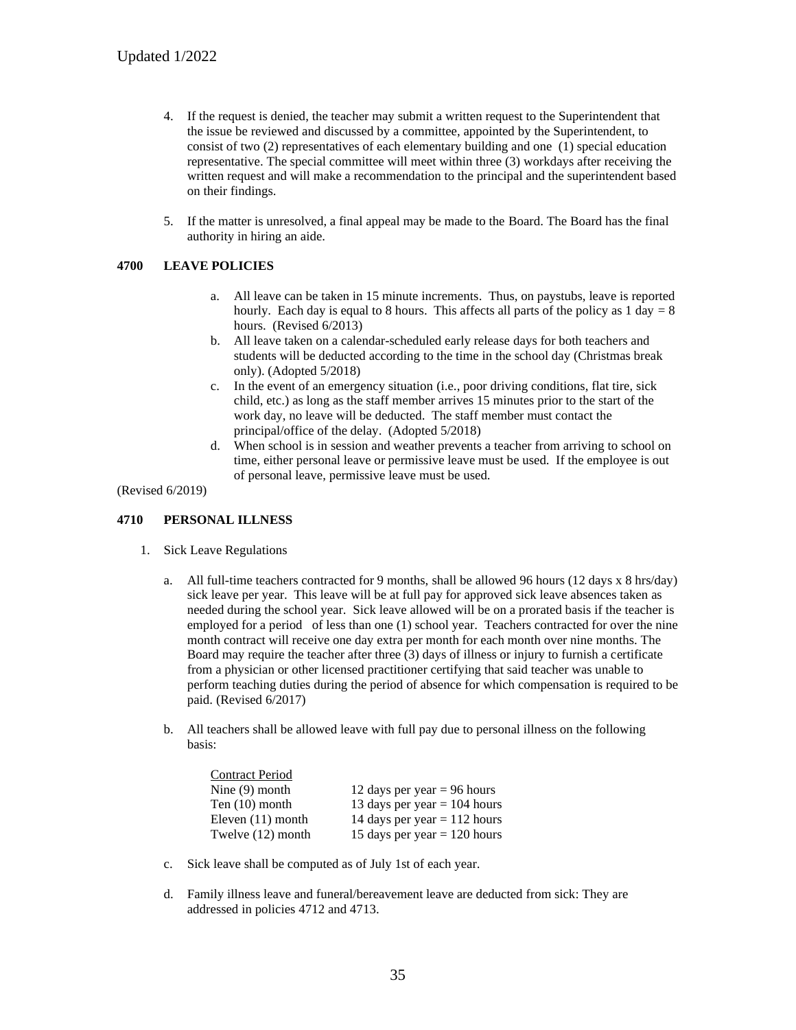- 4. If the request is denied, the teacher may submit a written request to the Superintendent that the issue be reviewed and discussed by a committee, appointed by the Superintendent, to consist of two (2) representatives of each elementary building and one (1) special education representative. The special committee will meet within three (3) workdays after receiving the written request and will make a recommendation to the principal and the superintendent based on their findings.
- 5. If the matter is unresolved, a final appeal may be made to the Board. The Board has the final authority in hiring an aide.

# **4700 LEAVE POLICIES**

- a. All leave can be taken in 15 minute increments. Thus, on paystubs, leave is reported hourly. Each day is equal to 8 hours. This affects all parts of the policy as  $1 \text{ day} = 8$ hours. (Revised 6/2013)
- b. All leave taken on a calendar-scheduled early release days for both teachers and students will be deducted according to the time in the school day (Christmas break only). (Adopted 5/2018)
- c. In the event of an emergency situation (i.e., poor driving conditions, flat tire, sick child, etc.) as long as the staff member arrives 15 minutes prior to the start of the work day, no leave will be deducted. The staff member must contact the principal/office of the delay. (Adopted 5/2018)
- d. When school is in session and weather prevents a teacher from arriving to school on time, either personal leave or permissive leave must be used. If the employee is out of personal leave, permissive leave must be used.

(Revised 6/2019)

#### **4710 PERSONAL ILLNESS**

- 1. Sick Leave Regulations
	- a. All full-time teachers contracted for 9 months, shall be allowed 96 hours (12 days x 8 hrs/day) sick leave per year. This leave will be at full pay for approved sick leave absences taken as needed during the school year. Sick leave allowed will be on a prorated basis if the teacher is employed for a period of less than one (1) school year. Teachers contracted for over the nine month contract will receive one day extra per month for each month over nine months. The Board may require the teacher after three (3) days of illness or injury to furnish a certificate from a physician or other licensed practitioner certifying that said teacher was unable to perform teaching duties during the period of absence for which compensation is required to be paid. (Revised 6/2017)
	- b. All teachers shall be allowed leave with full pay due to personal illness on the following basis:

| <b>Contract Period</b> |                                |
|------------------------|--------------------------------|
| Nine $(9)$ month       | 12 days per year $= 96$ hours  |
| Ten $(10)$ month       | 13 days per year $= 104$ hours |
| Eleven $(11)$ month    | 14 days per year $= 112$ hours |
| Twelve (12) month      | 15 days per year $= 120$ hours |

- c. Sick leave shall be computed as of July 1st of each year.
- d. Family illness leave and funeral/bereavement leave are deducted from sick: They are addressed in policies 4712 and 4713.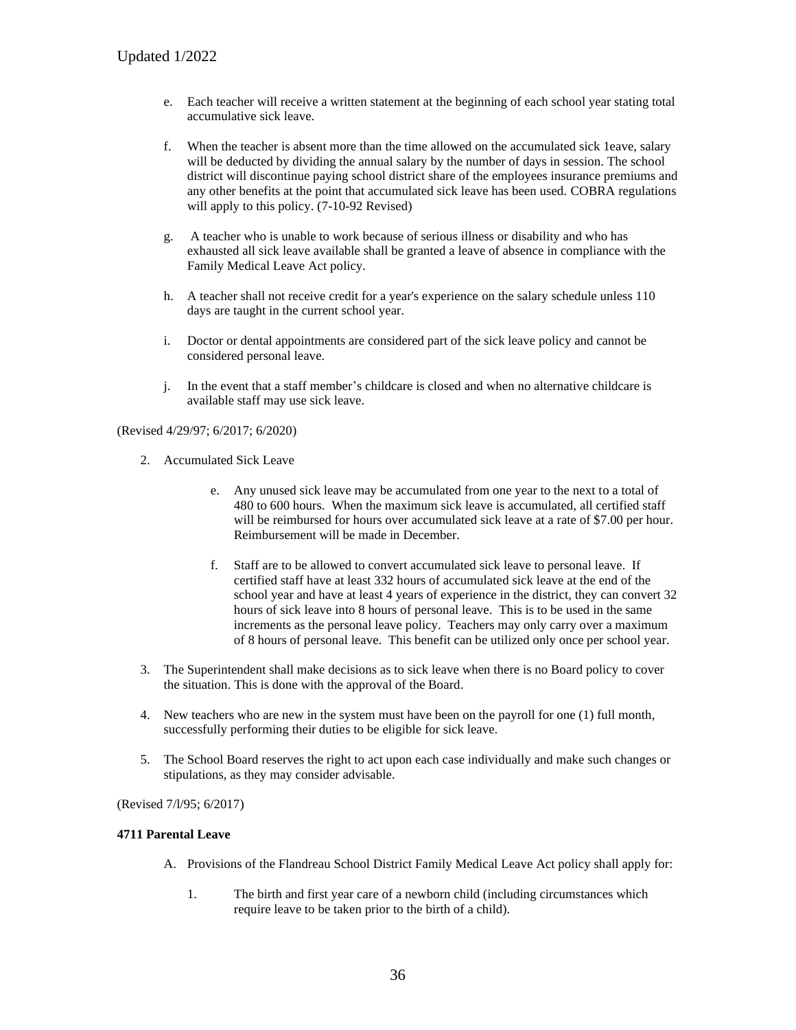- e. Each teacher will receive a written statement at the beginning of each school year stating total accumulative sick leave.
- f. When the teacher is absent more than the time allowed on the accumulated sick 1eave, salary will be deducted by dividing the annual salary by the number of days in session. The school district will discontinue paying school district share of the employees insurance premiums and any other benefits at the point that accumulated sick leave has been used. COBRA regulations will apply to this policy. (7-10-92 Revised)
- g. A teacher who is unable to work because of serious illness or disability and who has exhausted all sick leave available shall be granted a leave of absence in compliance with the Family Medical Leave Act policy.
- h. A teacher shall not receive credit for a year's experience on the salary schedule unless 110 days are taught in the current school year.
- i. Doctor or dental appointments are considered part of the sick leave policy and cannot be considered personal leave.
- j. In the event that a staff member's childcare is closed and when no alternative childcare is available staff may use sick leave.

(Revised 4/29/97; 6/2017; 6/2020)

- 2. Accumulated Sick Leave
	- e. Any unused sick leave may be accumulated from one year to the next to a total of 480 to 600 hours. When the maximum sick leave is accumulated, all certified staff will be reimbursed for hours over accumulated sick leave at a rate of \$7.00 per hour. Reimbursement will be made in December.
	- f. Staff are to be allowed to convert accumulated sick leave to personal leave. If certified staff have at least 332 hours of accumulated sick leave at the end of the school year and have at least 4 years of experience in the district, they can convert 32 hours of sick leave into 8 hours of personal leave. This is to be used in the same increments as the personal leave policy. Teachers may only carry over a maximum of 8 hours of personal leave. This benefit can be utilized only once per school year.
- 3. The Superintendent shall make decisions as to sick leave when there is no Board policy to cover the situation. This is done with the approval of the Board.
- 4. New teachers who are new in the system must have been on the payroll for one (1) full month, successfully performing their duties to be eligible for sick leave.
- 5. The School Board reserves the right to act upon each case individually and make such changes or stipulations, as they may consider advisable.

(Revised 7/l/95; 6/2017)

# **4711 Parental Leave**

- A. Provisions of the Flandreau School District Family Medical Leave Act policy shall apply for:
	- 1. The birth and first year care of a newborn child (including circumstances which require leave to be taken prior to the birth of a child).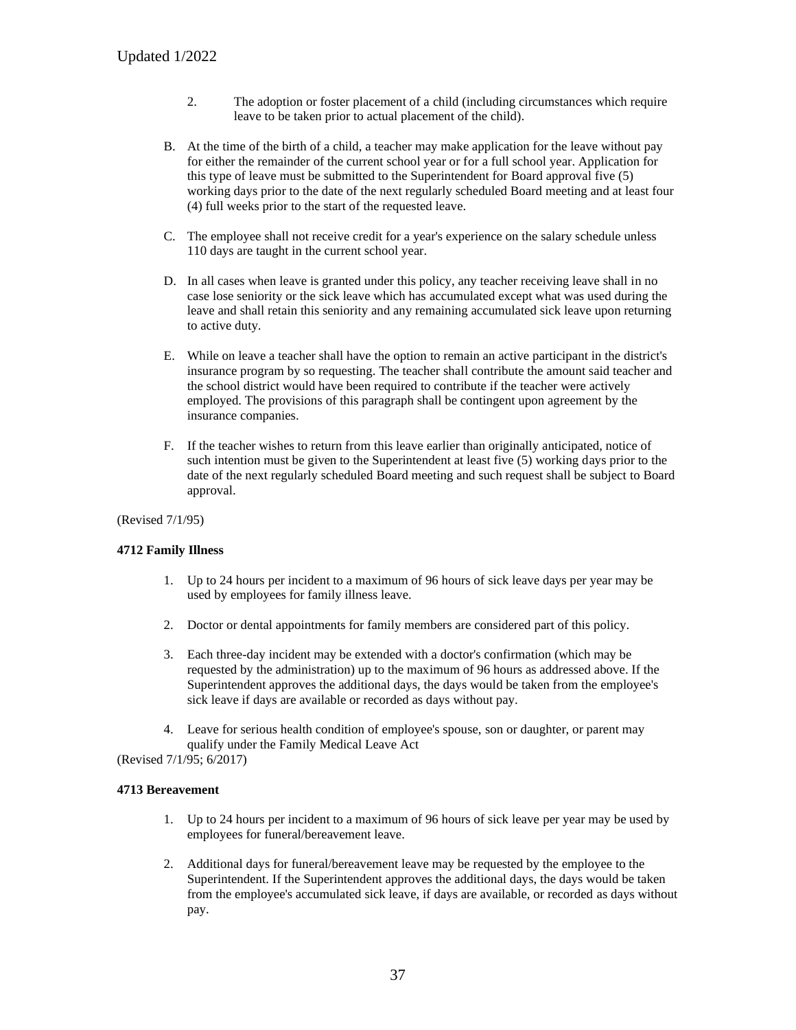- 2. The adoption or foster placement of a child (including circumstances which require leave to be taken prior to actual placement of the child).
- B. At the time of the birth of a child, a teacher may make application for the leave without pay for either the remainder of the current school year or for a full school year. Application for this type of leave must be submitted to the Superintendent for Board approval five (5) working days prior to the date of the next regularly scheduled Board meeting and at least four (4) full weeks prior to the start of the requested leave.
- C. The employee shall not receive credit for a year's experience on the salary schedule unless 110 days are taught in the current school year.
- D. In all cases when leave is granted under this policy, any teacher receiving leave shall in no case lose seniority or the sick leave which has accumulated except what was used during the leave and shall retain this seniority and any remaining accumulated sick leave upon returning to active duty.
- E. While on leave a teacher shall have the option to remain an active participant in the district's insurance program by so requesting. The teacher shall contribute the amount said teacher and the school district would have been required to contribute if the teacher were actively employed. The provisions of this paragraph shall be contingent upon agreement by the insurance companies.
- F. If the teacher wishes to return from this leave earlier than originally anticipated, notice of such intention must be given to the Superintendent at least five (5) working days prior to the date of the next regularly scheduled Board meeting and such request shall be subject to Board approval.

(Revised 7/1/95)

# **4712 Family Illness**

- 1. Up to 24 hours per incident to a maximum of 96 hours of sick leave days per year may be used by employees for family illness leave.
- 2. Doctor or dental appointments for family members are considered part of this policy.
- 3. Each three-day incident may be extended with a doctor's confirmation (which may be requested by the administration) up to the maximum of 96 hours as addressed above. If the Superintendent approves the additional days, the days would be taken from the employee's sick leave if days are available or recorded as days without pay.
- 4. Leave for serious health condition of employee's spouse, son or daughter, or parent may qualify under the Family Medical Leave Act

(Revised 7/1/95; 6/2017)

# **4713 Bereavement**

- 1. Up to 24 hours per incident to a maximum of 96 hours of sick leave per year may be used by employees for funeral/bereavement leave.
- 2. Additional days for funeral/bereavement leave may be requested by the employee to the Superintendent. If the Superintendent approves the additional days, the days would be taken from the employee's accumulated sick leave, if days are available, or recorded as days without pay.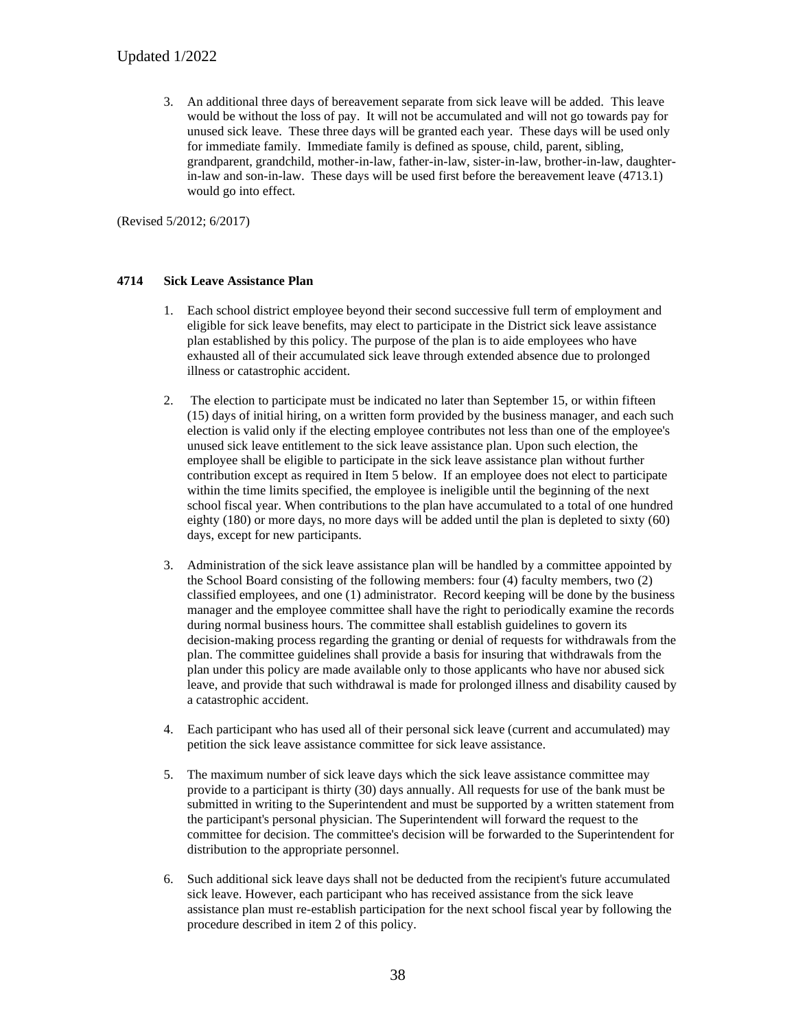3. An additional three days of bereavement separate from sick leave will be added. This leave would be without the loss of pay. It will not be accumulated and will not go towards pay for unused sick leave. These three days will be granted each year. These days will be used only for immediate family. Immediate family is defined as spouse, child, parent, sibling, grandparent, grandchild, mother-in-law, father-in-law, sister-in-law, brother-in-law, daughterin-law and son-in-law. These days will be used first before the bereavement leave (4713.1) would go into effect.

(Revised 5/2012; 6/2017)

# **4714 Sick Leave Assistance Plan**

- 1. Each school district employee beyond their second successive full term of employment and eligible for sick leave benefits, may elect to participate in the District sick leave assistance plan established by this policy. The purpose of the plan is to aide employees who have exhausted all of their accumulated sick leave through extended absence due to prolonged illness or catastrophic accident.
- 2. The election to participate must be indicated no later than September 15, or within fifteen (15) days of initial hiring, on a written form provided by the business manager, and each such election is valid only if the electing employee contributes not less than one of the employee's unused sick leave entitlement to the sick leave assistance plan. Upon such election, the employee shall be eligible to participate in the sick leave assistance plan without further contribution except as required in Item 5 below. If an employee does not elect to participate within the time limits specified, the employee is ineligible until the beginning of the next school fiscal year. When contributions to the plan have accumulated to a total of one hundred eighty (180) or more days, no more days will be added until the plan is depleted to sixty (60) days, except for new participants.
- 3. Administration of the sick leave assistance plan will be handled by a committee appointed by the School Board consisting of the following members: four (4) faculty members, two (2) classified employees, and one (1) administrator. Record keeping will be done by the business manager and the employee committee shall have the right to periodically examine the records during normal business hours. The committee shall establish guidelines to govern its decision-making process regarding the granting or denial of requests for withdrawals from the plan. The committee guidelines shall provide a basis for insuring that withdrawals from the plan under this policy are made available only to those applicants who have nor abused sick leave, and provide that such withdrawal is made for prolonged illness and disability caused by a catastrophic accident.
- 4. Each participant who has used all of their personal sick leave (current and accumulated) may petition the sick leave assistance committee for sick leave assistance.
- 5. The maximum number of sick leave days which the sick leave assistance committee may provide to a participant is thirty (30) days annually. All requests for use of the bank must be submitted in writing to the Superintendent and must be supported by a written statement from the participant's personal physician. The Superintendent will forward the request to the committee for decision. The committee's decision will be forwarded to the Superintendent for distribution to the appropriate personnel.
- 6. Such additional sick leave days shall not be deducted from the recipient's future accumulated sick leave. However, each participant who has received assistance from the sick leave assistance plan must re-establish participation for the next school fiscal year by following the procedure described in item 2 of this policy.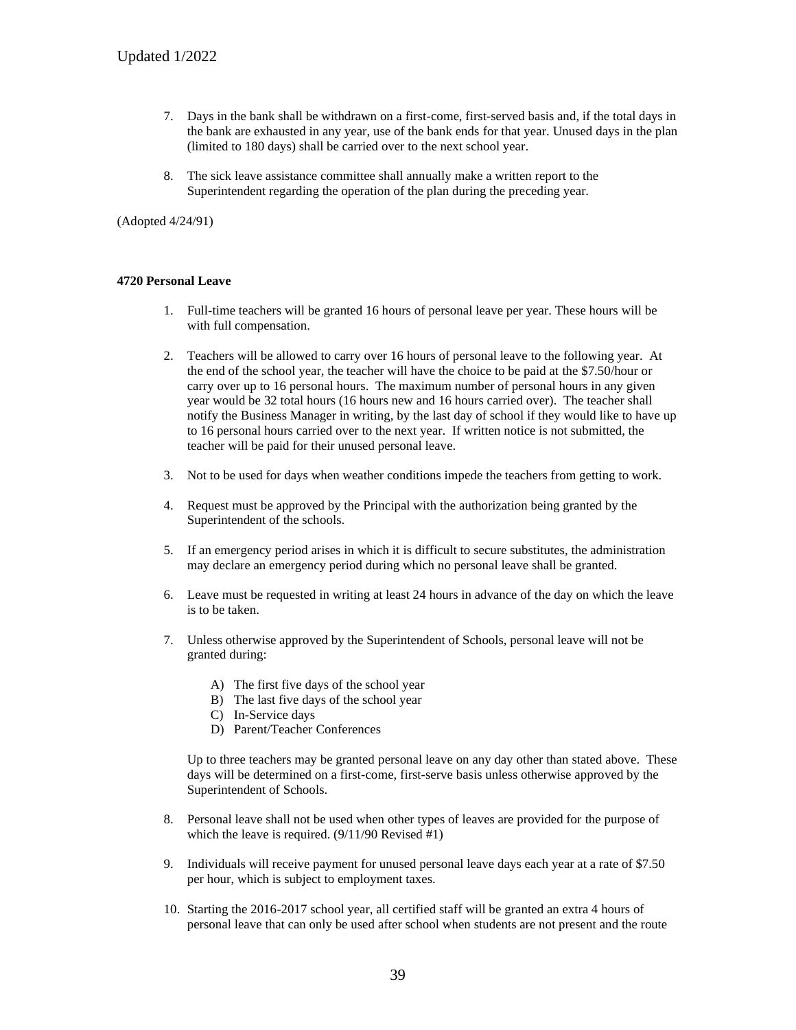- 7. Days in the bank shall be withdrawn on a first-come, first-served basis and, if the total days in the bank are exhausted in any year, use of the bank ends for that year. Unused days in the plan (limited to 180 days) shall be carried over to the next school year.
- 8. The sick leave assistance committee shall annually make a written report to the Superintendent regarding the operation of the plan during the preceding year.

(Adopted 4/24/91)

#### **4720 Personal Leave**

- 1. Full-time teachers will be granted 16 hours of personal leave per year. These hours will be with full compensation.
- 2. Teachers will be allowed to carry over 16 hours of personal leave to the following year. At the end of the school year, the teacher will have the choice to be paid at the \$7.50/hour or carry over up to 16 personal hours. The maximum number of personal hours in any given year would be 32 total hours (16 hours new and 16 hours carried over). The teacher shall notify the Business Manager in writing, by the last day of school if they would like to have up to 16 personal hours carried over to the next year. If written notice is not submitted, the teacher will be paid for their unused personal leave.
- 3. Not to be used for days when weather conditions impede the teachers from getting to work.
- 4. Request must be approved by the Principal with the authorization being granted by the Superintendent of the schools.
- 5. If an emergency period arises in which it is difficult to secure substitutes, the administration may declare an emergency period during which no personal leave shall be granted.
- 6. Leave must be requested in writing at least 24 hours in advance of the day on which the leave is to be taken.
- 7. Unless otherwise approved by the Superintendent of Schools, personal leave will not be granted during:
	- A) The first five days of the school year
	- B) The last five days of the school year
	- C) In-Service days
	- D) Parent/Teacher Conferences

Up to three teachers may be granted personal leave on any day other than stated above. These days will be determined on a first-come, first-serve basis unless otherwise approved by the Superintendent of Schools.

- 8. Personal leave shall not be used when other types of leaves are provided for the purpose of which the leave is required.  $(9/11/90$  Revised #1)
- 9. Individuals will receive payment for unused personal leave days each year at a rate of \$7.50 per hour, which is subject to employment taxes.
- 10. Starting the 2016-2017 school year, all certified staff will be granted an extra 4 hours of personal leave that can only be used after school when students are not present and the route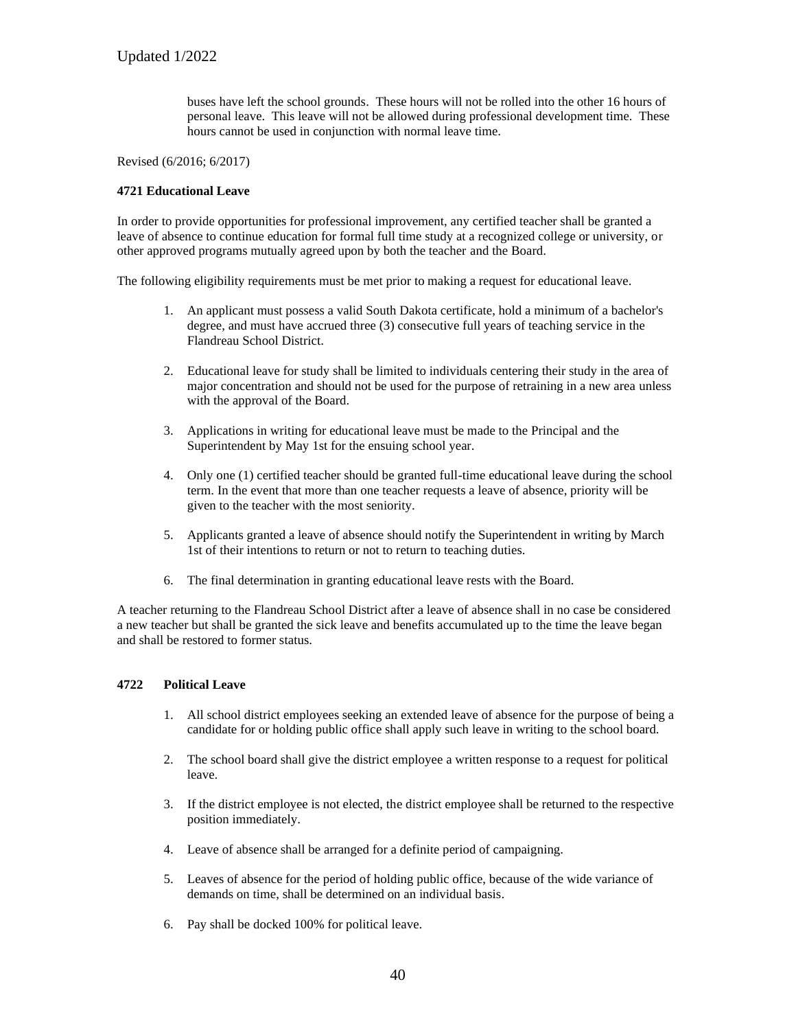buses have left the school grounds. These hours will not be rolled into the other 16 hours of personal leave. This leave will not be allowed during professional development time. These hours cannot be used in conjunction with normal leave time.

Revised (6/2016; 6/2017)

#### **4721 Educational Leave**

In order to provide opportunities for professional improvement, any certified teacher shall be granted a leave of absence to continue education for formal full time study at a recognized college or university, or other approved programs mutually agreed upon by both the teacher and the Board.

The following eligibility requirements must be met prior to making a request for educational leave.

- 1. An applicant must possess a valid South Dakota certificate, hold a minimum of a bachelor's degree, and must have accrued three (3) consecutive full years of teaching service in the Flandreau School District.
- 2. Educational leave for study shall be limited to individuals centering their study in the area of major concentration and should not be used for the purpose of retraining in a new area unless with the approval of the Board.
- 3. Applications in writing for educational leave must be made to the Principal and the Superintendent by May 1st for the ensuing school year.
- 4. Only one (1) certified teacher should be granted full-time educational leave during the school term. In the event that more than one teacher requests a leave of absence, priority will be given to the teacher with the most seniority.
- 5. Applicants granted a leave of absence should notify the Superintendent in writing by March 1st of their intentions to return or not to return to teaching duties.
- 6. The final determination in granting educational leave rests with the Board.

A teacher returning to the Flandreau School District after a leave of absence shall in no case be considered a new teacher but shall be granted the sick leave and benefits accumulated up to the time the leave began and shall be restored to former status.

# **4722 Political Leave**

- 1. All school district employees seeking an extended leave of absence for the purpose of being a candidate for or holding public office shall apply such leave in writing to the school board.
- 2. The school board shall give the district employee a written response to a request for political leave.
- 3. If the district employee is not elected, the district employee shall be returned to the respective position immediately.
- 4. Leave of absence shall be arranged for a definite period of campaigning.
- 5. Leaves of absence for the period of holding public office, because of the wide variance of demands on time, shall be determined on an individual basis.
- 6. Pay shall be docked 100% for political leave.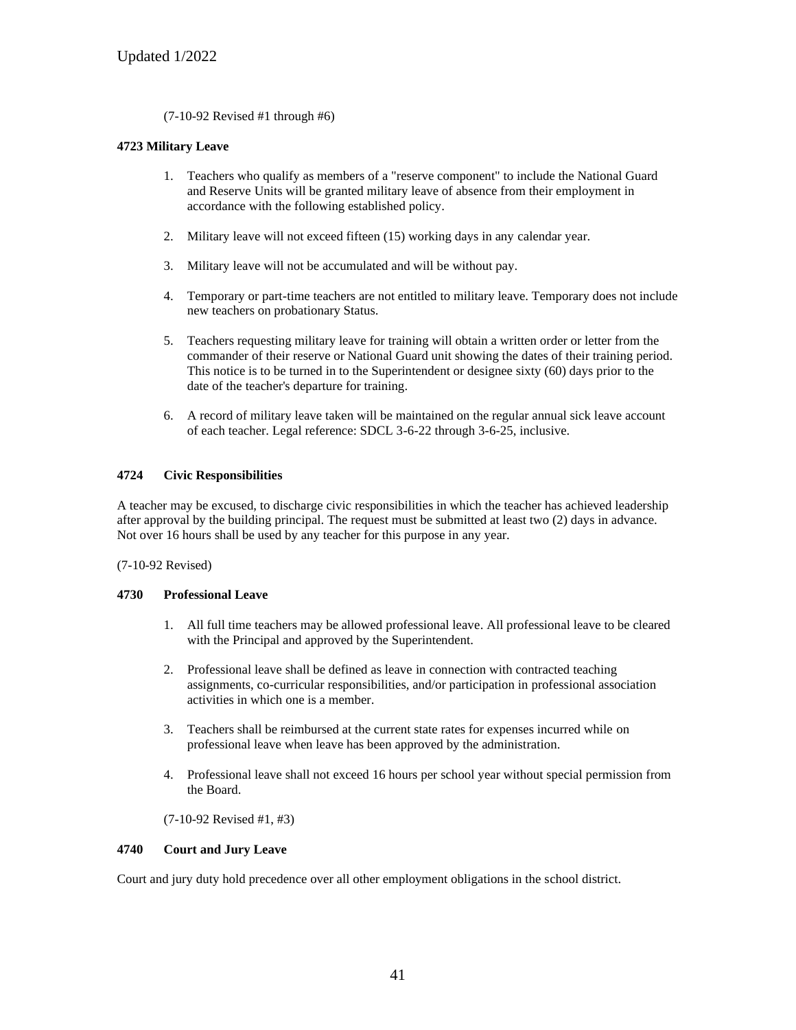(7-10-92 Revised #1 through #6)

# **4723 Military Leave**

- 1. Teachers who qualify as members of a "reserve component" to include the National Guard and Reserve Units will be granted military leave of absence from their employment in accordance with the following established policy.
- 2. Military leave will not exceed fifteen (15) working days in any calendar year.
- 3. Military leave will not be accumulated and will be without pay.
- 4. Temporary or part-time teachers are not entitled to military leave. Temporary does not include new teachers on probationary Status.
- 5. Teachers requesting military leave for training will obtain a written order or letter from the commander of their reserve or National Guard unit showing the dates of their training period. This notice is to be turned in to the Superintendent or designee sixty (60) days prior to the date of the teacher's departure for training.
- 6. A record of military leave taken will be maintained on the regular annual sick leave account of each teacher. Legal reference: SDCL 3-6-22 through 3-6-25, inclusive.

# **4724 Civic Responsibilities**

A teacher may be excused, to discharge civic responsibilities in which the teacher has achieved leadership after approval by the building principal. The request must be submitted at least two (2) days in advance. Not over 16 hours shall be used by any teacher for this purpose in any year.

(7-10-92 Revised)

# **4730 Professional Leave**

- 1. All full time teachers may be allowed professional leave. All professional leave to be cleared with the Principal and approved by the Superintendent.
- 2. Professional leave shall be defined as leave in connection with contracted teaching assignments, co-curricular responsibilities, and/or participation in professional association activities in which one is a member.
- 3. Teachers shall be reimbursed at the current state rates for expenses incurred while on professional leave when leave has been approved by the administration.
- 4. Professional leave shall not exceed 16 hours per school year without special permission from the Board.

(7-10-92 Revised #1, #3)

# **4740 Court and Jury Leave**

Court and jury duty hold precedence over all other employment obligations in the school district.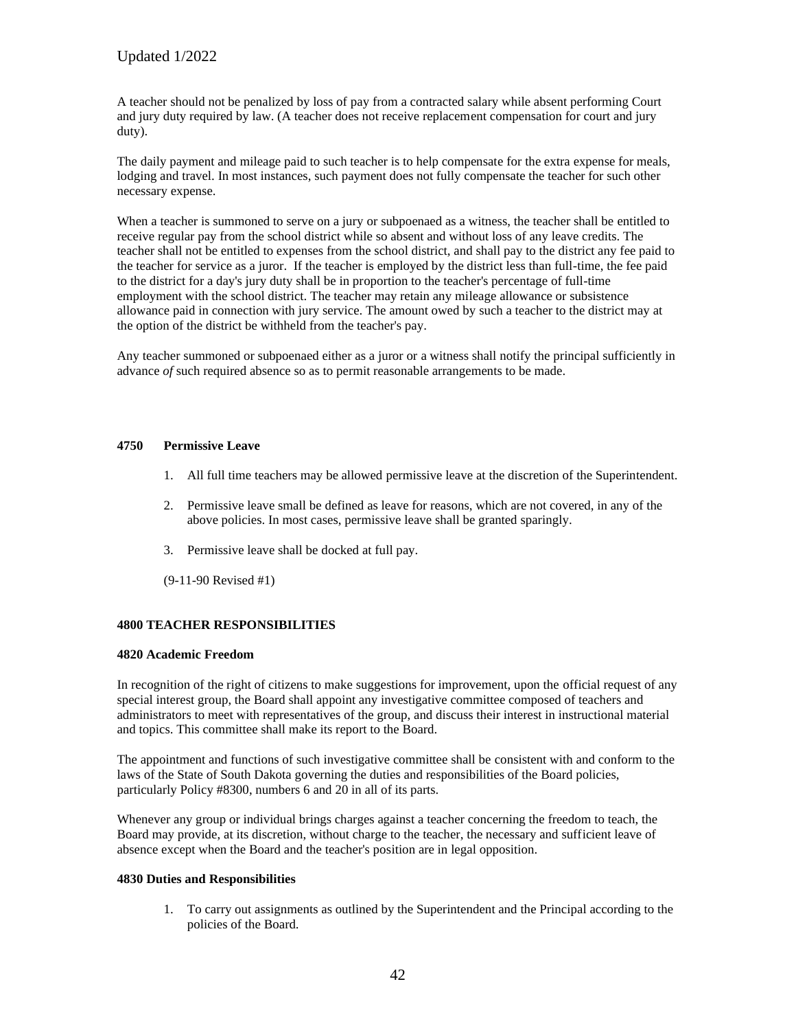A teacher should not be penalized by loss of pay from a contracted salary while absent performing Court and jury duty required by law. (A teacher does not receive replacement compensation for court and jury duty).

The daily payment and mileage paid to such teacher is to help compensate for the extra expense for meals, lodging and travel. In most instances, such payment does not fully compensate the teacher for such other necessary expense.

When a teacher is summoned to serve on a jury or subpoenaed as a witness, the teacher shall be entitled to receive regular pay from the school district while so absent and without loss of any leave credits. The teacher shall not be entitled to expenses from the school district, and shall pay to the district any fee paid to the teacher for service as a juror. If the teacher is employed by the district less than full-time, the fee paid to the district for a day's jury duty shall be in proportion to the teacher's percentage of full-time employment with the school district. The teacher may retain any mileage allowance or subsistence allowance paid in connection with jury service. The amount owed by such a teacher to the district may at the option of the district be withheld from the teacher's pay.

Any teacher summoned or subpoenaed either as a juror or a witness shall notify the principal sufficiently in advance *of* such required absence so as to permit reasonable arrangements to be made.

#### **4750 Permissive Leave**

- 1. All full time teachers may be allowed permissive leave at the discretion of the Superintendent.
- 2. Permissive leave small be defined as leave for reasons, which are not covered, in any of the above policies. In most cases, permissive leave shall be granted sparingly.
- 3. Permissive leave shall be docked at full pay.
- (9-11-90 Revised #1)

# **4800 TEACHER RESPONSIBILITIES**

#### **4820 Academic Freedom**

In recognition of the right of citizens to make suggestions for improvement, upon the official request of any special interest group, the Board shall appoint any investigative committee composed of teachers and administrators to meet with representatives of the group, and discuss their interest in instructional material and topics. This committee shall make its report to the Board.

The appointment and functions of such investigative committee shall be consistent with and conform to the laws of the State of South Dakota governing the duties and responsibilities of the Board policies, particularly Policy #8300, numbers 6 and 20 in all of its parts.

Whenever any group or individual brings charges against a teacher concerning the freedom to teach, the Board may provide, at its discretion, without charge to the teacher, the necessary and sufficient leave of absence except when the Board and the teacher's position are in legal opposition.

#### **4830 Duties and Responsibilities**

1. To carry out assignments as outlined by the Superintendent and the Principal according to the policies of the Board.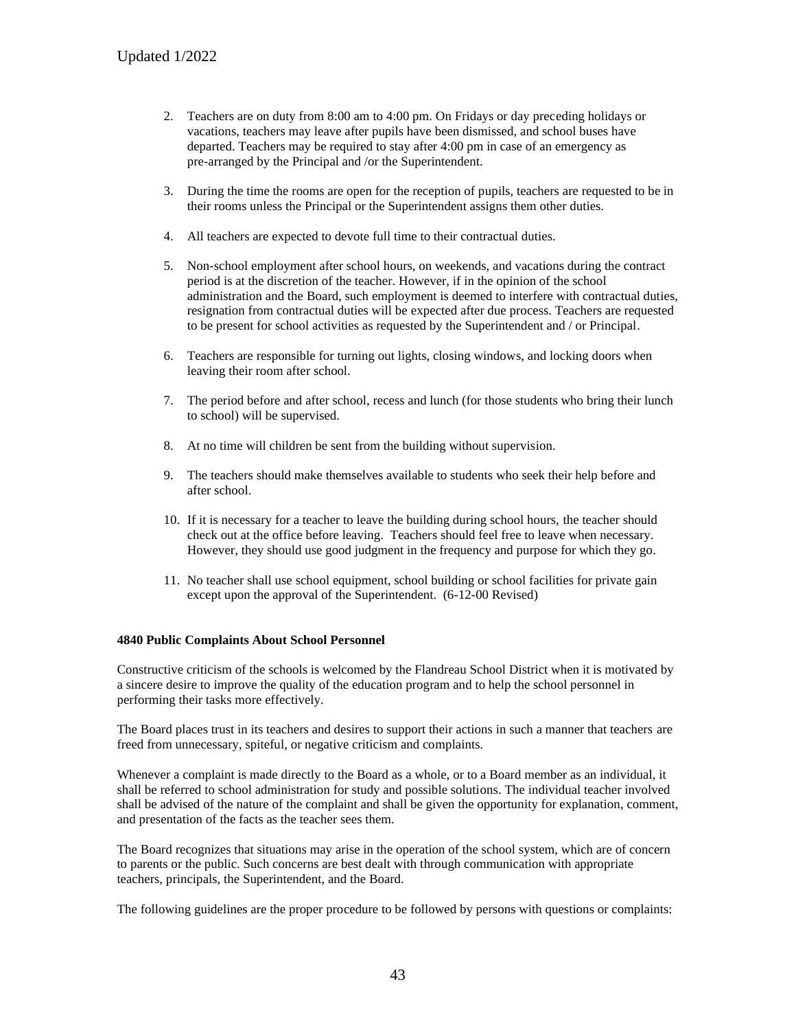- 2. Teachers are on duty from 8:00 am to 4:00 pm. On Fridays or day preceding holidays or vacations, teachers may leave after pupils have been dismissed, and school buses have departed. Teachers may be required to stay after 4:00 pm in case of an emergency as pre-arranged by the Principal and /or the Superintendent.
- 3. During the time the rooms are open for the reception of pupils, teachers are requested to be in their rooms unless the Principal or the Superintendent assigns them other duties.
- 4. All teachers are expected to devote full time to their contractual duties.
- 5. Non-school employment after school hours, on weekends, and vacations during the contract period is at the discretion of the teacher. However, if in the opinion of the school administration and the Board, such employment is deemed to interfere with contractual duties, resignation from contractual duties will be expected after due process. Teachers are requested to be present for school activities as requested by the Superintendent and / or Principal.
- 6. Teachers are responsible for turning out lights, closing windows, and locking doors when leaving their room after school.
- 7. The period before and after school, recess and lunch (for those students who bring their lunch to school) will be supervised.
- 8. At no time will children be sent from the building without supervision.
- 9. The teachers should make themselves available to students who seek their help before and after school.
- 10. If it is necessary for a teacher to leave the building during school hours, the teacher should check out at the office before leaving. Teachers should feel free to leave when necessary. However, they should use good judgment in the frequency and purpose for which they go.
- 11. No teacher shall use school equipment, school building or school facilities for private gain except upon the approval of the Superintendent. (6-12-00 Revised)

# **4840 Public Complaints About School Personnel**

Constructive criticism of the schools is welcomed by the Flandreau School District when it is motivated by a sincere desire to improve the quality of the education program and to help the school personnel in performing their tasks more effectively.

The Board places trust in its teachers and desires to support their actions in such a manner that teachers are freed from unnecessary, spiteful, or negative criticism and complaints.

Whenever a complaint is made directly to the Board as a whole, or to a Board member as an individual, it shall be referred to school administration for study and possible solutions. The individual teacher involved shall be advised of the nature of the complaint and shall be given the opportunity for explanation, comment, and presentation of the facts as the teacher sees them.

The Board recognizes that situations may arise in the operation of the school system, which are of concern to parents or the public. Such concerns are best dealt with through communication with appropriate teachers, principals, the Superintendent, and the Board.

The following guidelines are the proper procedure to be followed by persons with questions or complaints: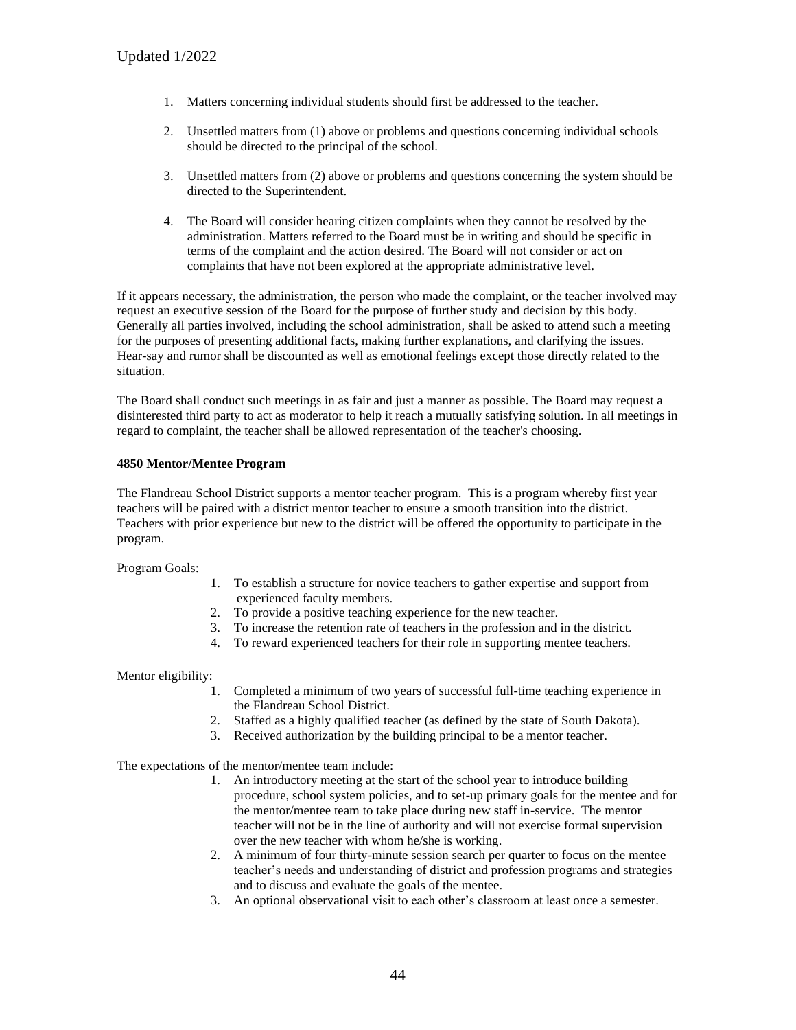- 1. Matters concerning individual students should first be addressed to the teacher.
- 2. Unsettled matters from (1) above or problems and questions concerning individual schools should be directed to the principal of the school.
- 3. Unsettled matters from (2) above or problems and questions concerning the system should be directed to the Superintendent.
- 4. The Board will consider hearing citizen complaints when they cannot be resolved by the administration. Matters referred to the Board must be in writing and should be specific in terms of the complaint and the action desired. The Board will not consider or act on complaints that have not been explored at the appropriate administrative level.

If it appears necessary, the administration, the person who made the complaint, or the teacher involved may request an executive session of the Board for the purpose of further study and decision by this body. Generally all parties involved, including the school administration*,* shall be asked to attend such a meeting for the purposes of presenting additional facts, making further explanations, and clarifying the issues. Hear-say and rumor shall be discounted as well as emotional feelings except those directly related to the situation.

The Board shall conduct such meetings in as fair and just a manner as possible. The Board may request a disinterested third party to act as moderator to help it reach a mutually satisfying solution. In all meetings in regard to complaint, the teacher shall be allowed representation of the teacher's choosing.

# **4850 Mentor/Mentee Program**

The Flandreau School District supports a mentor teacher program. This is a program whereby first year teachers will be paired with a district mentor teacher to ensure a smooth transition into the district. Teachers with prior experience but new to the district will be offered the opportunity to participate in the program.

Program Goals:

- 1. To establish a structure for novice teachers to gather expertise and support from experienced faculty members.
- 2. To provide a positive teaching experience for the new teacher.
- 3. To increase the retention rate of teachers in the profession and in the district.
- 4. To reward experienced teachers for their role in supporting mentee teachers.

Mentor eligibility:

- 1. Completed a minimum of two years of successful full-time teaching experience in the Flandreau School District.
- 2. Staffed as a highly qualified teacher (as defined by the state of South Dakota).
- 3. Received authorization by the building principal to be a mentor teacher.

The expectations of the mentor/mentee team include:

- 1. An introductory meeting at the start of the school year to introduce building procedure, school system policies, and to set-up primary goals for the mentee and for the mentor/mentee team to take place during new staff in-service. The mentor teacher will not be in the line of authority and will not exercise formal supervision over the new teacher with whom he/she is working.
- 2. A minimum of four thirty-minute session search per quarter to focus on the mentee teacher's needs and understanding of district and profession programs and strategies and to discuss and evaluate the goals of the mentee.
- 3. An optional observational visit to each other's classroom at least once a semester.